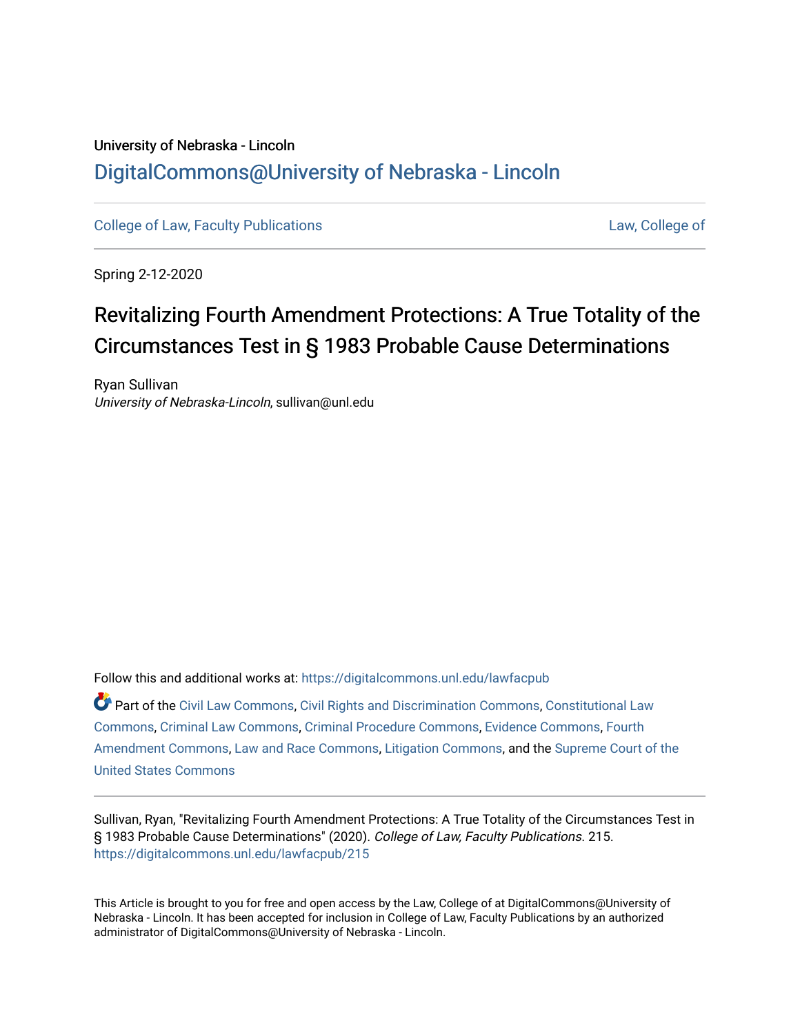## University of Nebraska - Lincoln [DigitalCommons@University of Nebraska - Lincoln](https://digitalcommons.unl.edu/)

[College of Law, Faculty Publications](https://digitalcommons.unl.edu/lawfacpub) **[Law, College of](https://digitalcommons.unl.edu/law) Law, College of** Law, College of

Spring 2-12-2020

# Revitalizing Fourth Amendment Protections: A True Totality of the Circumstances Test in § 1983 Probable Cause Determinations

Ryan Sullivan University of Nebraska-Lincoln, sullivan@unl.edu

Follow this and additional works at: [https://digitalcommons.unl.edu/lawfacpub](https://digitalcommons.unl.edu/lawfacpub?utm_source=digitalcommons.unl.edu%2Flawfacpub%2F215&utm_medium=PDF&utm_campaign=PDFCoverPages) 

Part of the [Civil Law Commons](http://network.bepress.com/hgg/discipline/835?utm_source=digitalcommons.unl.edu%2Flawfacpub%2F215&utm_medium=PDF&utm_campaign=PDFCoverPages), [Civil Rights and Discrimination Commons](http://network.bepress.com/hgg/discipline/585?utm_source=digitalcommons.unl.edu%2Flawfacpub%2F215&utm_medium=PDF&utm_campaign=PDFCoverPages), [Constitutional Law](http://network.bepress.com/hgg/discipline/589?utm_source=digitalcommons.unl.edu%2Flawfacpub%2F215&utm_medium=PDF&utm_campaign=PDFCoverPages)  [Commons](http://network.bepress.com/hgg/discipline/589?utm_source=digitalcommons.unl.edu%2Flawfacpub%2F215&utm_medium=PDF&utm_campaign=PDFCoverPages), [Criminal Law Commons,](http://network.bepress.com/hgg/discipline/912?utm_source=digitalcommons.unl.edu%2Flawfacpub%2F215&utm_medium=PDF&utm_campaign=PDFCoverPages) [Criminal Procedure Commons,](http://network.bepress.com/hgg/discipline/1073?utm_source=digitalcommons.unl.edu%2Flawfacpub%2F215&utm_medium=PDF&utm_campaign=PDFCoverPages) [Evidence Commons,](http://network.bepress.com/hgg/discipline/601?utm_source=digitalcommons.unl.edu%2Flawfacpub%2F215&utm_medium=PDF&utm_campaign=PDFCoverPages) [Fourth](http://network.bepress.com/hgg/discipline/1180?utm_source=digitalcommons.unl.edu%2Flawfacpub%2F215&utm_medium=PDF&utm_campaign=PDFCoverPages) [Amendment Commons](http://network.bepress.com/hgg/discipline/1180?utm_source=digitalcommons.unl.edu%2Flawfacpub%2F215&utm_medium=PDF&utm_campaign=PDFCoverPages), [Law and Race Commons](http://network.bepress.com/hgg/discipline/1300?utm_source=digitalcommons.unl.edu%2Flawfacpub%2F215&utm_medium=PDF&utm_campaign=PDFCoverPages), [Litigation Commons,](http://network.bepress.com/hgg/discipline/910?utm_source=digitalcommons.unl.edu%2Flawfacpub%2F215&utm_medium=PDF&utm_campaign=PDFCoverPages) and the [Supreme Court of the](http://network.bepress.com/hgg/discipline/1350?utm_source=digitalcommons.unl.edu%2Flawfacpub%2F215&utm_medium=PDF&utm_campaign=PDFCoverPages)  [United States Commons](http://network.bepress.com/hgg/discipline/1350?utm_source=digitalcommons.unl.edu%2Flawfacpub%2F215&utm_medium=PDF&utm_campaign=PDFCoverPages) 

Sullivan, Ryan, "Revitalizing Fourth Amendment Protections: A True Totality of the Circumstances Test in § 1983 Probable Cause Determinations" (2020). College of Law, Faculty Publications. 215. [https://digitalcommons.unl.edu/lawfacpub/215](https://digitalcommons.unl.edu/lawfacpub/215?utm_source=digitalcommons.unl.edu%2Flawfacpub%2F215&utm_medium=PDF&utm_campaign=PDFCoverPages) 

This Article is brought to you for free and open access by the Law, College of at DigitalCommons@University of Nebraska - Lincoln. It has been accepted for inclusion in College of Law, Faculty Publications by an authorized administrator of DigitalCommons@University of Nebraska - Lincoln.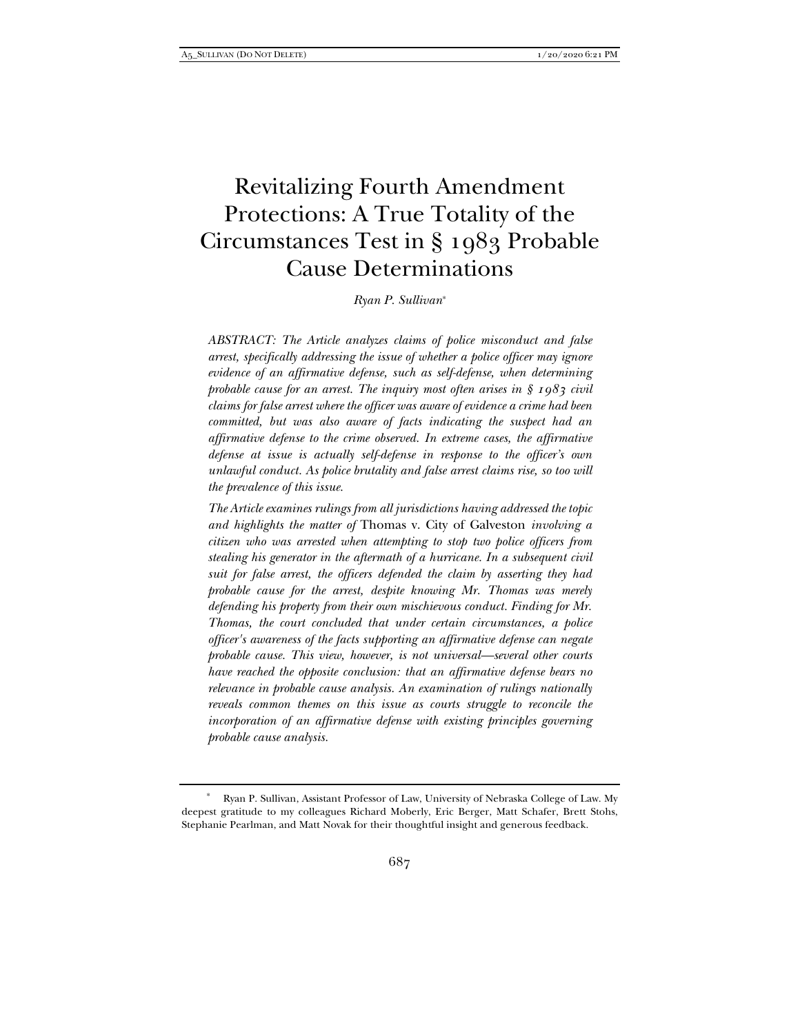## Revitalizing Fourth Amendment Protections: A True Totality of the Circumstances Test in § 1983 Probable Cause Determinations

*Ryan P. Sullivan*\*

*ABSTRACT: The Article analyzes claims of police misconduct and false arrest, specifically addressing the issue of whether a police officer may ignore evidence of an affirmative defense, such as self-defense, when determining probable cause for an arrest. The inquiry most often arises in § 1983 civil claims for false arrest where the officer was aware of evidence a crime had been committed, but was also aware of facts indicating the suspect had an affirmative defense to the crime observed. In extreme cases, the affirmative defense at issue is actually self-defense in response to the officer's own unlawful conduct. As police brutality and false arrest claims rise, so too will the prevalence of this issue.* 

*The Article examines rulings from all jurisdictions having addressed the topic and highlights the matter of* Thomas v. City of Galveston *involving a citizen who was arrested when attempting to stop two police officers from stealing his generator in the aftermath of a hurricane. In a subsequent civil suit for false arrest, the officers defended the claim by asserting they had probable cause for the arrest, despite knowing Mr. Thomas was merely defending his property from their own mischievous conduct. Finding for Mr. Thomas, the court concluded that under certain circumstances, a police officer's awareness of the facts supporting an affirmative defense can negate probable cause. This view, however, is not universal—several other courts have reached the opposite conclusion: that an affirmative defense bears no relevance in probable cause analysis. An examination of rulings nationally reveals common themes on this issue as courts struggle to reconcile the incorporation of an affirmative defense with existing principles governing probable cause analysis.* 

 <sup>\*</sup> Ryan P. Sullivan, Assistant Professor of Law, University of Nebraska College of Law. My deepest gratitude to my colleagues Richard Moberly, Eric Berger, Matt Schafer, Brett Stohs, Stephanie Pearlman, and Matt Novak for their thoughtful insight and generous feedback.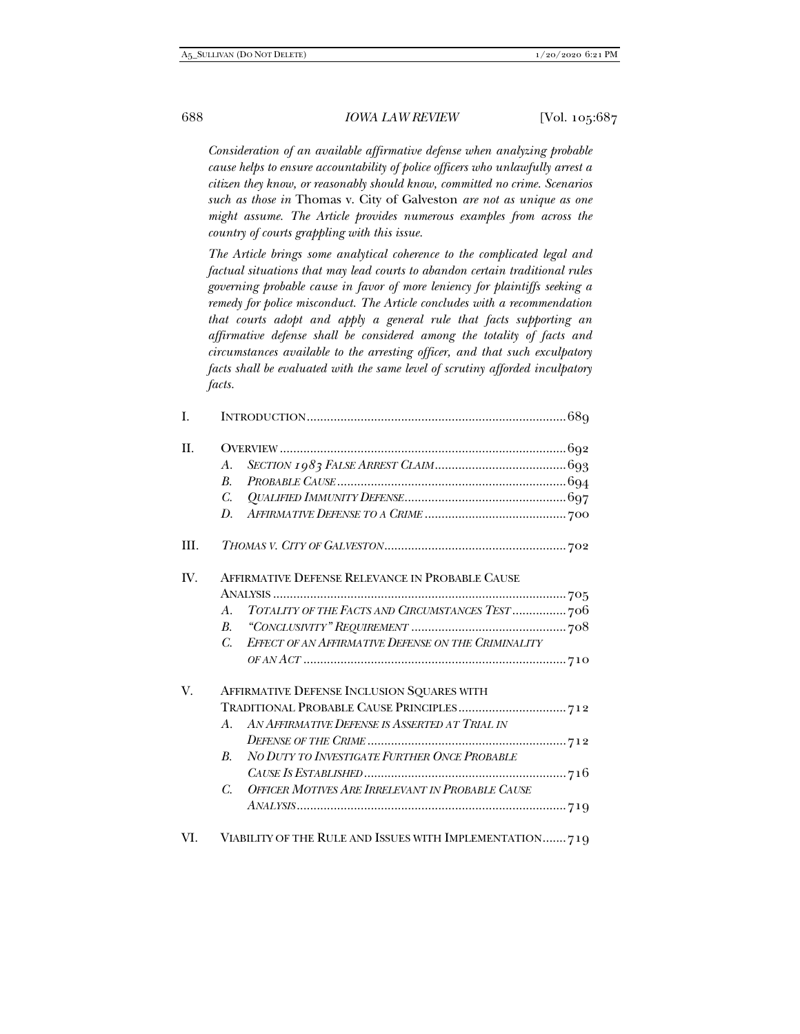*Consideration of an available affirmative defense when analyzing probable cause helps to ensure accountability of police officers who unlawfully arrest a citizen they know, or reasonably should know, committed no crime. Scenarios such as those in* Thomas v. City of Galveston *are not as unique as one might assume. The Article provides numerous examples from across the country of courts grappling with this issue.* 

*The Article brings some analytical coherence to the complicated legal and factual situations that may lead courts to abandon certain traditional rules governing probable cause in favor of more leniency for plaintiffs seeking a remedy for police misconduct. The Article concludes with a recommendation that courts adopt and apply a general rule that facts supporting an affirmative defense shall be considered among the totality of facts and circumstances available to the arresting officer, and that such exculpatory facts shall be evaluated with the same level of scrutiny afforded inculpatory facts.* 

| A.<br>$R_{\cdot}$                         |                                                     |  |
|-------------------------------------------|-----------------------------------------------------|--|
|                                           | ${\it PROBABLE~CAUSE}\,\\$                          |  |
| C.<br>D.                                  |                                                     |  |
|                                           |                                                     |  |
|                                           |                                                     |  |
|                                           | AFFIRMATIVE DEFENSE RELEVANCE IN PROBABLE CAUSE     |  |
| $A_{\cdot}$<br>$B_{\cdot}$<br>$C_{\cdot}$ |                                                     |  |
|                                           | TOTALITY OF THE FACTS AND CIRCUMSTANCES TEST  706   |  |
|                                           |                                                     |  |
|                                           | EFFECT OF AN AFFIRMATIVE DEFENSE ON THE CRIMINALITY |  |
|                                           |                                                     |  |
| B.                                        | AFFIRMATIVE DEFENSE INCLUSION SQUARES WITH          |  |
|                                           |                                                     |  |
|                                           | A. AN AFFIRMATIVE DEFENSE IS ASSERTED AT TRIAL IN   |  |
|                                           |                                                     |  |
|                                           | NO DUTY TO INVESTIGATE FURTHER ONCE PROBABLE        |  |
|                                           |                                                     |  |
|                                           | C. OFFICER MOTIVES ARE IRRELEVANT IN PROBABLE CAUSE |  |
|                                           |                                                     |  |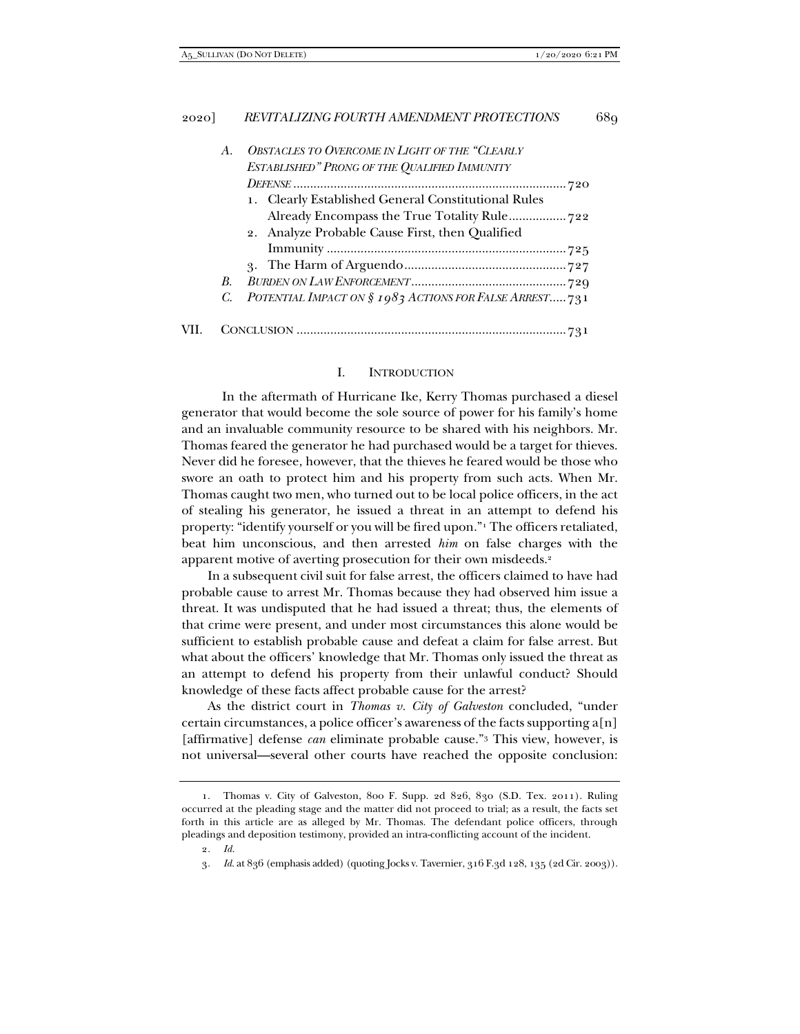|      | А.          | <b>OBSTACLES TO OVERCOME IN LIGHT OF THE "CLEARLY</b>  |
|------|-------------|--------------------------------------------------------|
|      |             | ESTABLISHED" PRONG OF THE QUALIFIED IMMUNITY           |
|      |             |                                                        |
|      |             | 1. Clearly Established General Constitutional Rules    |
|      |             | Already Encompass the True Totality Rule722            |
|      |             | 2. Analyze Probable Cause First, then Qualified        |
|      |             |                                                        |
|      |             |                                                        |
|      | $R_{\cdot}$ |                                                        |
|      | C.          | POTENTIAL IMPACT ON § 1983 ACTIONS FOR FALSE ARREST731 |
|      |             |                                                        |
| VII. |             |                                                        |

#### I. INTRODUCTION

 In the aftermath of Hurricane Ike, Kerry Thomas purchased a diesel generator that would become the sole source of power for his family's home and an invaluable community resource to be shared with his neighbors. Mr. Thomas feared the generator he had purchased would be a target for thieves. Never did he foresee, however, that the thieves he feared would be those who swore an oath to protect him and his property from such acts. When Mr. Thomas caught two men, who turned out to be local police officers, in the act of stealing his generator, he issued a threat in an attempt to defend his property: "identify yourself or you will be fired upon."1 The officers retaliated, beat him unconscious, and then arrested *him* on false charges with the apparent motive of averting prosecution for their own misdeeds.2

In a subsequent civil suit for false arrest, the officers claimed to have had probable cause to arrest Mr. Thomas because they had observed him issue a threat. It was undisputed that he had issued a threat; thus, the elements of that crime were present, and under most circumstances this alone would be sufficient to establish probable cause and defeat a claim for false arrest. But what about the officers' knowledge that Mr. Thomas only issued the threat as an attempt to defend his property from their unlawful conduct? Should knowledge of these facts affect probable cause for the arrest?

As the district court in *Thomas v. City of Galveston* concluded, "under certain circumstances, a police officer's awareness of the facts supporting  $a[n]$ [affirmative] defense *can* eliminate probable cause."3 This view, however, is not universal—several other courts have reached the opposite conclusion:

 <sup>1.</sup> Thomas v. City of Galveston, 800 F. Supp. 2d 826, 830 (S.D. Tex. 2011). Ruling occurred at the pleading stage and the matter did not proceed to trial; as a result, the facts set forth in this article are as alleged by Mr. Thomas. The defendant police officers, through pleadings and deposition testimony, provided an intra-conflicting account of the incident.

<sup>2</sup>*. Id.*

<sup>3</sup>*. Id.* at 836 (emphasis added) (quoting Jocks v. Tavernier, 316 F.3d 128, 135 (2d Cir. 2003)).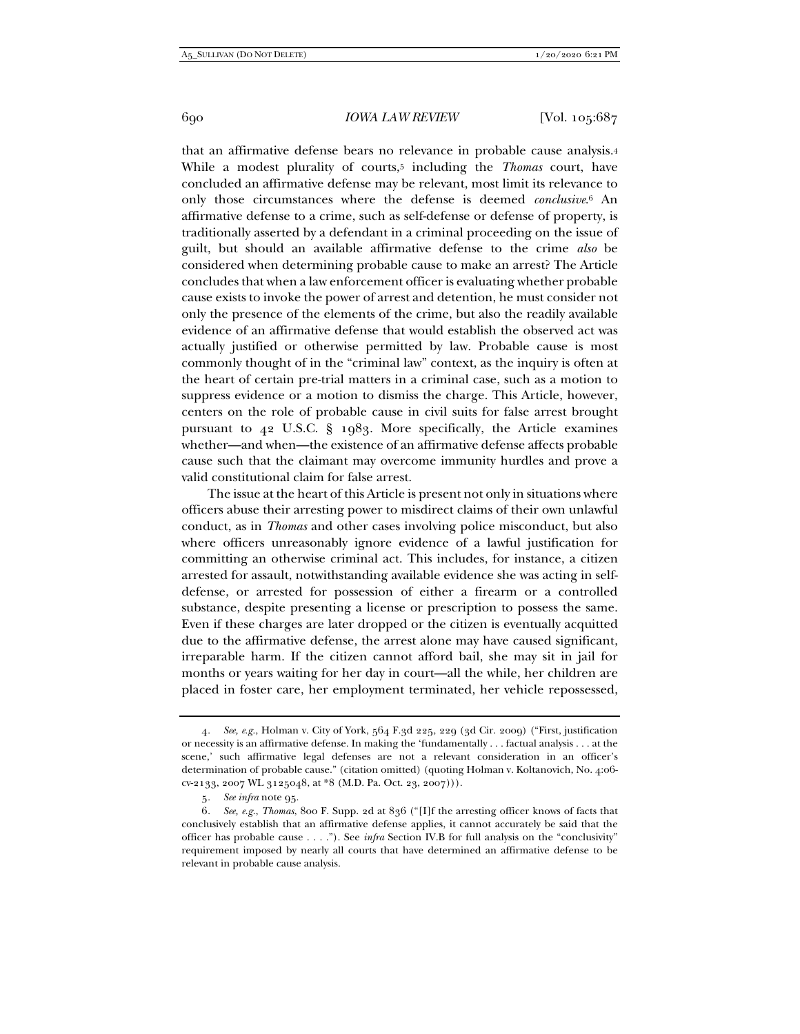that an affirmative defense bears no relevance in probable cause analysis.4 While a modest plurality of courts,5 including the *Thomas* court, have concluded an affirmative defense may be relevant, most limit its relevance to only those circumstances where the defense is deemed *conclusive*.6 An affirmative defense to a crime, such as self-defense or defense of property, is traditionally asserted by a defendant in a criminal proceeding on the issue of guilt, but should an available affirmative defense to the crime *also* be considered when determining probable cause to make an arrest? The Article concludes that when a law enforcement officer is evaluating whether probable cause exists to invoke the power of arrest and detention, he must consider not only the presence of the elements of the crime, but also the readily available evidence of an affirmative defense that would establish the observed act was actually justified or otherwise permitted by law. Probable cause is most commonly thought of in the "criminal law" context, as the inquiry is often at the heart of certain pre-trial matters in a criminal case, such as a motion to suppress evidence or a motion to dismiss the charge. This Article, however, centers on the role of probable cause in civil suits for false arrest brought pursuant to 42 U.S.C. § 1983. More specifically, the Article examines whether—and when—the existence of an affirmative defense affects probable cause such that the claimant may overcome immunity hurdles and prove a valid constitutional claim for false arrest.

The issue at the heart of this Article is present not only in situations where officers abuse their arresting power to misdirect claims of their own unlawful conduct, as in *Thomas* and other cases involving police misconduct, but also where officers unreasonably ignore evidence of a lawful justification for committing an otherwise criminal act. This includes, for instance, a citizen arrested for assault, notwithstanding available evidence she was acting in selfdefense, or arrested for possession of either a firearm or a controlled substance, despite presenting a license or prescription to possess the same. Even if these charges are later dropped or the citizen is eventually acquitted due to the affirmative defense, the arrest alone may have caused significant, irreparable harm. If the citizen cannot afford bail, she may sit in jail for months or years waiting for her day in court—all the while, her children are placed in foster care, her employment terminated, her vehicle repossessed,

<sup>4</sup>*. See, e.g.*, Holman v. City of York, 564 F.3d 225, 229 (3d Cir. 2009) ("First, justification or necessity is an affirmative defense. In making the 'fundamentally . . . factual analysis . . . at the scene,' such affirmative legal defenses are not a relevant consideration in an officer's determination of probable cause." (citation omitted) (quoting Holman v. Koltanovich, No. 4:06 cv-2133, 2007 WL 3125048, at \*8 (M.D. Pa. Oct. 23, 2007))).

<sup>5</sup>*. See infra* note 95.

<sup>6</sup>*. See, e.g.*, *Thomas*, 800 F. Supp. 2d at 836 ("[I]f the arresting officer knows of facts that conclusively establish that an affirmative defense applies, it cannot accurately be said that the officer has probable cause . . . ."). See *infra* Section IV.B for full analysis on the "conclusivity" requirement imposed by nearly all courts that have determined an affirmative defense to be relevant in probable cause analysis.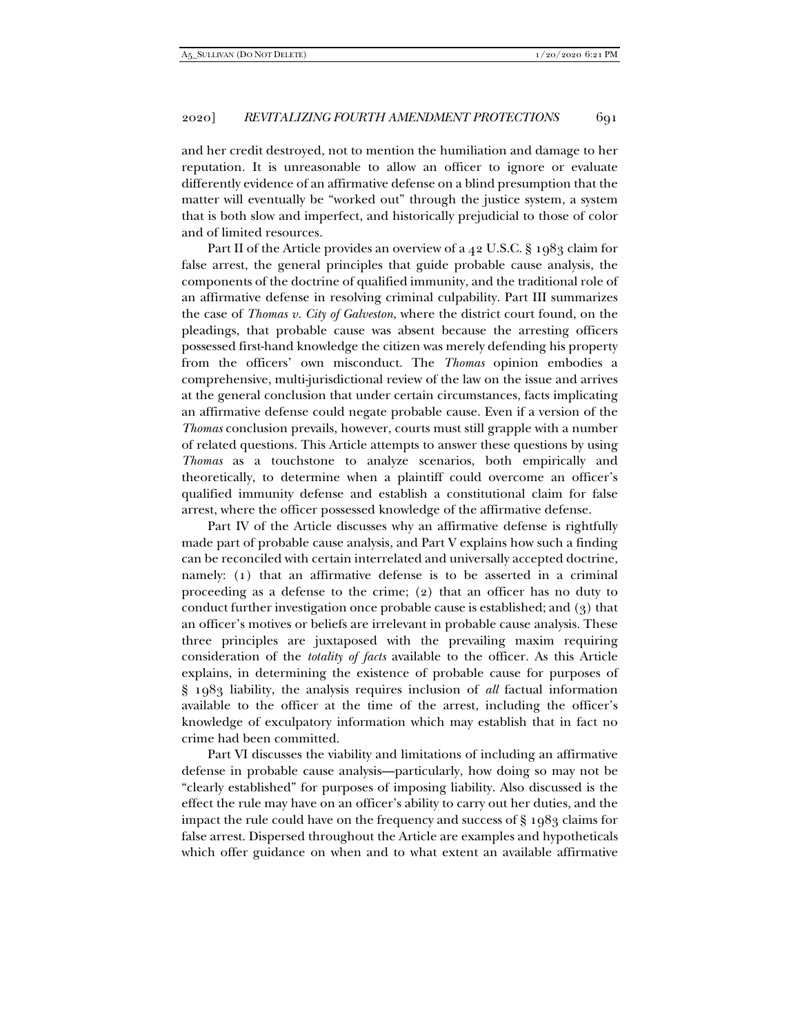and her credit destroyed, not to mention the humiliation and damage to her reputation. It is unreasonable to allow an officer to ignore or evaluate differently evidence of an affirmative defense on a blind presumption that the matter will eventually be "worked out" through the justice system, a system that is both slow and imperfect, and historically prejudicial to those of color and of limited resources.

Part II of the Article provides an overview of a 42 U.S.C. § 1983 claim for false arrest, the general principles that guide probable cause analysis, the components of the doctrine of qualified immunity, and the traditional role of an affirmative defense in resolving criminal culpability. Part III summarizes the case of *Thomas v. City of Galveston*, where the district court found, on the pleadings, that probable cause was absent because the arresting officers possessed first-hand knowledge the citizen was merely defending his property from the officers' own misconduct. The *Thomas* opinion embodies a comprehensive, multi-jurisdictional review of the law on the issue and arrives at the general conclusion that under certain circumstances, facts implicating an affirmative defense could negate probable cause. Even if a version of the *Thomas* conclusion prevails, however, courts must still grapple with a number of related questions. This Article attempts to answer these questions by using *Thomas* as a touchstone to analyze scenarios, both empirically and theoretically, to determine when a plaintiff could overcome an officer's qualified immunity defense and establish a constitutional claim for false arrest, where the officer possessed knowledge of the affirmative defense.

Part IV of the Article discusses why an affirmative defense is rightfully made part of probable cause analysis, and Part V explains how such a finding can be reconciled with certain interrelated and universally accepted doctrine, namely: (1) that an affirmative defense is to be asserted in a criminal proceeding as a defense to the crime; (2) that an officer has no duty to conduct further investigation once probable cause is established; and (3) that an officer's motives or beliefs are irrelevant in probable cause analysis. These three principles are juxtaposed with the prevailing maxim requiring consideration of the *totality of facts* available to the officer. As this Article explains, in determining the existence of probable cause for purposes of § 1983 liability, the analysis requires inclusion of *all* factual information available to the officer at the time of the arrest, including the officer's knowledge of exculpatory information which may establish that in fact no crime had been committed.

Part VI discusses the viability and limitations of including an affirmative defense in probable cause analysis—particularly, how doing so may not be "clearly established" for purposes of imposing liability. Also discussed is the effect the rule may have on an officer's ability to carry out her duties, and the impact the rule could have on the frequency and success of § 1983 claims for false arrest. Dispersed throughout the Article are examples and hypotheticals which offer guidance on when and to what extent an available affirmative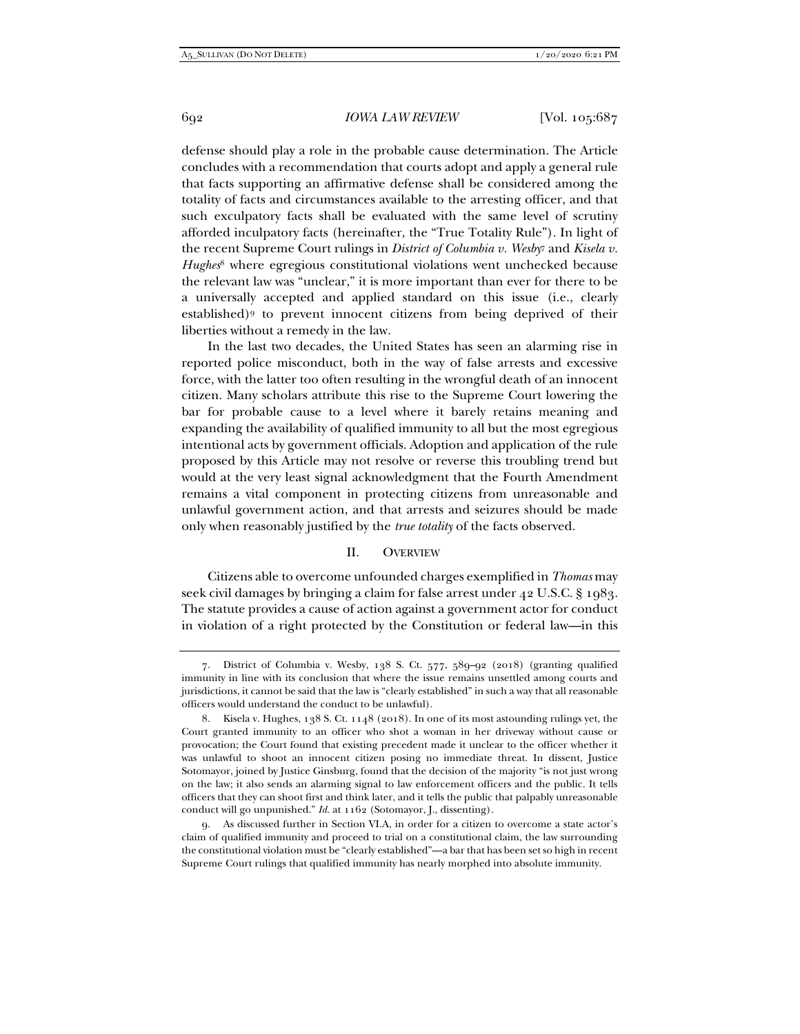defense should play a role in the probable cause determination. The Article concludes with a recommendation that courts adopt and apply a general rule that facts supporting an affirmative defense shall be considered among the totality of facts and circumstances available to the arresting officer, and that such exculpatory facts shall be evaluated with the same level of scrutiny afforded inculpatory facts (hereinafter, the "True Totality Rule"). In light of the recent Supreme Court rulings in *District of Columbia v. Wesby*<sup>7</sup> and *Kisela v. Hughes*<sup>8</sup> where egregious constitutional violations went unchecked because the relevant law was "unclear," it is more important than ever for there to be a universally accepted and applied standard on this issue (i.e., clearly established)9 to prevent innocent citizens from being deprived of their liberties without a remedy in the law.

In the last two decades, the United States has seen an alarming rise in reported police misconduct, both in the way of false arrests and excessive force, with the latter too often resulting in the wrongful death of an innocent citizen. Many scholars attribute this rise to the Supreme Court lowering the bar for probable cause to a level where it barely retains meaning and expanding the availability of qualified immunity to all but the most egregious intentional acts by government officials. Adoption and application of the rule proposed by this Article may not resolve or reverse this troubling trend but would at the very least signal acknowledgment that the Fourth Amendment remains a vital component in protecting citizens from unreasonable and unlawful government action, and that arrests and seizures should be made only when reasonably justified by the *true totality* of the facts observed.

## II. OVERVIEW

Citizens able to overcome unfounded charges exemplified in *Thomas* may seek civil damages by bringing a claim for false arrest under 42 U.S.C. § 1983. The statute provides a cause of action against a government actor for conduct in violation of a right protected by the Constitution or federal law—in this

 <sup>7.</sup> District of Columbia v. Wesby, 138 S. Ct. 577, 589–92 (2018) (granting qualified immunity in line with its conclusion that where the issue remains unsettled among courts and jurisdictions, it cannot be said that the law is "clearly established" in such a way that all reasonable officers would understand the conduct to be unlawful).

 <sup>8.</sup> Kisela v. Hughes, 138 S. Ct. 1148 (2018). In one of its most astounding rulings yet, the Court granted immunity to an officer who shot a woman in her driveway without cause or provocation; the Court found that existing precedent made it unclear to the officer whether it was unlawful to shoot an innocent citizen posing no immediate threat. In dissent, Justice Sotomayor, joined by Justice Ginsburg, found that the decision of the majority "is not just wrong on the law; it also sends an alarming signal to law enforcement officers and the public. It tells officers that they can shoot first and think later, and it tells the public that palpably unreasonable conduct will go unpunished." *Id.* at 1162 (Sotomayor, J., dissenting).

 <sup>9.</sup> As discussed further in Section VI.A, in order for a citizen to overcome a state actor's claim of qualified immunity and proceed to trial on a constitutional claim, the law surrounding the constitutional violation must be "clearly established"—a bar that has been set so high in recent Supreme Court rulings that qualified immunity has nearly morphed into absolute immunity.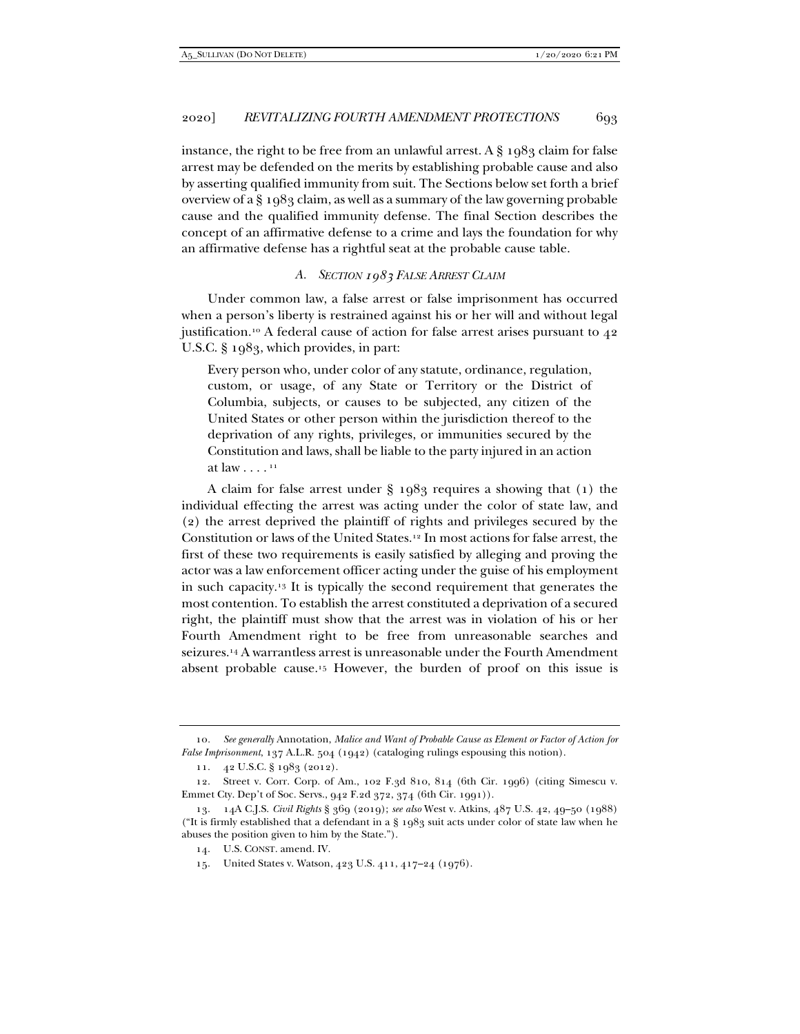instance, the right to be free from an unlawful arrest. A  $\S$  1983 claim for false arrest may be defended on the merits by establishing probable cause and also by asserting qualified immunity from suit. The Sections below set forth a brief overview of a § 1983 claim, as well as a summary of the law governing probable cause and the qualified immunity defense. The final Section describes the concept of an affirmative defense to a crime and lays the foundation for why an affirmative defense has a rightful seat at the probable cause table.

## *A. SECTION 1983 FALSE ARREST CLAIM*

Under common law, a false arrest or false imprisonment has occurred when a person's liberty is restrained against his or her will and without legal justification.<sup>10</sup> A federal cause of action for false arrest arises pursuant to 42 U.S.C. § 1983, which provides, in part:

Every person who, under color of any statute, ordinance, regulation, custom, or usage, of any State or Territory or the District of Columbia, subjects, or causes to be subjected, any citizen of the United States or other person within the jurisdiction thereof to the deprivation of any rights, privileges, or immunities secured by the Constitution and laws, shall be liable to the party injured in an action at law  $\ldots$ .  $11$ 

A claim for false arrest under § 1983 requires a showing that (1) the individual effecting the arrest was acting under the color of state law, and (2) the arrest deprived the plaintiff of rights and privileges secured by the Constitution or laws of the United States.12 In most actions for false arrest, the first of these two requirements is easily satisfied by alleging and proving the actor was a law enforcement officer acting under the guise of his employment in such capacity.13 It is typically the second requirement that generates the most contention. To establish the arrest constituted a deprivation of a secured right, the plaintiff must show that the arrest was in violation of his or her Fourth Amendment right to be free from unreasonable searches and seizures.14 A warrantless arrest is unreasonable under the Fourth Amendment absent probable cause.15 However, the burden of proof on this issue is

<sup>10</sup>*. See generally* Annotation, *Malice and Want of Probable Cause as Element or Factor of Action for False Imprisonment*, 137 A.L.R. 504 (1942) (cataloging rulings espousing this notion).

 <sup>11. 42</sup> U.S.C. § 1983 (2012).

 <sup>12.</sup> Street v. Corr. Corp. of Am., 102 F.3d 810, 814 (6th Cir. 1996) (citing Simescu v. Emmet Cty. Dep't of Soc. Servs., 942 F.2d 372, 374 (6th Cir. 1991)).

 <sup>13. 14</sup>A C.J.S. *Civil Rights* § 369 (2019); *see also* West v. Atkins, 487 U.S. 42, 49–50 (1988) ("It is firmly established that a defendant in a  $\S$  1983 suit acts under color of state law when he abuses the position given to him by the State.").

 <sup>14.</sup> U.S. CONST. amend. IV.

 <sup>15.</sup> United States v. Watson, 423 U.S. 411, 417–24 (1976).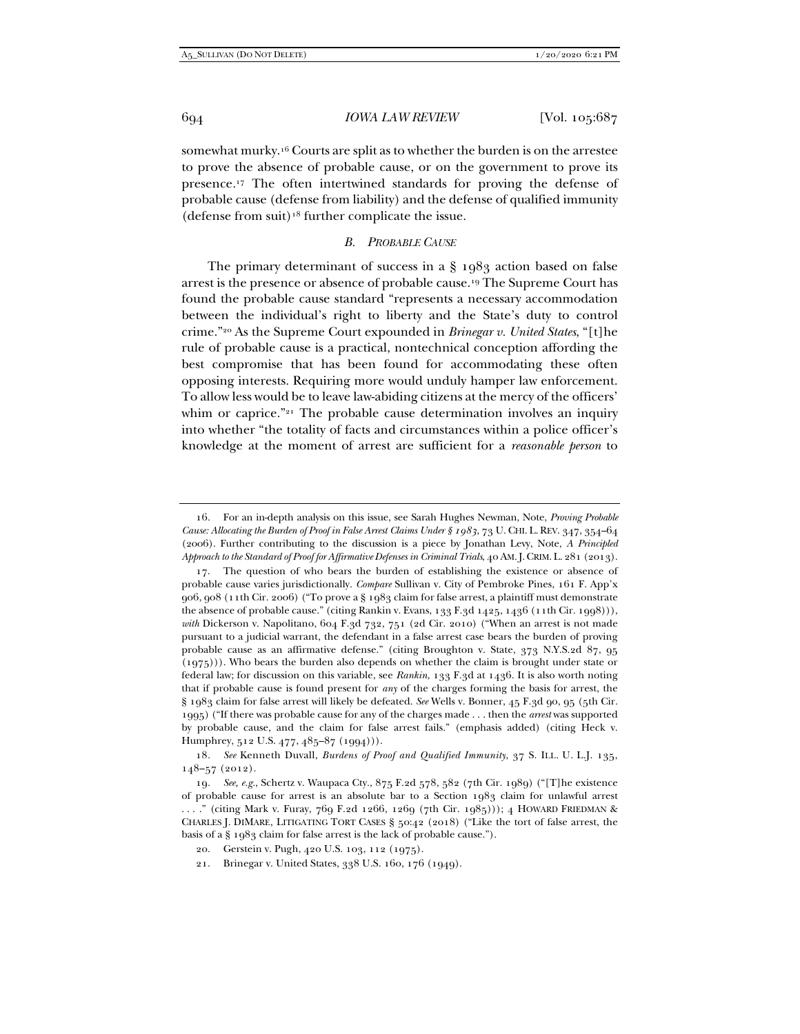somewhat murky.16 Courts are split as to whether the burden is on the arrestee to prove the absence of probable cause, or on the government to prove its presence.17 The often intertwined standards for proving the defense of probable cause (defense from liability) and the defense of qualified immunity (defense from suit)<sup>18</sup> further complicate the issue.

### *B. PROBABLE CAUSE*

The primary determinant of success in a § 1983 action based on false arrest is the presence or absence of probable cause.19 The Supreme Court has found the probable cause standard "represents a necessary accommodation between the individual's right to liberty and the State's duty to control crime."20 As the Supreme Court expounded in *Brinegar v. United States*, "[t]he rule of probable cause is a practical, nontechnical conception affording the best compromise that has been found for accommodating these often opposing interests. Requiring more would unduly hamper law enforcement. To allow less would be to leave law-abiding citizens at the mercy of the officers' whim or caprice."<sup>21</sup> The probable cause determination involves an inquiry into whether "the totality of facts and circumstances within a police officer's knowledge at the moment of arrest are sufficient for a *reasonable person* to

 <sup>16.</sup> For an in-depth analysis on this issue, see Sarah Hughes Newman, Note, *Proving Probable Cause: Allocating the Burden of Proof in False Arrest Claims Under § 1983*, 73 U. CHI. L. REV. 347, 354–64 (2006). Further contributing to the discussion is a piece by Jonathan Levy, Note, *A Principled Approach to the Standard of Proof for Affirmative Defenses in Criminal Trials*, 40 AM.J.CRIM. L. 281 (2013).

 <sup>17.</sup> The question of who bears the burden of establishing the existence or absence of probable cause varies jurisdictionally. *Compare* Sullivan v. City of Pembroke Pines, 161 F. App'x 906, 908 (11th Cir. 2006) ("To prove a § 1983 claim for false arrest, a plaintiff must demonstrate the absence of probable cause." (citing Rankin v. Evans, 133 F.3d 1425, 1436 (11th Cir. 1998))), with Dickerson v. Napolitano, 604 F.3d 732, 751 (2d Cir. 2010) ("When an arrest is not made pursuant to a judicial warrant, the defendant in a false arrest case bears the burden of proving probable cause as an affirmative defense." (citing Broughton v. State, 373 N.Y.S.2d 87, 95 (1975))). Who bears the burden also depends on whether the claim is brought under state or federal law; for discussion on this variable, see *Rankin*, 133 F.3d at 1436. It is also worth noting that if probable cause is found present for *any* of the charges forming the basis for arrest, the § 1983 claim for false arrest will likely be defeated. *See* Wells v. Bonner, 45 F.3d 90, 95 (5th Cir. 1995) ("If there was probable cause for any of the charges made . . . then the *arrest* was supported by probable cause, and the claim for false arrest fails." (emphasis added) (citing Heck v. Humphrey, 512 U.S. 477, 485-87 (1994))).

<sup>18</sup>*. See* Kenneth Duvall, *Burdens of Proof and Qualified Immunity*, 37 S. ILL. U. L.J. 135, 148–57 (2012).

<sup>19</sup>*. See, e.g.*, Schertz v. Waupaca Cty., 875 F.2d 578, 582 (7th Cir. 1989) ("[T]he existence of probable cause for arrest is an absolute bar to a Section 1983 claim for unlawful arrest . . . ." (citing Mark v. Furay, 769 F.2d 1266, 1269 (7th Cir. 1985))); 4 HOWARD FRIEDMAN & CHARLES J. DIMARE, LITIGATING TORT CASES § 50:42 (2018) ("Like the tort of false arrest, the basis of a § 1983 claim for false arrest is the lack of probable cause.").

 <sup>20.</sup> Gerstein v. Pugh, 420 U.S. 103, 112 (1975).

 <sup>21.</sup> Brinegar v. United States, 338 U.S. 160, 176 (1949).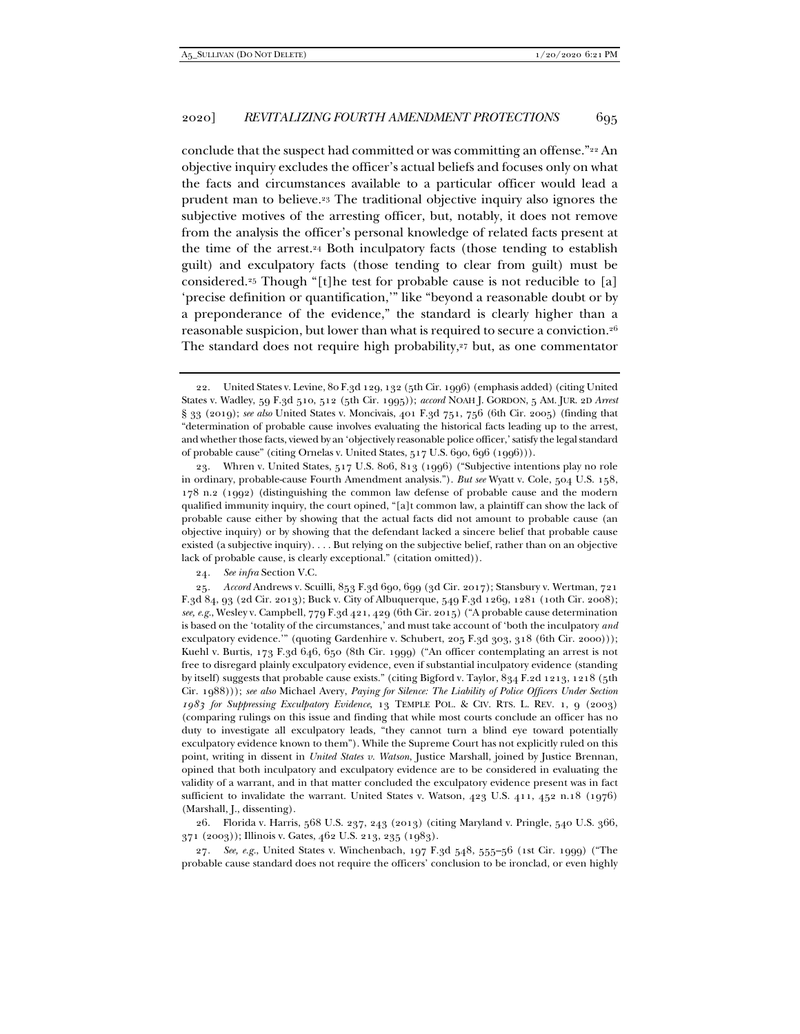conclude that the suspect had committed or was committing an offense."22 An objective inquiry excludes the officer's actual beliefs and focuses only on what the facts and circumstances available to a particular officer would lead a prudent man to believe.23 The traditional objective inquiry also ignores the subjective motives of the arresting officer, but, notably, it does not remove from the analysis the officer's personal knowledge of related facts present at the time of the arrest.<sup>24</sup> Both inculpatory facts (those tending to establish guilt) and exculpatory facts (those tending to clear from guilt) must be considered.25 Though "[t]he test for probable cause is not reducible to [a] 'precise definition or quantification,'" like "beyond a reasonable doubt or by a preponderance of the evidence," the standard is clearly higher than a reasonable suspicion, but lower than what is required to secure a conviction.26 The standard does not require high probability,<sup>27</sup> but, as one commentator

24*. See infra* Section V.C.

25*. Accord* Andrews v. Scuilli, 853 F.3d 690, 699 (3d Cir. 2017); Stansbury v. Wertman, 721 F.3d 84, 93 (2d Cir. 2013); Buck v. City of Albuquerque, 549 F.3d 1269, 1281 (10th Cir. 2008); *see, e.g.*, Wesley v. Campbell, 779 F.3d 421, 429 (6th Cir. 2015) ("A probable cause determination is based on the 'totality of the circumstances,' and must take account of 'both the inculpatory *and* exculpatory evidence.'" (quoting Gardenhire v. Schubert, 205 F.3d 303, 318 (6th Cir. 2000))); Kuehl v. Burtis, 173 F.3d 646, 650 (8th Cir. 1999) ("An officer contemplating an arrest is not free to disregard plainly exculpatory evidence, even if substantial inculpatory evidence (standing by itself) suggests that probable cause exists." (citing Bigford v. Taylor, 834 F.2d 1213, 1218 (5th Cir. 1988))); *see also* Michael Avery, *Paying for Silence: The Liability of Police Officers Under Section 1983 for Suppressing Exculpatory Evidence*, 13 TEMPLE POL. & CIV. RTS. L. REV. 1, 9 (2003) (comparing rulings on this issue and finding that while most courts conclude an officer has no duty to investigate all exculpatory leads, "they cannot turn a blind eye toward potentially exculpatory evidence known to them"). While the Supreme Court has not explicitly ruled on this point, writing in dissent in *United States v. Watson*, Justice Marshall, joined by Justice Brennan, opined that both inculpatory and exculpatory evidence are to be considered in evaluating the validity of a warrant, and in that matter concluded the exculpatory evidence present was in fact sufficient to invalidate the warrant. United States v. Watson, 423 U.S. 411, 452 n.18 (1976) (Marshall, J., dissenting).

 26. Florida v. Harris, 568 U.S. 237, 243 (2013) (citing Maryland v. Pringle, 540 U.S. 366, 371 (2003)); Illinois v. Gates, 462 U.S. 213, 235 (1983).

27*. See, e.g.*, United States v. Winchenbach, 197 F.3d 548, 555–56 (1st Cir. 1999) ("The probable cause standard does not require the officers' conclusion to be ironclad, or even highly

 <sup>22.</sup> United States v. Levine, 80 F.3d 129, 132 (5th Cir. 1996) (emphasis added) (citing United States v. Wadley, 59 F.3d 510, 512 (5th Cir. 1995)); *accord* NOAH J. GORDON, 5 AM. JUR. 2D *Arrest* § 33 (2019); *see also* United States v. Moncivais, 401 F.3d 751, 756 (6th Cir. 2005) (finding that "determination of probable cause involves evaluating the historical facts leading up to the arrest, and whether those facts, viewed by an 'objectively reasonable police officer,' satisfy the legal standard of probable cause" (citing Ornelas v. United States, 517 U.S. 690, 696 (1996))).

 <sup>23.</sup> Whren v. United States, 517 U.S. 806, 813 (1996) ("Subjective intentions play no role in ordinary, probable-cause Fourth Amendment analysis."). *But see* Wyatt v. Cole, 504 U.S. 158, 178 n.2 (1992) (distinguishing the common law defense of probable cause and the modern qualified immunity inquiry, the court opined, "[a]t common law, a plaintiff can show the lack of probable cause either by showing that the actual facts did not amount to probable cause (an objective inquiry) or by showing that the defendant lacked a sincere belief that probable cause existed (a subjective inquiry). . . . But relying on the subjective belief, rather than on an objective lack of probable cause, is clearly exceptional." (citation omitted)).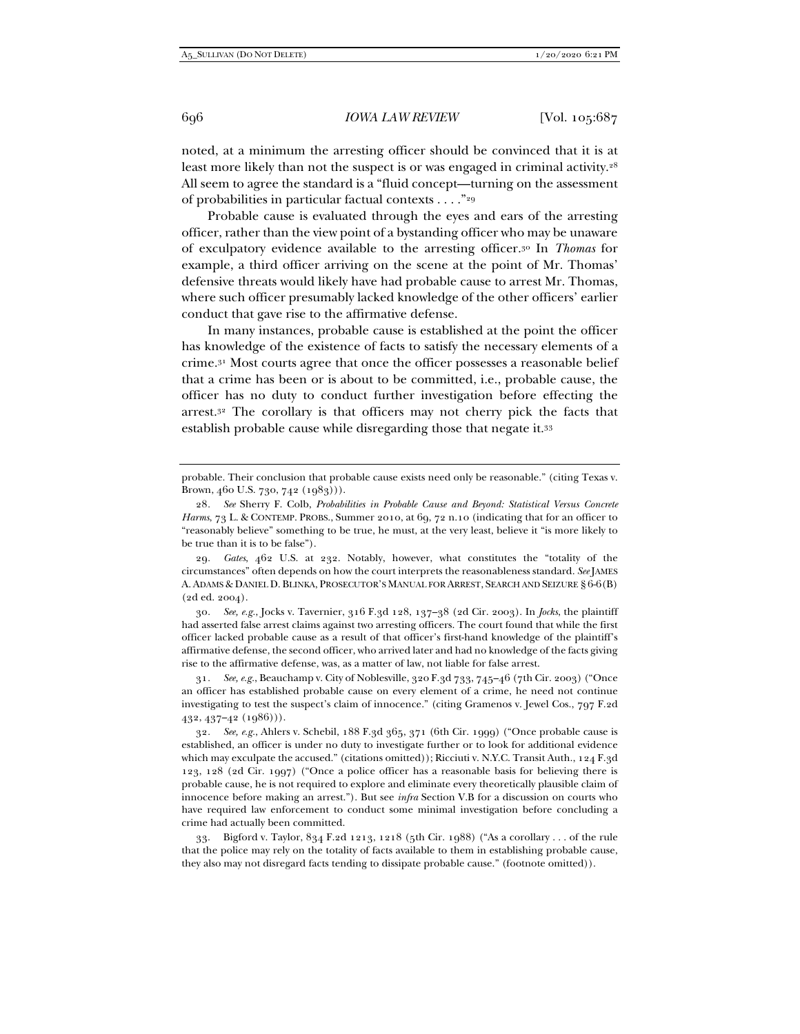noted, at a minimum the arresting officer should be convinced that it is at least more likely than not the suspect is or was engaged in criminal activity.<sup>28</sup> All seem to agree the standard is a "fluid concept—turning on the assessment of probabilities in particular factual contexts . . . ."29

Probable cause is evaluated through the eyes and ears of the arresting officer, rather than the view point of a bystanding officer who may be unaware of exculpatory evidence available to the arresting officer.30 In *Thomas* for example, a third officer arriving on the scene at the point of Mr. Thomas' defensive threats would likely have had probable cause to arrest Mr. Thomas, where such officer presumably lacked knowledge of the other officers' earlier conduct that gave rise to the affirmative defense.

In many instances, probable cause is established at the point the officer has knowledge of the existence of facts to satisfy the necessary elements of a crime.31 Most courts agree that once the officer possesses a reasonable belief that a crime has been or is about to be committed, i.e., probable cause, the officer has no duty to conduct further investigation before effecting the arrest.32 The corollary is that officers may not cherry pick the facts that establish probable cause while disregarding those that negate it.33

30*. See, e.g.*, Jocks v. Tavernier, 316 F.3d 128, 137–38 (2d Cir. 2003). In *Jocks*, the plaintiff had asserted false arrest claims against two arresting officers. The court found that while the first officer lacked probable cause as a result of that officer's first-hand knowledge of the plaintiff's affirmative defense, the second officer, who arrived later and had no knowledge of the facts giving rise to the affirmative defense, was, as a matter of law, not liable for false arrest.

31*. See, e.g.*, Beauchamp v. City of Noblesville, 320 F.3d 733, 745–46 (7th Cir. 2003) ("Once an officer has established probable cause on every element of a crime, he need not continue investigating to test the suspect's claim of innocence." (citing Gramenos v. Jewel Cos., 797 F.2d 432, 437–42 (1986))).

32*. See, e.g.*, Ahlers v. Schebil, 188 F.3d 365, 371 (6th Cir. 1999) ("Once probable cause is established, an officer is under no duty to investigate further or to look for additional evidence which may exculpate the accused." (citations omitted)); Ricciuti v. N.Y.C. Transit Auth., 124 F.3d 123, 128 (2d Cir. 1997) ("Once a police officer has a reasonable basis for believing there is probable cause, he is not required to explore and eliminate every theoretically plausible claim of innocence before making an arrest."). But see *infra* Section V.B for a discussion on courts who have required law enforcement to conduct some minimal investigation before concluding a crime had actually been committed.

 33. Bigford v. Taylor, 834 F.2d 1213, 1218 (5th Cir. 1988) ("As a corollary . . . of the rule that the police may rely on the totality of facts available to them in establishing probable cause, they also may not disregard facts tending to dissipate probable cause." (footnote omitted)).

probable. Their conclusion that probable cause exists need only be reasonable." (citing Texas v. Brown, 460 U.S. 730, 742 (1983))).

<sup>28</sup>*. See* Sherry F. Colb, *Probabilities in Probable Cause and Beyond: Statistical Versus Concrete Harms*, 73 L. & CONTEMP. PROBS., Summer 2010, at 69, 72 n.10 (indicating that for an officer to "reasonably believe" something to be true, he must, at the very least, believe it "is more likely to be true than it is to be false").

<sup>29</sup>*. Gates*, 462 U.S. at 232. Notably, however, what constitutes the "totality of the circumstances" often depends on how the court interprets the reasonableness standard. *See* JAMES A. ADAMS & DANIEL D. BLINKA, PROSECUTOR'S MANUAL FOR ARREST, SEARCH AND SEIZURE § 6-6(B) (2d ed. 2004).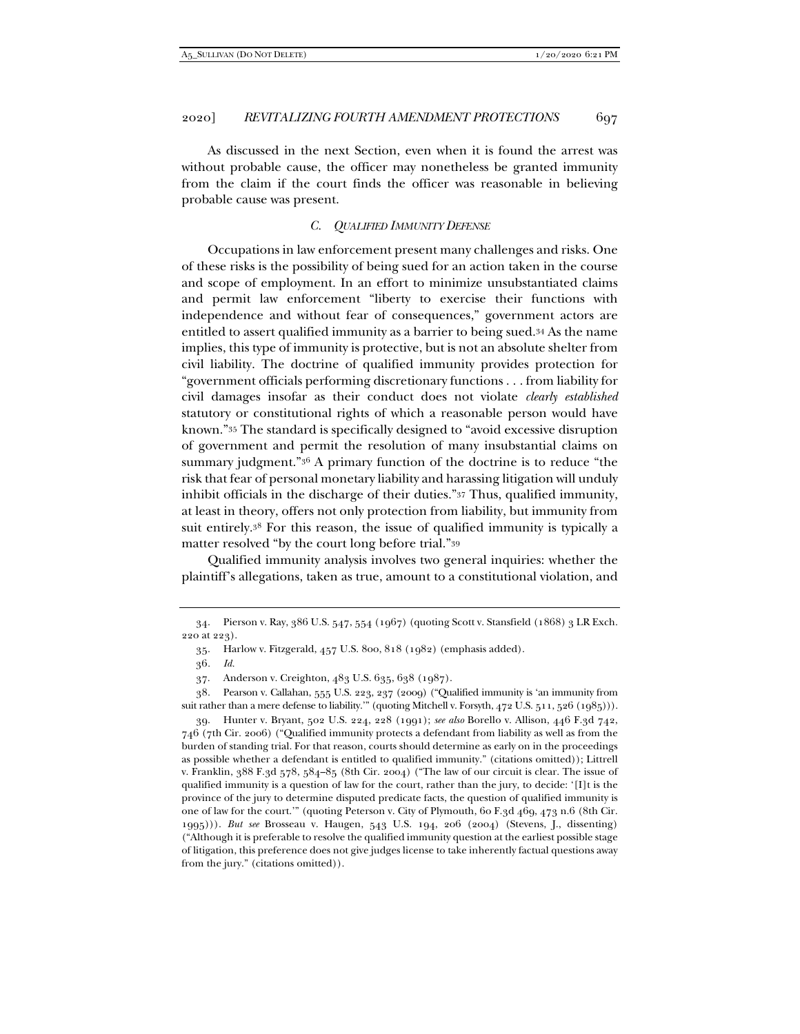As discussed in the next Section, even when it is found the arrest was without probable cause, the officer may nonetheless be granted immunity from the claim if the court finds the officer was reasonable in believing probable cause was present.

## *C. QUALIFIED IMMUNITY DEFENSE*

Occupations in law enforcement present many challenges and risks. One of these risks is the possibility of being sued for an action taken in the course and scope of employment. In an effort to minimize unsubstantiated claims and permit law enforcement "liberty to exercise their functions with independence and without fear of consequences," government actors are entitled to assert qualified immunity as a barrier to being sued.34 As the name implies, this type of immunity is protective, but is not an absolute shelter from civil liability. The doctrine of qualified immunity provides protection for "government officials performing discretionary functions . . . from liability for civil damages insofar as their conduct does not violate *clearly established* statutory or constitutional rights of which a reasonable person would have known."35 The standard is specifically designed to "avoid excessive disruption of government and permit the resolution of many insubstantial claims on summary judgment."36 A primary function of the doctrine is to reduce "the risk that fear of personal monetary liability and harassing litigation will unduly inhibit officials in the discharge of their duties."37 Thus, qualified immunity, at least in theory, offers not only protection from liability, but immunity from suit entirely.38 For this reason, the issue of qualified immunity is typically a matter resolved "by the court long before trial."39

Qualified immunity analysis involves two general inquiries: whether the plaintiff's allegations, taken as true, amount to a constitutional violation, and

 <sup>34.</sup> Pierson v. Ray, 386 U.S. 547, 554 (1967) (quoting Scott v. Stansfield (1868) 3 LR Exch. 220 at 223).

 <sup>35.</sup> Harlow v. Fitzgerald, 457 U.S. 800, 818 (1982) (emphasis added).

<sup>36</sup>*. Id.*

 <sup>37.</sup> Anderson v. Creighton, 483 U.S. 635, 638 (1987).

 <sup>38.</sup> Pearson v. Callahan, 555 U.S. 223, 237 (2009) ("Qualified immunity is 'an immunity from suit rather than a mere defense to liability." (quoting Mitchell v. Forsyth, 472 U.S. 511, 526 (1985))).

 <sup>39.</sup> Hunter v. Bryant, 502 U.S. 224, 228 (1991); *see also* Borello v. Allison, 446 F.3d 742, 746 (7th Cir. 2006) ("Qualified immunity protects a defendant from liability as well as from the burden of standing trial. For that reason, courts should determine as early on in the proceedings as possible whether a defendant is entitled to qualified immunity." (citations omitted)); Littrell v. Franklin, 388 F.3d 578, 584–85 (8th Cir. 2004) ("The law of our circuit is clear. The issue of qualified immunity is a question of law for the court, rather than the jury, to decide: '[I]t is the province of the jury to determine disputed predicate facts, the question of qualified immunity is one of law for the court.'" (quoting Peterson v. City of Plymouth, 60 F.3d 469, 473 n.6 (8th Cir. 1995))). *But see* Brosseau v. Haugen, 543 U.S. 194, 206 (2004) (Stevens, J., dissenting) ("Although it is preferable to resolve the qualified immunity question at the earliest possible stage of litigation, this preference does not give judges license to take inherently factual questions away from the jury." (citations omitted)).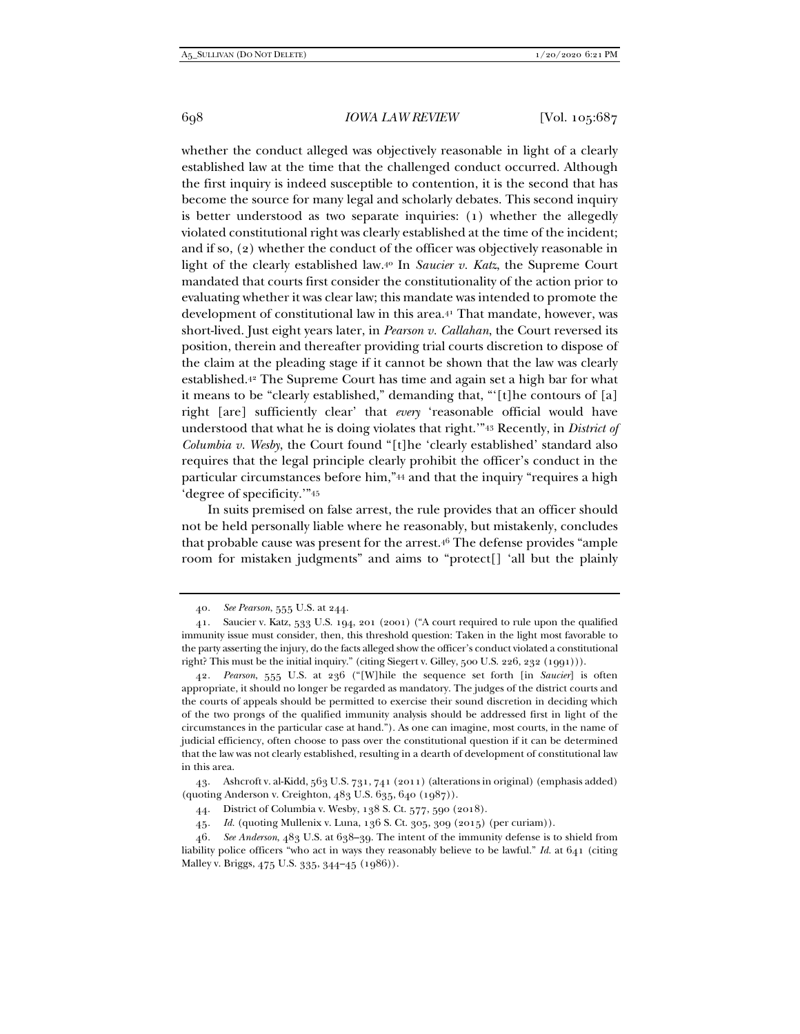whether the conduct alleged was objectively reasonable in light of a clearly established law at the time that the challenged conduct occurred. Although the first inquiry is indeed susceptible to contention, it is the second that has become the source for many legal and scholarly debates. This second inquiry is better understood as two separate inquiries: (1) whether the allegedly violated constitutional right was clearly established at the time of the incident; and if so, (2) whether the conduct of the officer was objectively reasonable in light of the clearly established law.40 In *Saucier v. Katz*, the Supreme Court mandated that courts first consider the constitutionality of the action prior to evaluating whether it was clear law; this mandate was intended to promote the development of constitutional law in this area.<sup>41</sup> That mandate, however, was short-lived. Just eight years later, in *Pearson v. Callahan*, the Court reversed its position, therein and thereafter providing trial courts discretion to dispose of the claim at the pleading stage if it cannot be shown that the law was clearly established.42 The Supreme Court has time and again set a high bar for what it means to be "clearly established," demanding that, "'[t]he contours of [a] right [are] sufficiently clear' that *every* 'reasonable official would have understood that what he is doing violates that right.'"43 Recently, in *District of Columbia v. Wesby*, the Court found "[t]he 'clearly established' standard also requires that the legal principle clearly prohibit the officer's conduct in the particular circumstances before him,"44 and that the inquiry "requires a high 'degree of specificity.'"45

In suits premised on false arrest, the rule provides that an officer should not be held personally liable where he reasonably, but mistakenly, concludes that probable cause was present for the arrest.46 The defense provides "ample room for mistaken judgments" and aims to "protect[] 'all but the plainly

<sup>40</sup>*. See Pearson*, 555 U.S. at 244.

 <sup>41.</sup> Saucier v. Katz, 533 U.S. 194, 201 (2001) ("A court required to rule upon the qualified immunity issue must consider, then, this threshold question: Taken in the light most favorable to the party asserting the injury, do the facts alleged show the officer's conduct violated a constitutional right? This must be the initial inquiry." (citing Siegert v. Gilley, 500 U.S. 226, 232 (1991))).

<sup>42</sup>*. Pearson*, 555 U.S. at 236 ("[W]hile the sequence set forth [in *Saucier*] is often appropriate, it should no longer be regarded as mandatory. The judges of the district courts and the courts of appeals should be permitted to exercise their sound discretion in deciding which of the two prongs of the qualified immunity analysis should be addressed first in light of the circumstances in the particular case at hand."). As one can imagine, most courts, in the name of judicial efficiency, often choose to pass over the constitutional question if it can be determined that the law was not clearly established, resulting in a dearth of development of constitutional law in this area.

 <sup>43.</sup> Ashcroft v. al-Kidd, 563 U.S. 731, 741 (2011) (alterations in original) (emphasis added) (quoting Anderson v. Creighton, 483 U.S. 635, 640 (1987)).

 <sup>44.</sup> District of Columbia v. Wesby, 138 S. Ct. 577, 590 (2018).

<sup>45</sup>*. Id.* (quoting Mullenix v. Luna, 136 S. Ct. 305, 309 (2015) (per curiam)).

<sup>46</sup>*. See Anderson*, 483 U.S. at 638–39. The intent of the immunity defense is to shield from liability police officers "who act in ways they reasonably believe to be lawful." *Id.* at 641 (citing Malley v. Briggs, 475 U.S. 335, 344–45 (1986)).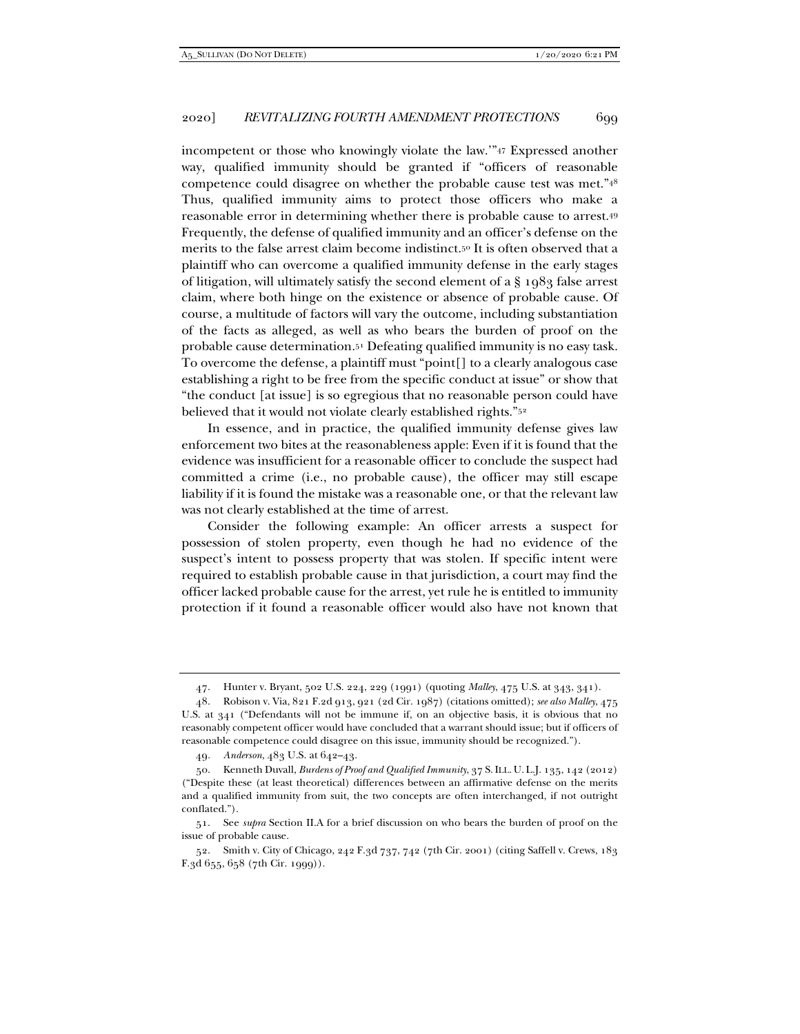incompetent or those who knowingly violate the law.'"47 Expressed another way, qualified immunity should be granted if "officers of reasonable competence could disagree on whether the probable cause test was met."48 Thus, qualified immunity aims to protect those officers who make a reasonable error in determining whether there is probable cause to arrest.49 Frequently, the defense of qualified immunity and an officer's defense on the merits to the false arrest claim become indistinct.50 It is often observed that a plaintiff who can overcome a qualified immunity defense in the early stages of litigation, will ultimately satisfy the second element of a § 1983 false arrest claim, where both hinge on the existence or absence of probable cause. Of course, a multitude of factors will vary the outcome, including substantiation of the facts as alleged, as well as who bears the burden of proof on the probable cause determination.51 Defeating qualified immunity is no easy task. To overcome the defense, a plaintiff must "point[] to a clearly analogous case establishing a right to be free from the specific conduct at issue" or show that "the conduct [at issue] is so egregious that no reasonable person could have believed that it would not violate clearly established rights."52

In essence, and in practice, the qualified immunity defense gives law enforcement two bites at the reasonableness apple: Even if it is found that the evidence was insufficient for a reasonable officer to conclude the suspect had committed a crime (i.e., no probable cause), the officer may still escape liability if it is found the mistake was a reasonable one, or that the relevant law was not clearly established at the time of arrest.

Consider the following example: An officer arrests a suspect for possession of stolen property, even though he had no evidence of the suspect's intent to possess property that was stolen. If specific intent were required to establish probable cause in that jurisdiction, a court may find the officer lacked probable cause for the arrest, yet rule he is entitled to immunity protection if it found a reasonable officer would also have not known that

 <sup>47.</sup> Hunter v. Bryant, 502 U.S. 224, 229 (1991) (quoting *Malley*, 475 U.S. at 343, 341).

 <sup>48.</sup> Robison v. Via, 821 F.2d 913, 921 (2d Cir. 1987) (citations omitted); *see also Malley*, 475 U.S. at 341 ("Defendants will not be immune if, on an objective basis, it is obvious that no reasonably competent officer would have concluded that a warrant should issue; but if officers of reasonable competence could disagree on this issue, immunity should be recognized.").

<sup>49</sup>*. Anderson*, 483 U.S. at 642–43.

 <sup>50.</sup> Kenneth Duvall, *Burdens of Proof and Qualified Immunity*, 37 S.ILL. U. L.J. 135, 142 (2012) ("Despite these (at least theoretical) differences between an affirmative defense on the merits and a qualified immunity from suit, the two concepts are often interchanged, if not outright conflated.").

 <sup>51.</sup> See *supra* Section II.A for a brief discussion on who bears the burden of proof on the issue of probable cause.

 <sup>52.</sup> Smith v. City of Chicago, 242 F.3d 737, 742 (7th Cir. 2001) (citing Saffell v. Crews, 183 F.3d 655, 658 (7th Cir. 1999)).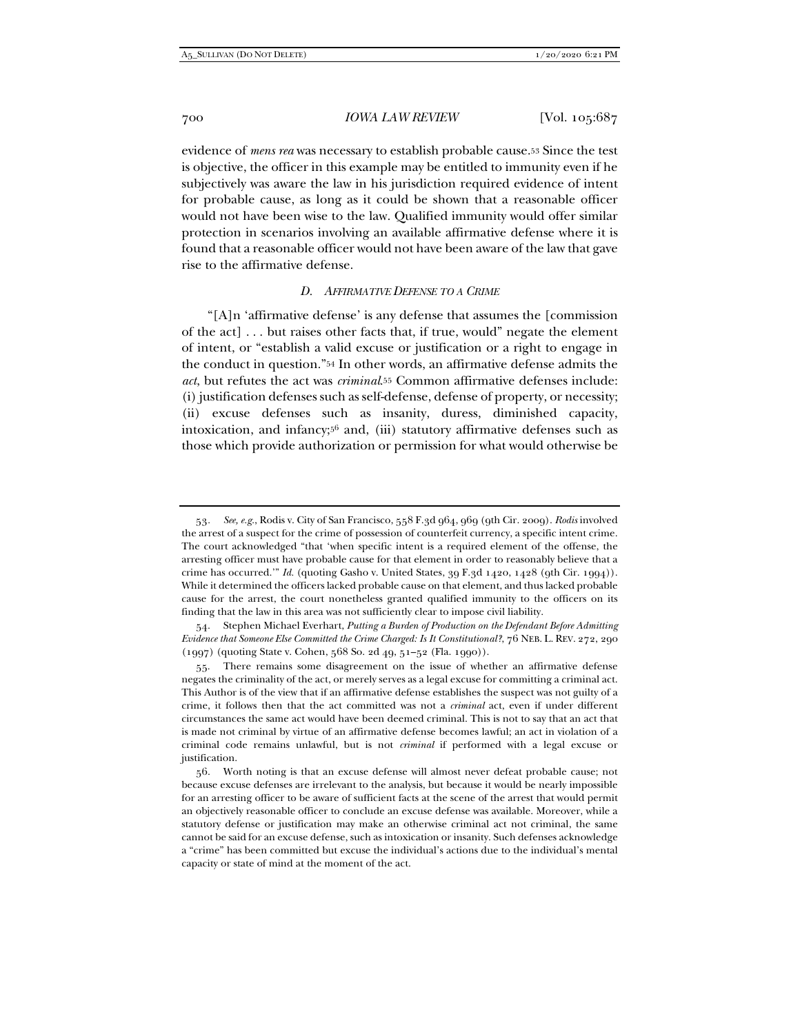evidence of *mens rea* was necessary to establish probable cause.53 Since the test is objective, the officer in this example may be entitled to immunity even if he subjectively was aware the law in his jurisdiction required evidence of intent for probable cause, as long as it could be shown that a reasonable officer would not have been wise to the law. Qualified immunity would offer similar protection in scenarios involving an available affirmative defense where it is found that a reasonable officer would not have been aware of the law that gave rise to the affirmative defense.

#### *D. AFFIRMATIVE DEFENSE TO A CRIME*

"[A]n 'affirmative defense' is any defense that assumes the [commission of the act] . . . but raises other facts that, if true, would" negate the element of intent, or "establish a valid excuse or justification or a right to engage in the conduct in question."54 In other words, an affirmative defense admits the *act*, but refutes the act was *criminal*. 55 Common affirmative defenses include: (i) justification defenses such as self-defense, defense of property, or necessity; (ii) excuse defenses such as insanity, duress, diminished capacity, intoxication, and infancy;56 and, (iii) statutory affirmative defenses such as those which provide authorization or permission for what would otherwise be

 54. Stephen Michael Everhart, *Putting a Burden of Production on the Defendant Before Admitting Evidence that Someone Else Committed the Crime Charged: Is It Constitutional?*, 76 NEB. L. REV. 272, 290 (1997) (quoting State v. Cohen, 568 So. 2d 49, 51–52 (Fla. 1990)).

<sup>53</sup>*. See, e.g.*, Rodis v. City of San Francisco, 558 F.3d 964, 969 (9th Cir. 2009). *Rodis* involved the arrest of a suspect for the crime of possession of counterfeit currency, a specific intent crime. The court acknowledged "that 'when specific intent is a required element of the offense, the arresting officer must have probable cause for that element in order to reasonably believe that a crime has occurred.'" *Id.* (quoting Gasho v. United States, 39 F.3d 1420, 1428 (9th Cir. 1994)). While it determined the officers lacked probable cause on that element, and thus lacked probable cause for the arrest, the court nonetheless granted qualified immunity to the officers on its finding that the law in this area was not sufficiently clear to impose civil liability.

 <sup>55.</sup> There remains some disagreement on the issue of whether an affirmative defense negates the criminality of the act, or merely serves as a legal excuse for committing a criminal act. This Author is of the view that if an affirmative defense establishes the suspect was not guilty of a crime, it follows then that the act committed was not a *criminal* act, even if under different circumstances the same act would have been deemed criminal. This is not to say that an act that is made not criminal by virtue of an affirmative defense becomes lawful; an act in violation of a criminal code remains unlawful, but is not *criminal* if performed with a legal excuse or justification.

 <sup>56.</sup> Worth noting is that an excuse defense will almost never defeat probable cause; not because excuse defenses are irrelevant to the analysis, but because it would be nearly impossible for an arresting officer to be aware of sufficient facts at the scene of the arrest that would permit an objectively reasonable officer to conclude an excuse defense was available. Moreover, while a statutory defense or justification may make an otherwise criminal act not criminal, the same cannot be said for an excuse defense, such as intoxication or insanity. Such defenses acknowledge a "crime" has been committed but excuse the individual's actions due to the individual's mental capacity or state of mind at the moment of the act.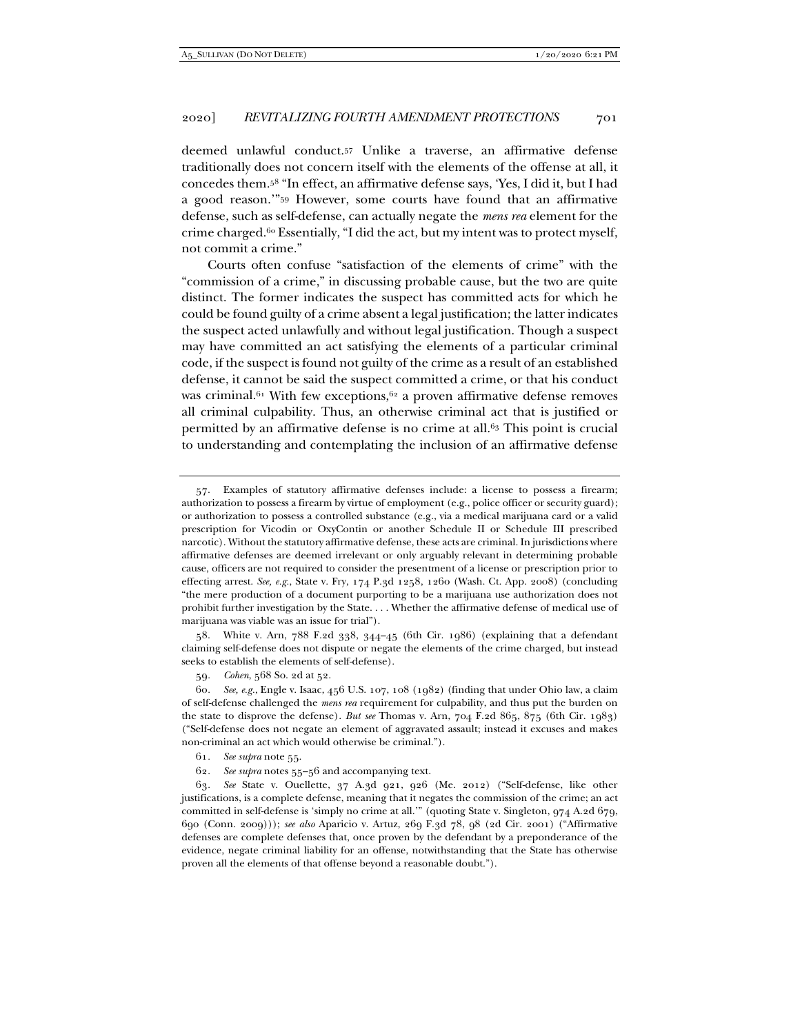deemed unlawful conduct.57 Unlike a traverse, an affirmative defense traditionally does not concern itself with the elements of the offense at all, it concedes them.58 "In effect, an affirmative defense says, 'Yes, I did it, but I had a good reason.'"59 However, some courts have found that an affirmative defense, such as self-defense, can actually negate the *mens rea* element for the crime charged.60 Essentially, "I did the act, but my intent was to protect myself, not commit a crime."

Courts often confuse "satisfaction of the elements of crime" with the "commission of a crime," in discussing probable cause, but the two are quite distinct. The former indicates the suspect has committed acts for which he could be found guilty of a crime absent a legal justification; the latter indicates the suspect acted unlawfully and without legal justification. Though a suspect may have committed an act satisfying the elements of a particular criminal code, if the suspect is found not guilty of the crime as a result of an established defense, it cannot be said the suspect committed a crime, or that his conduct was criminal.<sup>61</sup> With few exceptions,<sup>62</sup> a proven affirmative defense removes all criminal culpability. Thus, an otherwise criminal act that is justified or permitted by an affirmative defense is no crime at all.63 This point is crucial to understanding and contemplating the inclusion of an affirmative defense

 58. White v. Arn, 788 F.2d 338, 344–45 (6th Cir. 1986) (explaining that a defendant claiming self-defense does not dispute or negate the elements of the crime charged, but instead seeks to establish the elements of self-defense).

 <sup>57.</sup> Examples of statutory affirmative defenses include: a license to possess a firearm; authorization to possess a firearm by virtue of employment (e.g., police officer or security guard); or authorization to possess a controlled substance (e.g., via a medical marijuana card or a valid prescription for Vicodin or OxyContin or another Schedule II or Schedule III prescribed narcotic). Without the statutory affirmative defense, these acts are criminal. In jurisdictions where affirmative defenses are deemed irrelevant or only arguably relevant in determining probable cause, officers are not required to consider the presentment of a license or prescription prior to effecting arrest. *See, e.g.*, State v. Fry, 174 P.3d 1258, 1260 (Wash. Ct. App. 2008) (concluding "the mere production of a document purporting to be a marijuana use authorization does not prohibit further investigation by the State. . . . Whether the affirmative defense of medical use of marijuana was viable was an issue for trial").

<sup>59</sup>*. Cohen*, 568 So. 2d at 52.

<sup>60</sup>*. See, e.g.*, Engle v. Isaac, 456 U.S. 107, 108 (1982) (finding that under Ohio law, a claim of self-defense challenged the *mens rea* requirement for culpability, and thus put the burden on the state to disprove the defense). *But see* Thomas v. Arn, 704 F.2d 865, 875 (6th Cir. 1983) ("Self-defense does not negate an element of aggravated assault; instead it excuses and makes non-criminal an act which would otherwise be criminal.").

<sup>61</sup>*. See supra* note 55.

<sup>62</sup>*. See supra* notes 55–56 and accompanying text.

<sup>63</sup>*. See* State v. Ouellette, 37 A.3d 921, 926 (Me. 2012) ("Self-defense, like other justifications, is a complete defense, meaning that it negates the commission of the crime; an act committed in self-defense is 'simply no crime at all.'" (quoting State v. Singleton, 974 A.2d 679, 690 (Conn. 2009))); *see also* Aparicio v. Artuz, 269 F.3d 78, 98 (2d Cir. 2001) ("Affirmative defenses are complete defenses that, once proven by the defendant by a preponderance of the evidence, negate criminal liability for an offense, notwithstanding that the State has otherwise proven all the elements of that offense beyond a reasonable doubt.").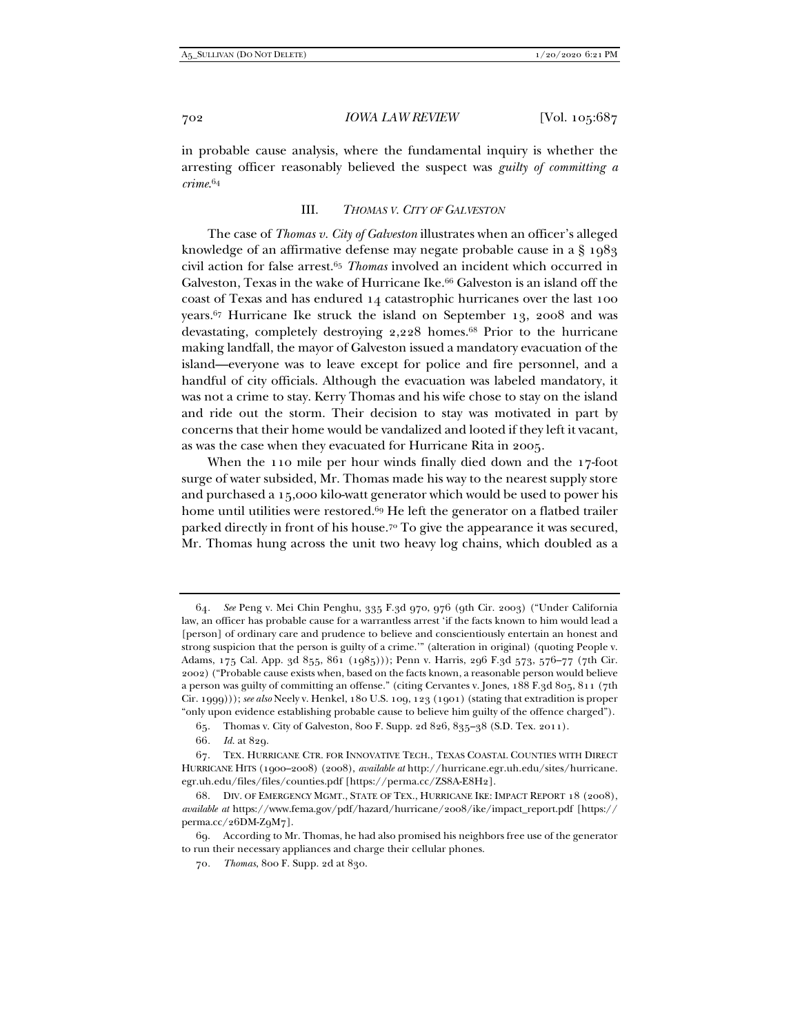in probable cause analysis, where the fundamental inquiry is whether the arresting officer reasonably believed the suspect was *guilty of committing a crime*.64

#### III. *THOMAS V. CITY OF GALVESTON*

The case of *Thomas v. City of Galveston* illustrates when an officer's alleged knowledge of an affirmative defense may negate probable cause in a § 1983 civil action for false arrest.65 *Thomas* involved an incident which occurred in Galveston. Texas in the wake of Hurricane Ike.<sup>66</sup> Galveston is an island off the coast of Texas and has endured 14 catastrophic hurricanes over the last 100 years.67 Hurricane Ike struck the island on September 13, 2008 and was devastating, completely destroying 2,228 homes.68 Prior to the hurricane making landfall, the mayor of Galveston issued a mandatory evacuation of the island—everyone was to leave except for police and fire personnel, and a handful of city officials. Although the evacuation was labeled mandatory, it was not a crime to stay. Kerry Thomas and his wife chose to stay on the island and ride out the storm. Their decision to stay was motivated in part by concerns that their home would be vandalized and looted if they left it vacant, as was the case when they evacuated for Hurricane Rita in 2005.

When the 110 mile per hour winds finally died down and the 17-foot surge of water subsided, Mr. Thomas made his way to the nearest supply store and purchased a 15,000 kilo-watt generator which would be used to power his home until utilities were restored.<sup>69</sup> He left the generator on a flatbed trailer parked directly in front of his house.70 To give the appearance it was secured, Mr. Thomas hung across the unit two heavy log chains, which doubled as a

<sup>64</sup>*. See* Peng v. Mei Chin Penghu, 335 F.3d 970, 976 (9th Cir. 2003) ("Under California law, an officer has probable cause for a warrantless arrest 'if the facts known to him would lead a [person] of ordinary care and prudence to believe and conscientiously entertain an honest and strong suspicion that the person is guilty of a crime.'" (alteration in original) (quoting People v. Adams, 175 Cal. App. 3d 855, 861 (1985))); Penn v. Harris, 296 F.3d 573, 576–77 (7th Cir. 2002) ("Probable cause exists when, based on the facts known, a reasonable person would believe a person was guilty of committing an offense." (citing Cervantes v. Jones, 188 F.3d 805, 811 (7th Cir. 1999))); *see also* Neely v. Henkel, 180 U.S. 109, 123 (1901) (stating that extradition is proper "only upon evidence establishing probable cause to believe him guilty of the offence charged").

 <sup>65.</sup> Thomas v. City of Galveston, 800 F. Supp. 2d 826, 835–38 (S.D. Tex. 2011).

<sup>66</sup>*. Id.* at 829.

 <sup>67.</sup> TEX. HURRICANE CTR. FOR INNOVATIVE TECH., TEXAS COASTAL COUNTIES WITH DIRECT HURRICANE HITS (1900–2008) (2008), *available at* http://hurricane.egr.uh.edu/sites/hurricane. egr.uh.edu/files/files/counties.pdf [https://perma.cc/ZS8A-E8H2].

 <sup>68.</sup> DIV. OF EMERGENCY MGMT., STATE OF TEX., HURRICANE IKE: IMPACT REPORT 18 (2008), *available at* https://www.fema.gov/pdf/hazard/hurricane/2008/ike/impact\_report.pdf [https:// perma.cc/26DM-Z9M7].

 <sup>69.</sup> According to Mr. Thomas, he had also promised his neighbors free use of the generator to run their necessary appliances and charge their cellular phones.

<sup>70</sup>*. Thomas*, 800 F. Supp. 2d at 830.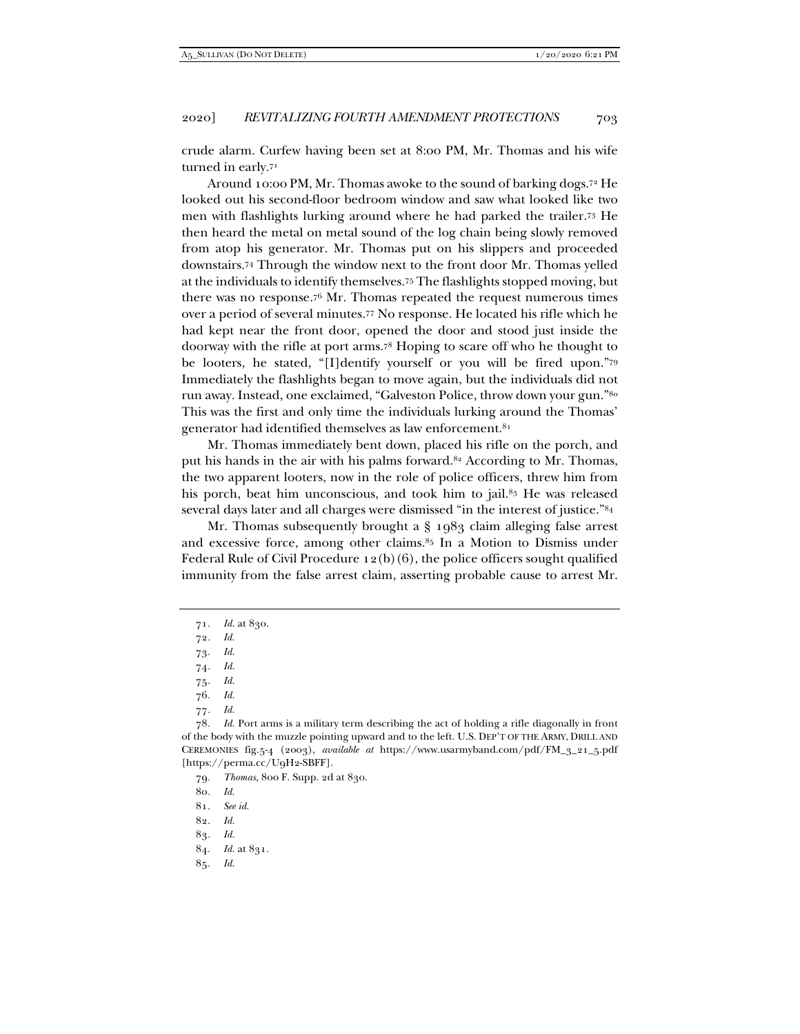crude alarm. Curfew having been set at 8:00 PM, Mr. Thomas and his wife turned in early.<sup>71</sup>

Around 10:00 PM, Mr. Thomas awoke to the sound of barking dogs.72 He looked out his second-floor bedroom window and saw what looked like two men with flashlights lurking around where he had parked the trailer.73 He then heard the metal on metal sound of the log chain being slowly removed from atop his generator. Mr. Thomas put on his slippers and proceeded downstairs.74 Through the window next to the front door Mr. Thomas yelled at the individuals to identify themselves.75 The flashlights stopped moving, but there was no response.76 Mr. Thomas repeated the request numerous times over a period of several minutes.77 No response. He located his rifle which he had kept near the front door, opened the door and stood just inside the doorway with the rifle at port arms.78 Hoping to scare off who he thought to be looters, he stated, "[I]dentify yourself or you will be fired upon."79 Immediately the flashlights began to move again, but the individuals did not run away. Instead, one exclaimed, "Galveston Police, throw down your gun."80 This was the first and only time the individuals lurking around the Thomas' generator had identified themselves as law enforcement.81

Mr. Thomas immediately bent down, placed his rifle on the porch, and put his hands in the air with his palms forward.<sup>82</sup> According to Mr. Thomas, the two apparent looters, now in the role of police officers, threw him from his porch, beat him unconscious, and took him to jail.<sup>83</sup> He was released several days later and all charges were dismissed "in the interest of justice."84

Mr. Thomas subsequently brought a § 1983 claim alleging false arrest and excessive force, among other claims.85 In a Motion to Dismiss under Federal Rule of Civil Procedure 12(b)(6), the police officers sought qualified immunity from the false arrest claim, asserting probable cause to arrest Mr.

- 73*. Id.*
- 74*. Id.*
- 75*. Id.*
- 76*. Id.*
- 77*. Id.*

79*. Thomas*, 800 F. Supp. 2d at 830.

80*. Id.*

- 81*. See id.*
- 82*. Id.*
- 83*. Id.*
- 84*. Id.* at 831.
- 85*. Id.*

<sup>71</sup>*. Id.* at 830.

<sup>72</sup>*. Id.*

<sup>78</sup>*. Id.* Port arms is a military term describing the act of holding a rifle diagonally in front of the body with the muzzle pointing upward and to the left. U.S. DEP'T OF THE ARMY, DRILL AND CEREMONIES fig.5-4 (2003), *available at* https://www.usarmyband.com/pdf/FM\_3\_21\_5.pdf [https://perma.cc/U9H2-SBFF].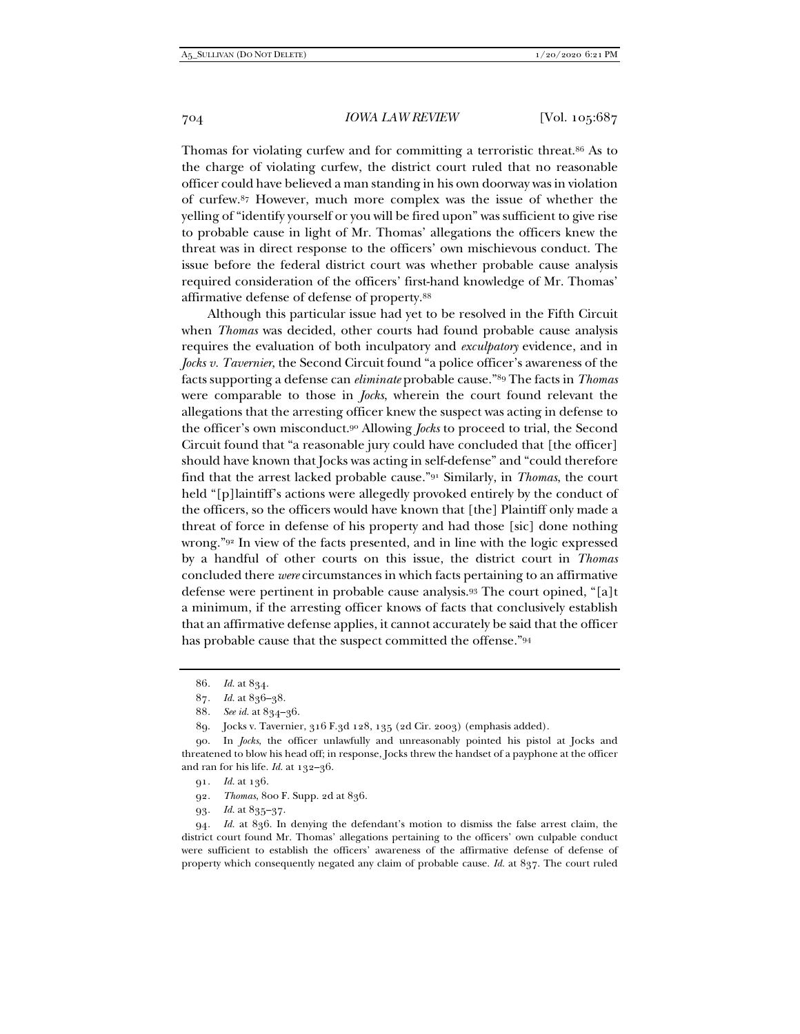Thomas for violating curfew and for committing a terroristic threat.86 As to the charge of violating curfew, the district court ruled that no reasonable officer could have believed a man standing in his own doorway was in violation of curfew.87 However, much more complex was the issue of whether the yelling of "identify yourself or you will be fired upon" was sufficient to give rise to probable cause in light of Mr. Thomas' allegations the officers knew the threat was in direct response to the officers' own mischievous conduct. The issue before the federal district court was whether probable cause analysis required consideration of the officers' first-hand knowledge of Mr. Thomas' affirmative defense of defense of property.88

Although this particular issue had yet to be resolved in the Fifth Circuit when *Thomas* was decided, other courts had found probable cause analysis requires the evaluation of both inculpatory and *exculpatory* evidence, and in *Jocks v. Tavernier*, the Second Circuit found "a police officer's awareness of the facts supporting a defense can *eliminate* probable cause."89 The facts in *Thomas* were comparable to those in *Jocks*, wherein the court found relevant the allegations that the arresting officer knew the suspect was acting in defense to the officer's own misconduct.90 Allowing *Jocks* to proceed to trial, the Second Circuit found that "a reasonable jury could have concluded that [the officer] should have known that Jocks was acting in self-defense" and "could therefore find that the arrest lacked probable cause."91 Similarly, in *Thomas*, the court held "[p]laintiff's actions were allegedly provoked entirely by the conduct of the officers, so the officers would have known that [the] Plaintiff only made a threat of force in defense of his property and had those [sic] done nothing wrong."92 In view of the facts presented, and in line with the logic expressed by a handful of other courts on this issue, the district court in *Thomas* concluded there *were* circumstances in which facts pertaining to an affirmative defense were pertinent in probable cause analysis.93 The court opined, "[a]t a minimum, if the arresting officer knows of facts that conclusively establish that an affirmative defense applies, it cannot accurately be said that the officer has probable cause that the suspect committed the offense."94

- 92*. Thomas*, 800 F. Supp. 2d at 836.
- 93*. Id.* at 835–37.

94*. Id.* at 836. In denying the defendant's motion to dismiss the false arrest claim, the district court found Mr. Thomas' allegations pertaining to the officers' own culpable conduct were sufficient to establish the officers' awareness of the affirmative defense of defense of property which consequently negated any claim of probable cause. *Id.* at 837. The court ruled

<sup>86</sup>*. Id.* at 834.

<sup>87</sup>*. Id.* at 836–38.

<sup>88</sup>*. See id.* at 834–36.

 <sup>89.</sup> Jocks v. Tavernier, 316 F.3d 128, 135 (2d Cir. 2003) (emphasis added).

 <sup>90.</sup> In *Jocks*, the officer unlawfully and unreasonably pointed his pistol at Jocks and threatened to blow his head off; in response, Jocks threw the handset of a payphone at the officer and ran for his life. *Id.* at 132–36.

<sup>91</sup>*. Id.* at 136.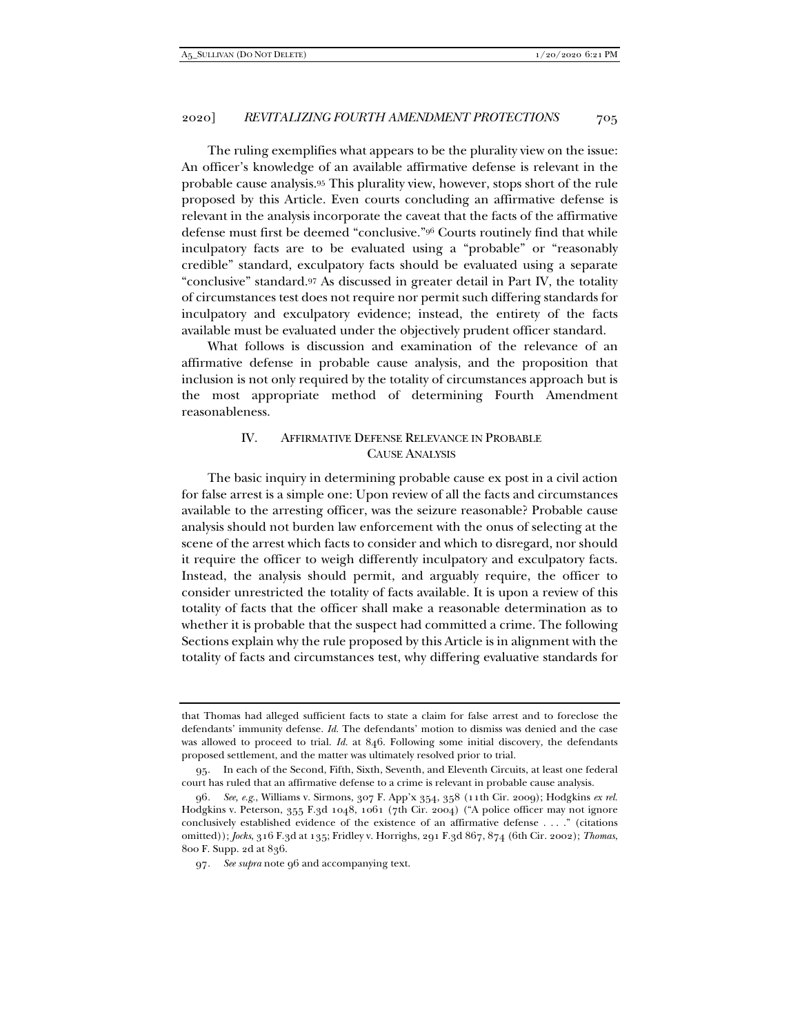The ruling exemplifies what appears to be the plurality view on the issue: An officer's knowledge of an available affirmative defense is relevant in the probable cause analysis.95 This plurality view, however, stops short of the rule proposed by this Article. Even courts concluding an affirmative defense is relevant in the analysis incorporate the caveat that the facts of the affirmative defense must first be deemed "conclusive."96 Courts routinely find that while inculpatory facts are to be evaluated using a "probable" or "reasonably credible" standard, exculpatory facts should be evaluated using a separate "conclusive" standard.97 As discussed in greater detail in Part IV, the totality of circumstances test does not require nor permit such differing standards for inculpatory and exculpatory evidence; instead, the entirety of the facts available must be evaluated under the objectively prudent officer standard.

What follows is discussion and examination of the relevance of an affirmative defense in probable cause analysis, and the proposition that inclusion is not only required by the totality of circumstances approach but is the most appropriate method of determining Fourth Amendment reasonableness.

## IV. AFFIRMATIVE DEFENSE RELEVANCE IN PROBABLE CAUSE ANALYSIS

The basic inquiry in determining probable cause ex post in a civil action for false arrest is a simple one: Upon review of all the facts and circumstances available to the arresting officer, was the seizure reasonable? Probable cause analysis should not burden law enforcement with the onus of selecting at the scene of the arrest which facts to consider and which to disregard, nor should it require the officer to weigh differently inculpatory and exculpatory facts. Instead, the analysis should permit, and arguably require, the officer to consider unrestricted the totality of facts available. It is upon a review of this totality of facts that the officer shall make a reasonable determination as to whether it is probable that the suspect had committed a crime. The following Sections explain why the rule proposed by this Article is in alignment with the totality of facts and circumstances test, why differing evaluative standards for

that Thomas had alleged sufficient facts to state a claim for false arrest and to foreclose the defendants' immunity defense. *Id.* The defendants' motion to dismiss was denied and the case was allowed to proceed to trial. *Id.* at 846. Following some initial discovery, the defendants proposed settlement, and the matter was ultimately resolved prior to trial.

 <sup>95.</sup> In each of the Second, Fifth, Sixth, Seventh, and Eleventh Circuits, at least one federal court has ruled that an affirmative defense to a crime is relevant in probable cause analysis.

<sup>96</sup>*. See, e.g.*, Williams v. Sirmons, 307 F. App'x 354, 358 (11th Cir. 2009); Hodgkins *ex rel.* Hodgkins v. Peterson, 355 F.3d 1048, 1061 (7th Cir. 2004) ("A police officer may not ignore conclusively established evidence of the existence of an affirmative defense . . . ." (citations omitted)); *Jocks*, 316 F.3d at 135; Fridley v. Horrighs, 291 F.3d 867, 874 (6th Cir. 2002); *Thomas*, 800 F. Supp. 2d at 836.

<sup>97</sup>*. See supra* note 96 and accompanying text.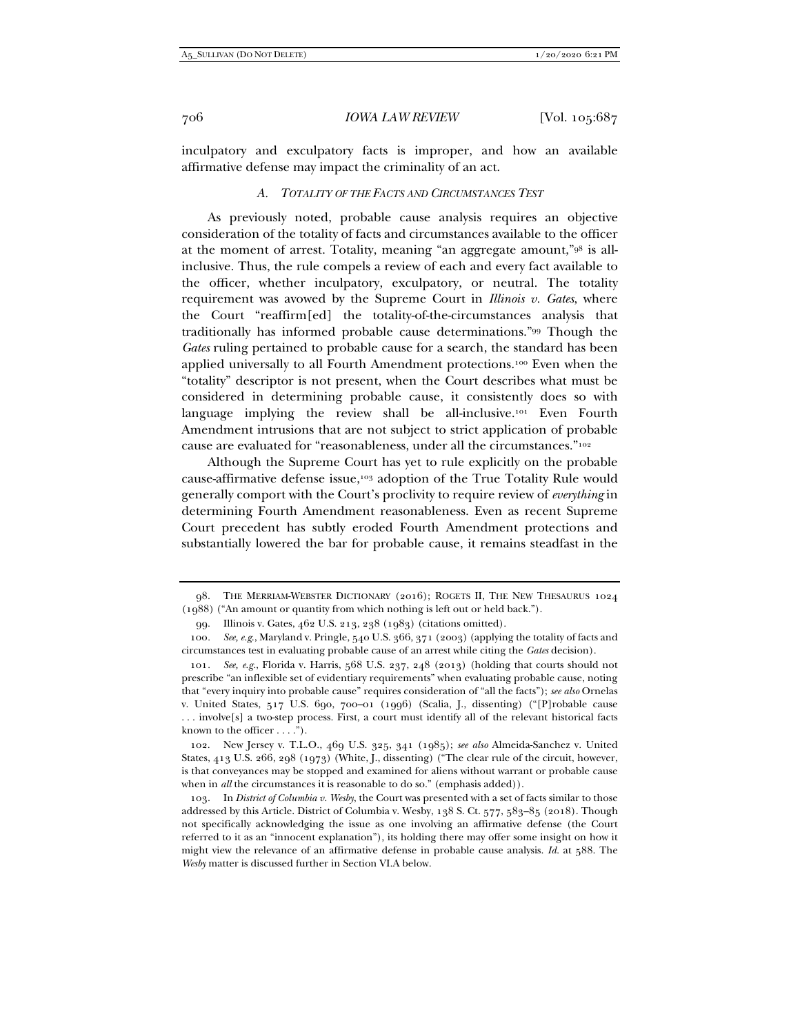inculpatory and exculpatory facts is improper, and how an available affirmative defense may impact the criminality of an act.

## *A. TOTALITY OF THE FACTS AND CIRCUMSTANCES TEST*

As previously noted, probable cause analysis requires an objective consideration of the totality of facts and circumstances available to the officer at the moment of arrest. Totality, meaning "an aggregate amount,"98 is allinclusive. Thus, the rule compels a review of each and every fact available to the officer, whether inculpatory, exculpatory, or neutral. The totality requirement was avowed by the Supreme Court in *Illinois v. Gates*, where the Court "reaffirm[ed] the totality-of-the-circumstances analysis that traditionally has informed probable cause determinations."99 Though the *Gates* ruling pertained to probable cause for a search, the standard has been applied universally to all Fourth Amendment protections.100 Even when the "totality" descriptor is not present, when the Court describes what must be considered in determining probable cause, it consistently does so with language implying the review shall be all-inclusive.<sup>101</sup> Even Fourth Amendment intrusions that are not subject to strict application of probable cause are evaluated for "reasonableness, under all the circumstances."102

Although the Supreme Court has yet to rule explicitly on the probable cause-affirmative defense issue,103 adoption of the True Totality Rule would generally comport with the Court's proclivity to require review of *everything* in determining Fourth Amendment reasonableness. Even as recent Supreme Court precedent has subtly eroded Fourth Amendment protections and substantially lowered the bar for probable cause, it remains steadfast in the

 102. New Jersey v. T.L.O., 469 U.S. 325, 341 (1985); *see also* Almeida-Sanchez v. United States, 413 U.S. 266, 298 (1973) (White, J., dissenting) ("The clear rule of the circuit, however, is that conveyances may be stopped and examined for aliens without warrant or probable cause when in *all* the circumstances it is reasonable to do so." (emphasis added)).

 103. In *District of Columbia v. Wesby*, the Court was presented with a set of facts similar to those addressed by this Article. District of Columbia v. Wesby, 138 S. Ct. 577, 583–85 (2018). Though not specifically acknowledging the issue as one involving an affirmative defense (the Court referred to it as an "innocent explanation"), its holding there may offer some insight on how it might view the relevance of an affirmative defense in probable cause analysis. *Id.* at 588. The *Wesby* matter is discussed further in Section VI.A below.

 <sup>98.</sup> THE MERRIAM-WEBSTER DICTIONARY (2016); ROGETS II, THE NEW THESAURUS 1024 (1988) ("An amount or quantity from which nothing is left out or held back.").

 <sup>99.</sup> Illinois v. Gates, 462 U.S. 213, 238 (1983) (citations omitted).

<sup>100</sup>*. See, e.g*., Maryland v. Pringle, 540 U.S. 366, 371 (2003) (applying the totality of facts and circumstances test in evaluating probable cause of an arrest while citing the *Gates* decision).

<sup>101</sup>*. See, e.g.*, Florida v. Harris, 568 U.S. 237, 248 (2013) (holding that courts should not prescribe "an inflexible set of evidentiary requirements" when evaluating probable cause, noting that "every inquiry into probable cause" requires consideration of "all the facts"); *see also* Ornelas v. United States, 517 U.S. 690, 700–01 (1996) (Scalia, J., dissenting) ("[P]robable cause . . . involve[s] a two-step process. First, a court must identify all of the relevant historical facts known to the officer . . . .").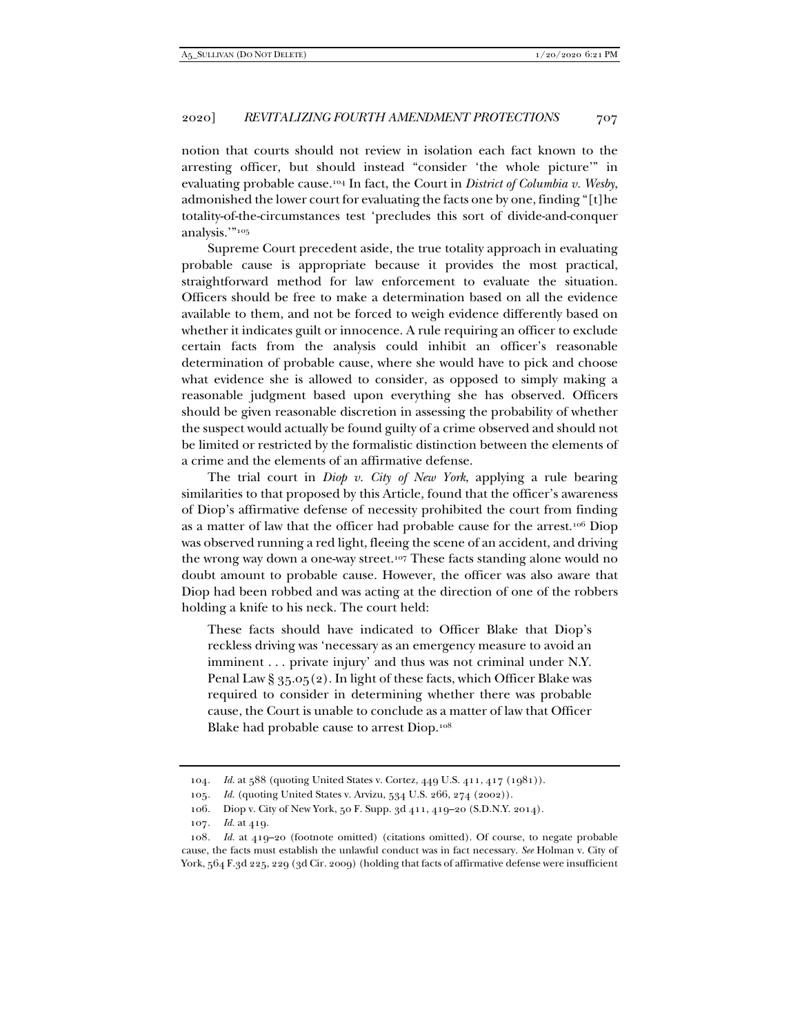notion that courts should not review in isolation each fact known to the arresting officer, but should instead "consider 'the whole picture'" in evaluating probable cause.104 In fact, the Court in *District of Columbia v. Wesby*, admonished the lower court for evaluating the facts one by one, finding "[t]he totality-of-the-circumstances test 'precludes this sort of divide-and-conquer analysis.'"105

Supreme Court precedent aside, the true totality approach in evaluating probable cause is appropriate because it provides the most practical, straightforward method for law enforcement to evaluate the situation. Officers should be free to make a determination based on all the evidence available to them, and not be forced to weigh evidence differently based on whether it indicates guilt or innocence. A rule requiring an officer to exclude certain facts from the analysis could inhibit an officer's reasonable determination of probable cause, where she would have to pick and choose what evidence she is allowed to consider, as opposed to simply making a reasonable judgment based upon everything she has observed. Officers should be given reasonable discretion in assessing the probability of whether the suspect would actually be found guilty of a crime observed and should not be limited or restricted by the formalistic distinction between the elements of a crime and the elements of an affirmative defense.

The trial court in *Diop v. City of New York*, applying a rule bearing similarities to that proposed by this Article, found that the officer's awareness of Diop's affirmative defense of necessity prohibited the court from finding as a matter of law that the officer had probable cause for the arrest.106 Diop was observed running a red light, fleeing the scene of an accident, and driving the wrong way down a one-way street.107 These facts standing alone would no doubt amount to probable cause. However, the officer was also aware that Diop had been robbed and was acting at the direction of one of the robbers holding a knife to his neck. The court held:

These facts should have indicated to Officer Blake that Diop's reckless driving was 'necessary as an emergency measure to avoid an imminent . . . private injury' and thus was not criminal under N.Y. Penal Law § 35.05(2). In light of these facts, which Officer Blake was required to consider in determining whether there was probable cause, the Court is unable to conclude as a matter of law that Officer Blake had probable cause to arrest Diop.108

<sup>104.</sup> Id. at 588 (quoting United States v. Cortez, 449 U.S. 411, 417 (1981)).

<sup>105</sup>*. Id.* (quoting United States v. Arvizu, 534 U.S. 266, 274 (2002)).

 <sup>106.</sup> Diop v. City of New York, 50 F. Supp. 3d 411, 419–20 (S.D.N.Y. 2014).

<sup>107</sup>*. Id.* at 419.

<sup>108</sup>*. Id.* at 419–20 (footnote omitted) (citations omitted). Of course, to negate probable cause, the facts must establish the unlawful conduct was in fact necessary. *See* Holman v. City of York, 564 F.3d 225, 229 (3d Cir. 2009) (holding that facts of affirmative defense were insufficient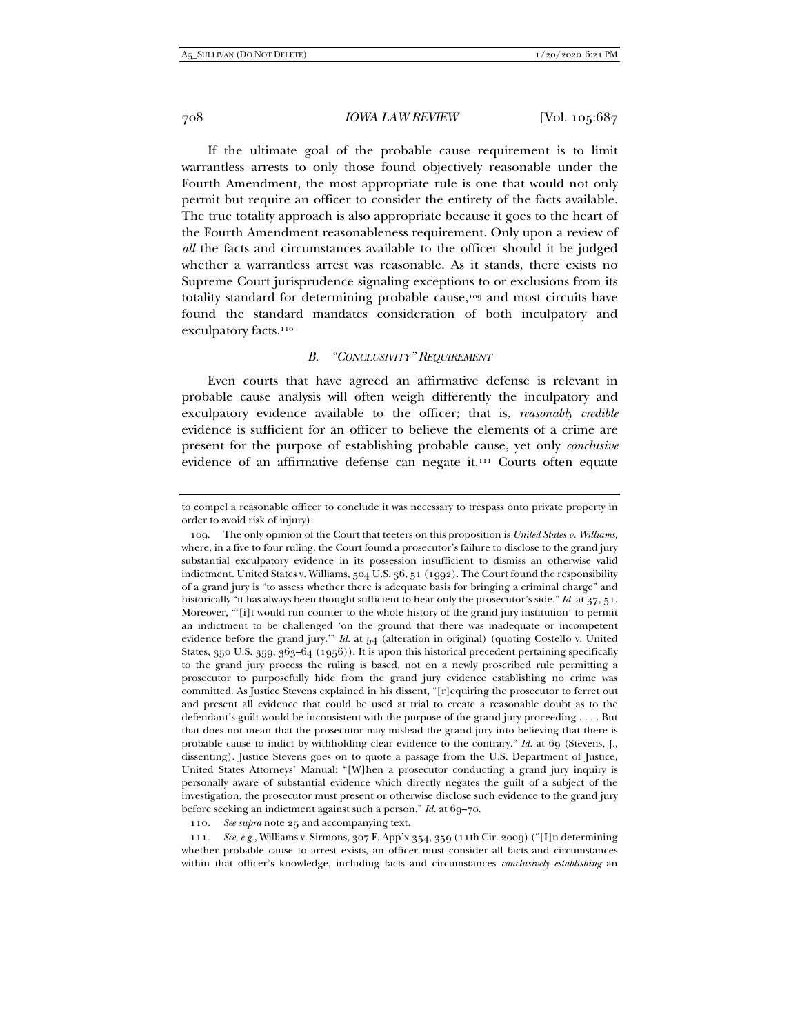If the ultimate goal of the probable cause requirement is to limit warrantless arrests to only those found objectively reasonable under the Fourth Amendment, the most appropriate rule is one that would not only permit but require an officer to consider the entirety of the facts available. The true totality approach is also appropriate because it goes to the heart of the Fourth Amendment reasonableness requirement. Only upon a review of *all* the facts and circumstances available to the officer should it be judged whether a warrantless arrest was reasonable. As it stands, there exists no Supreme Court jurisprudence signaling exceptions to or exclusions from its totality standard for determining probable cause,109 and most circuits have found the standard mandates consideration of both inculpatory and exculpatory facts.<sup>110</sup>

#### *B. "CONCLUSIVITY" REQUIREMENT*

Even courts that have agreed an affirmative defense is relevant in probable cause analysis will often weigh differently the inculpatory and exculpatory evidence available to the officer; that is, *reasonably credible* evidence is sufficient for an officer to believe the elements of a crime are present for the purpose of establishing probable cause, yet only *conclusive* evidence of an affirmative defense can negate it.111 Courts often equate

110*. See supra* note 25 and accompanying text.

111*. See, e.g.*, Williams v. Sirmons, 307 F. App'x 354, 359 (11th Cir. 2009) ("[I]n determining whether probable cause to arrest exists, an officer must consider all facts and circumstances within that officer's knowledge, including facts and circumstances *conclusively establishing* an

to compel a reasonable officer to conclude it was necessary to trespass onto private property in order to avoid risk of injury).

 <sup>109.</sup> The only opinion of the Court that teeters on this proposition is *United States v. Williams*, where, in a five to four ruling, the Court found a prosecutor's failure to disclose to the grand jury substantial exculpatory evidence in its possession insufficient to dismiss an otherwise valid indictment. United States v. Williams, 504 U.S. 36, 51 (1992). The Court found the responsibility of a grand jury is "to assess whether there is adequate basis for bringing a criminal charge" and historically "it has always been thought sufficient to hear only the prosecutor's side." *Id.* at 37, 51. Moreover, "'[i]t would run counter to the whole history of the grand jury institution' to permit an indictment to be challenged 'on the ground that there was inadequate or incompetent evidence before the grand jury.'" *Id.* at 54 (alteration in original) (quoting Costello v. United States, 350 U.S. 359, 363–64 (1956)). It is upon this historical precedent pertaining specifically to the grand jury process the ruling is based, not on a newly proscribed rule permitting a prosecutor to purposefully hide from the grand jury evidence establishing no crime was committed. As Justice Stevens explained in his dissent, "[r]equiring the prosecutor to ferret out and present all evidence that could be used at trial to create a reasonable doubt as to the defendant's guilt would be inconsistent with the purpose of the grand jury proceeding . . . . But that does not mean that the prosecutor may mislead the grand jury into believing that there is probable cause to indict by withholding clear evidence to the contrary." *Id.* at 69 (Stevens, J., dissenting). Justice Stevens goes on to quote a passage from the U.S. Department of Justice, United States Attorneys' Manual: "[W]hen a prosecutor conducting a grand jury inquiry is personally aware of substantial evidence which directly negates the guilt of a subject of the investigation, the prosecutor must present or otherwise disclose such evidence to the grand jury before seeking an indictment against such a person." *Id.* at 69-70.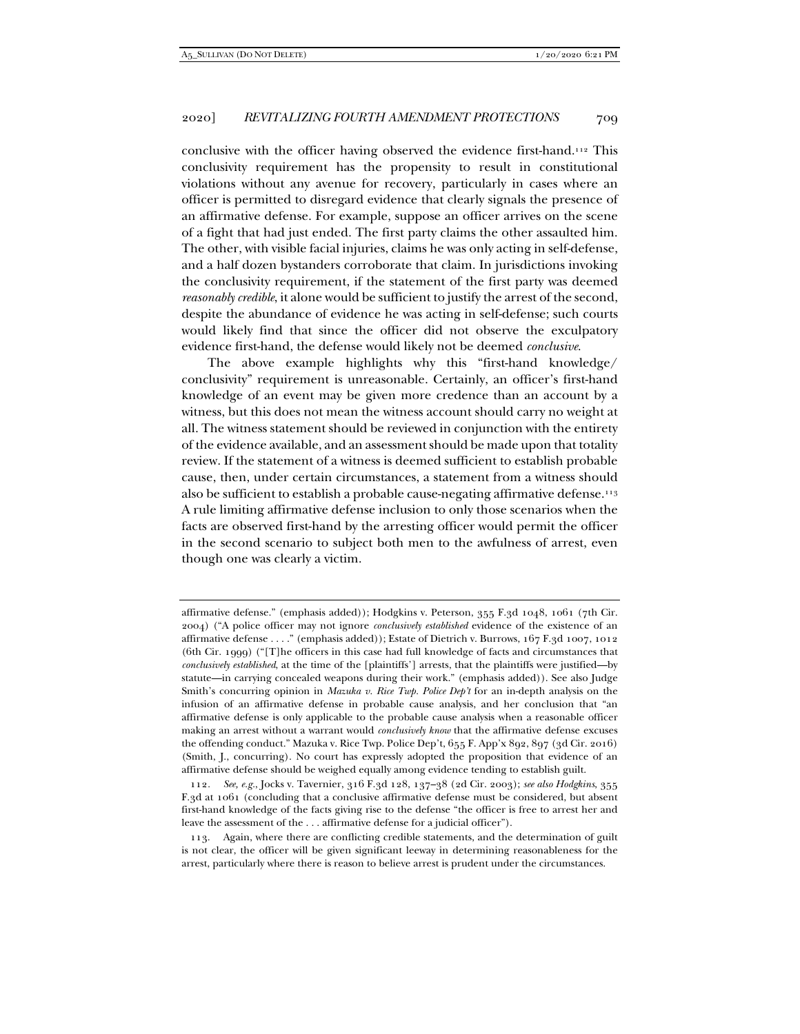conclusive with the officer having observed the evidence first-hand.112 This conclusivity requirement has the propensity to result in constitutional violations without any avenue for recovery, particularly in cases where an officer is permitted to disregard evidence that clearly signals the presence of an affirmative defense. For example, suppose an officer arrives on the scene of a fight that had just ended. The first party claims the other assaulted him. The other, with visible facial injuries, claims he was only acting in self-defense, and a half dozen bystanders corroborate that claim. In jurisdictions invoking the conclusivity requirement, if the statement of the first party was deemed *reasonably credible*, it alone would be sufficient to justify the arrest of the second, despite the abundance of evidence he was acting in self-defense; such courts would likely find that since the officer did not observe the exculpatory evidence first-hand, the defense would likely not be deemed *conclusive*.

The above example highlights why this "first-hand knowledge/ conclusivity" requirement is unreasonable. Certainly, an officer's first-hand knowledge of an event may be given more credence than an account by a witness, but this does not mean the witness account should carry no weight at all. The witness statement should be reviewed in conjunction with the entirety of the evidence available, and an assessment should be made upon that totality review. If the statement of a witness is deemed sufficient to establish probable cause, then, under certain circumstances, a statement from a witness should also be sufficient to establish a probable cause-negating affirmative defense.<sup>113</sup> A rule limiting affirmative defense inclusion to only those scenarios when the facts are observed first-hand by the arresting officer would permit the officer in the second scenario to subject both men to the awfulness of arrest, even though one was clearly a victim.

affirmative defense." (emphasis added)); Hodgkins v. Peterson, 355 F.3d 1048, 1061 (7th Cir. 2004) ("A police officer may not ignore *conclusively established* evidence of the existence of an affirmative defense . . . ." (emphasis added)); Estate of Dietrich v. Burrows, 167 F.3d 1007, 1012 (6th Cir. 1999) ("[T]he officers in this case had full knowledge of facts and circumstances that *conclusively established*, at the time of the [plaintiffs'] arrests, that the plaintiffs were justified—by statute—in carrying concealed weapons during their work." (emphasis added)). See also Judge Smith's concurring opinion in *Mazuka v. Rice Twp. Police Dep't* for an in-depth analysis on the infusion of an affirmative defense in probable cause analysis, and her conclusion that "an affirmative defense is only applicable to the probable cause analysis when a reasonable officer making an arrest without a warrant would *conclusively know* that the affirmative defense excuses the offending conduct." Mazuka v. Rice Twp. Police Dep't, 655 F. App'x 892, 897 (3d Cir. 2016) (Smith, J., concurring). No court has expressly adopted the proposition that evidence of an affirmative defense should be weighed equally among evidence tending to establish guilt.

<sup>112</sup>*. See, e.g.*, Jocks v. Tavernier, 316 F.3d 128, 137–38 (2d Cir. 2003); *see also Hodgkins*, 355 F.3d at 1061 (concluding that a conclusive affirmative defense must be considered, but absent first-hand knowledge of the facts giving rise to the defense "the officer is free to arrest her and leave the assessment of the . . . affirmative defense for a judicial officer").

 <sup>113.</sup> Again, where there are conflicting credible statements, and the determination of guilt is not clear, the officer will be given significant leeway in determining reasonableness for the arrest, particularly where there is reason to believe arrest is prudent under the circumstances.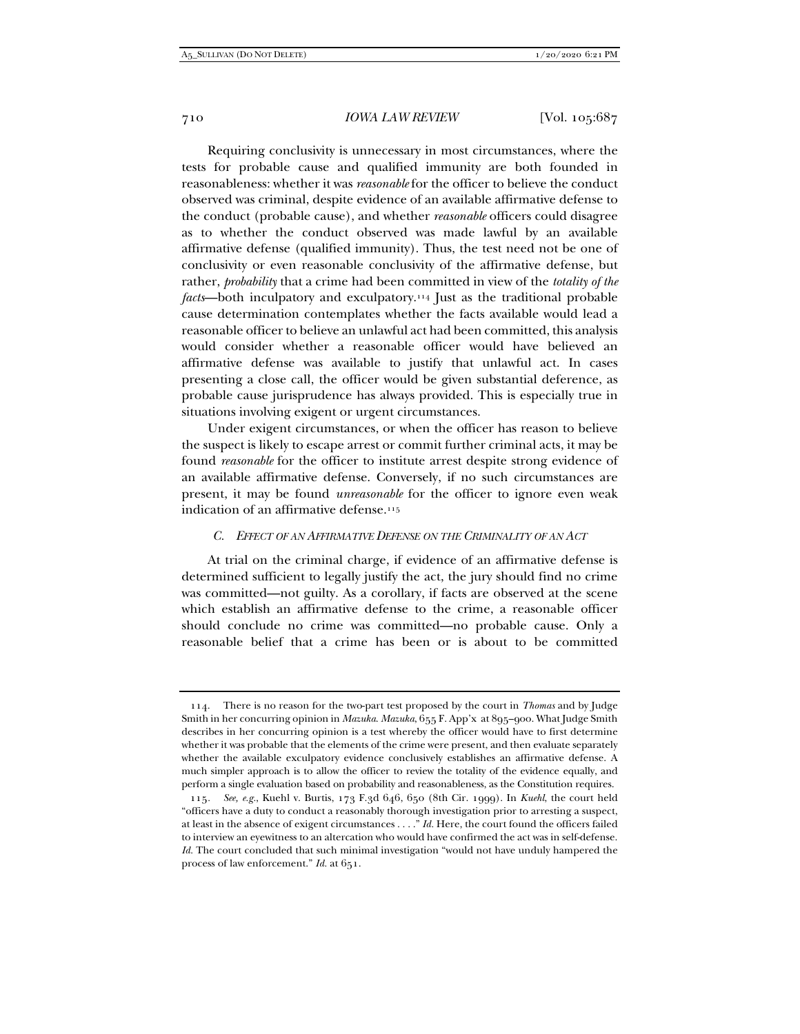Requiring conclusivity is unnecessary in most circumstances, where the tests for probable cause and qualified immunity are both founded in reasonableness: whether it was *reasonable* for the officer to believe the conduct observed was criminal, despite evidence of an available affirmative defense to the conduct (probable cause), and whether *reasonable* officers could disagree as to whether the conduct observed was made lawful by an available affirmative defense (qualified immunity). Thus, the test need not be one of conclusivity or even reasonable conclusivity of the affirmative defense, but rather, *probability* that a crime had been committed in view of the *totality of the facts*—both inculpatory and exculpatory.114 Just as the traditional probable cause determination contemplates whether the facts available would lead a reasonable officer to believe an unlawful act had been committed, this analysis would consider whether a reasonable officer would have believed an affirmative defense was available to justify that unlawful act. In cases presenting a close call, the officer would be given substantial deference, as probable cause jurisprudence has always provided. This is especially true in situations involving exigent or urgent circumstances.

Under exigent circumstances, or when the officer has reason to believe the suspect is likely to escape arrest or commit further criminal acts, it may be found *reasonable* for the officer to institute arrest despite strong evidence of an available affirmative defense. Conversely, if no such circumstances are present, it may be found *unreasonable* for the officer to ignore even weak indication of an affirmative defense.115

#### *C. EFFECT OF AN AFFIRMATIVE DEFENSE ON THE CRIMINALITY OF AN ACT*

At trial on the criminal charge, if evidence of an affirmative defense is determined sufficient to legally justify the act, the jury should find no crime was committed—not guilty. As a corollary, if facts are observed at the scene which establish an affirmative defense to the crime, a reasonable officer should conclude no crime was committed—no probable cause. Only a reasonable belief that a crime has been or is about to be committed

 <sup>114.</sup> There is no reason for the two-part test proposed by the court in *Thomas* and by Judge Smith in her concurring opinion in *Mazuka*. *Mazuka*, 655 F. App'x at 895–900. What Judge Smith describes in her concurring opinion is a test whereby the officer would have to first determine whether it was probable that the elements of the crime were present, and then evaluate separately whether the available exculpatory evidence conclusively establishes an affirmative defense. A much simpler approach is to allow the officer to review the totality of the evidence equally, and perform a single evaluation based on probability and reasonableness, as the Constitution requires.

<sup>115</sup>*. See, e.g.*, Kuehl v. Burtis, 173 F.3d 646, 650 (8th Cir. 1999). In *Kuehl*, the court held "officers have a duty to conduct a reasonably thorough investigation prior to arresting a suspect, at least in the absence of exigent circumstances . . . ." *Id.* Here, the court found the officers failed to interview an eyewitness to an altercation who would have confirmed the act was in self-defense. *Id.* The court concluded that such minimal investigation "would not have unduly hampered the process of law enforcement." *Id.* at 651.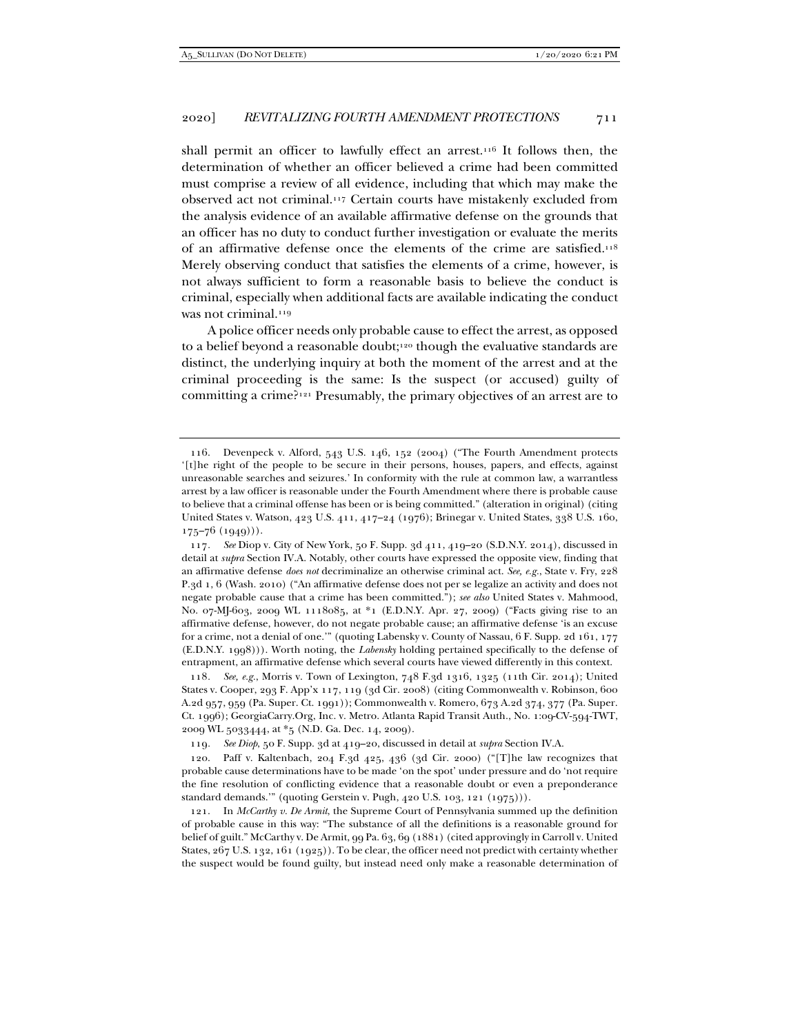shall permit an officer to lawfully effect an arrest.<sup>116</sup> It follows then, the determination of whether an officer believed a crime had been committed must comprise a review of all evidence, including that which may make the observed act not criminal.117 Certain courts have mistakenly excluded from the analysis evidence of an available affirmative defense on the grounds that an officer has no duty to conduct further investigation or evaluate the merits of an affirmative defense once the elements of the crime are satisfied.118 Merely observing conduct that satisfies the elements of a crime, however, is not always sufficient to form a reasonable basis to believe the conduct is criminal, especially when additional facts are available indicating the conduct was not criminal.<sup>119</sup>

A police officer needs only probable cause to effect the arrest, as opposed to a belief beyond a reasonable doubt;120 though the evaluative standards are distinct, the underlying inquiry at both the moment of the arrest and at the criminal proceeding is the same: Is the suspect (or accused) guilty of committing a crime?121 Presumably, the primary objectives of an arrest are to

118*. See, e.g.*, Morris v. Town of Lexington, 748 F.3d 1316, 1325 (11th Cir. 2014); United States v. Cooper, 293 F. App'x 117, 119 (3d Cir. 2008) (citing Commonwealth v. Robinson, 600 A.2d 957, 959 (Pa. Super. Ct. 1991)); Commonwealth v. Romero, 673 A.2d 374, 377 (Pa. Super. Ct. 1996); GeorgiaCarry.Org, Inc. v. Metro. Atlanta Rapid Transit Auth., No. 1:09-CV-594-TWT, 2009 WL 5033444, at \*5 (N.D. Ga. Dec. 14, 2009).

119*. See Diop*, 50 F. Supp. 3d at 419–20, discussed in detail at *supra* Section IV.A.

 120. Paff v. Kaltenbach, 204 F.3d 425, 436 (3d Cir. 2000) ("[T]he law recognizes that probable cause determinations have to be made 'on the spot' under pressure and do 'not require the fine resolution of conflicting evidence that a reasonable doubt or even a preponderance standard demands.'" (quoting Gerstein v. Pugh, 420 U.S. 103, 121 (1975))).

 121. In *McCarthy v. De Armit*, the Supreme Court of Pennsylvania summed up the definition of probable cause in this way: "The substance of all the definitions is a reasonable ground for belief of guilt." McCarthy v. De Armit, 99 Pa. 63, 69 (1881) (cited approvingly in Carroll v. United States, 267 U.S. 132, 161 (1925)). To be clear, the officer need not predict with certainty whether the suspect would be found guilty, but instead need only make a reasonable determination of

 <sup>116.</sup> Devenpeck v. Alford, 543 U.S. 146, 152 (2004) ("The Fourth Amendment protects '[t]he right of the people to be secure in their persons, houses, papers, and effects, against unreasonable searches and seizures.' In conformity with the rule at common law, a warrantless arrest by a law officer is reasonable under the Fourth Amendment where there is probable cause to believe that a criminal offense has been or is being committed." (alteration in original) (citing United States v. Watson, 423 U.S. 411, 417–24 (1976); Brinegar v. United States, 338 U.S. 160, 175–76 (1949))).

<sup>117</sup>*. See* Diop v. City of New York, 50 F. Supp. 3d 411, 419–20 (S.D.N.Y. 2014), discussed in detail at *supra* Section IV.A. Notably, other courts have expressed the opposite view, finding that an affirmative defense *does not* decriminalize an otherwise criminal act. *See, e.g.*, State v. Fry, 228 P.3d 1, 6 (Wash. 2010) ("An affirmative defense does not per se legalize an activity and does not negate probable cause that a crime has been committed."); *see also* United States v. Mahmood, No. 07-MJ-603, 2009 WL 1118085, at \*1 (E.D.N.Y. Apr. 27, 2009) ("Facts giving rise to an affirmative defense, however, do not negate probable cause; an affirmative defense 'is an excuse for a crime, not a denial of one.'" (quoting Labensky v. County of Nassau, 6 F. Supp. 2d 161, 177 (E.D.N.Y. 1998))). Worth noting, the *Labensky* holding pertained specifically to the defense of entrapment, an affirmative defense which several courts have viewed differently in this context.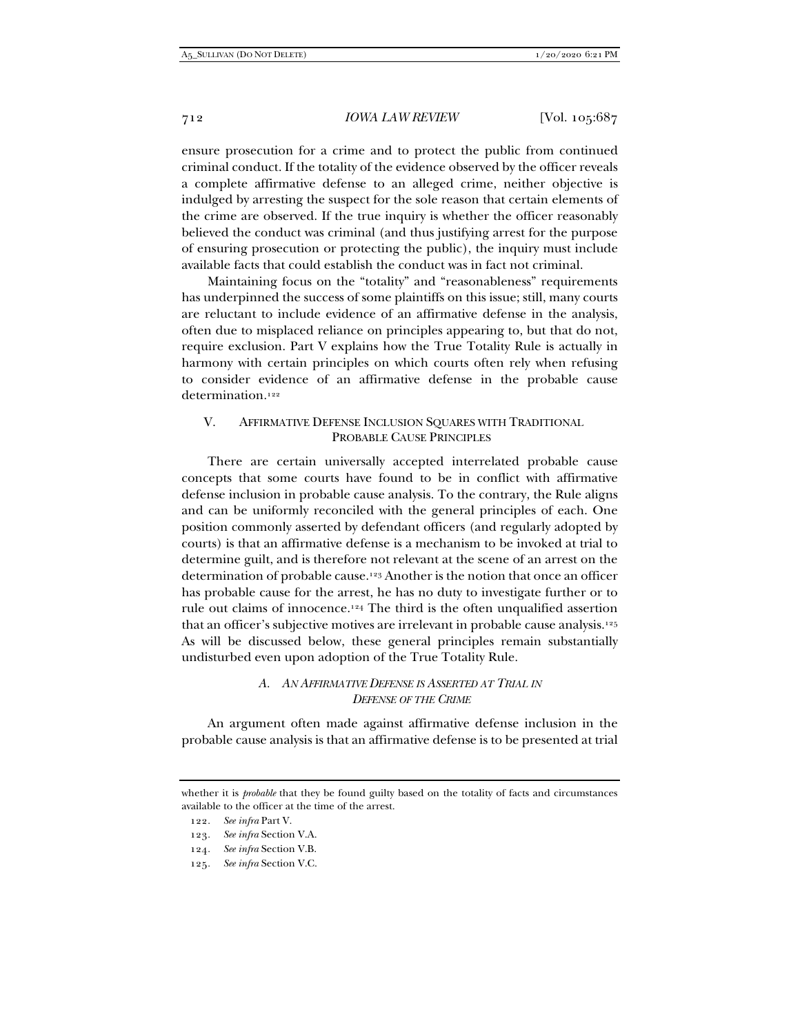ensure prosecution for a crime and to protect the public from continued criminal conduct. If the totality of the evidence observed by the officer reveals a complete affirmative defense to an alleged crime, neither objective is indulged by arresting the suspect for the sole reason that certain elements of the crime are observed. If the true inquiry is whether the officer reasonably believed the conduct was criminal (and thus justifying arrest for the purpose of ensuring prosecution or protecting the public), the inquiry must include available facts that could establish the conduct was in fact not criminal.

Maintaining focus on the "totality" and "reasonableness" requirements has underpinned the success of some plaintiffs on this issue; still, many courts are reluctant to include evidence of an affirmative defense in the analysis, often due to misplaced reliance on principles appearing to, but that do not, require exclusion. Part V explains how the True Totality Rule is actually in harmony with certain principles on which courts often rely when refusing to consider evidence of an affirmative defense in the probable cause determination<sup>122</sup>

## V. AFFIRMATIVE DEFENSE INCLUSION SQUARES WITH TRADITIONAL PROBABLE CAUSE PRINCIPLES

There are certain universally accepted interrelated probable cause concepts that some courts have found to be in conflict with affirmative defense inclusion in probable cause analysis. To the contrary, the Rule aligns and can be uniformly reconciled with the general principles of each. One position commonly asserted by defendant officers (and regularly adopted by courts) is that an affirmative defense is a mechanism to be invoked at trial to determine guilt, and is therefore not relevant at the scene of an arrest on the determination of probable cause.123 Another is the notion that once an officer has probable cause for the arrest, he has no duty to investigate further or to rule out claims of innocence.124 The third is the often unqualified assertion that an officer's subjective motives are irrelevant in probable cause analysis.125 As will be discussed below, these general principles remain substantially undisturbed even upon adoption of the True Totality Rule.

## *A. AN AFFIRMATIVE DEFENSE IS ASSERTED AT TRIAL IN DEFENSE OF THE CRIME*

An argument often made against affirmative defense inclusion in the probable cause analysis is that an affirmative defense is to be presented at trial

whether it is *probable* that they be found guilty based on the totality of facts and circumstances available to the officer at the time of the arrest.

<sup>122</sup>*. See infra* Part V.

<sup>123</sup>*. See infra* Section V.A.

<sup>124</sup>*. See infra* Section V.B.

<sup>125</sup>*. See infra* Section V.C.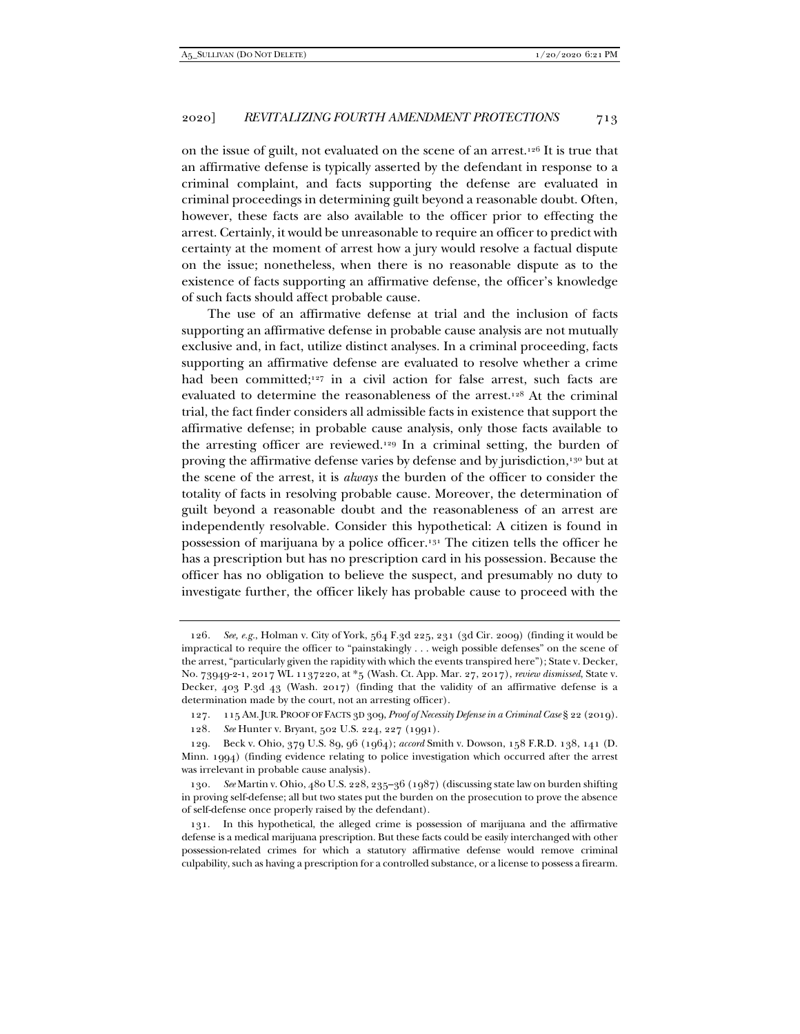on the issue of guilt, not evaluated on the scene of an arrest.126 It is true that an affirmative defense is typically asserted by the defendant in response to a criminal complaint, and facts supporting the defense are evaluated in criminal proceedings in determining guilt beyond a reasonable doubt. Often, however, these facts are also available to the officer prior to effecting the arrest. Certainly, it would be unreasonable to require an officer to predict with certainty at the moment of arrest how a jury would resolve a factual dispute on the issue; nonetheless, when there is no reasonable dispute as to the existence of facts supporting an affirmative defense, the officer's knowledge of such facts should affect probable cause.

The use of an affirmative defense at trial and the inclusion of facts supporting an affirmative defense in probable cause analysis are not mutually exclusive and, in fact, utilize distinct analyses. In a criminal proceeding, facts supporting an affirmative defense are evaluated to resolve whether a crime had been committed;<sup>127</sup> in a civil action for false arrest, such facts are evaluated to determine the reasonableness of the arrest.128 At the criminal trial, the fact finder considers all admissible facts in existence that support the affirmative defense; in probable cause analysis, only those facts available to the arresting officer are reviewed.129 In a criminal setting, the burden of proving the affirmative defense varies by defense and by jurisdiction,<sup>130</sup> but at the scene of the arrest, it is *always* the burden of the officer to consider the totality of facts in resolving probable cause. Moreover, the determination of guilt beyond a reasonable doubt and the reasonableness of an arrest are independently resolvable. Consider this hypothetical: A citizen is found in possession of marijuana by a police officer.131 The citizen tells the officer he has a prescription but has no prescription card in his possession. Because the officer has no obligation to believe the suspect, and presumably no duty to investigate further, the officer likely has probable cause to proceed with the

<sup>126</sup>*. See, e.g.*, Holman v. City of York, 564 F.3d 225, 231 (3d Cir. 2009) (finding it would be impractical to require the officer to "painstakingly . . . weigh possible defenses" on the scene of the arrest, "particularly given the rapidity with which the events transpired here"); State v. Decker, No. 73949-2-1, 2017 WL 1137220, at \*5 (Wash. Ct. App. Mar. 27, 2017), *review dismissed*, State v. Decker, 403 P.3d 43 (Wash. 2017) (finding that the validity of an affirmative defense is a determination made by the court, not an arresting officer).

 <sup>127. 115</sup> AM.JUR. PROOF OF FACTS 3D 309, *Proof of Necessity Defense in a Criminal Case* § 22 (2019).

<sup>128</sup>*. See* Hunter v. Bryant, 502 U.S. 224, 227 (1991).

 <sup>129.</sup> Beck v. Ohio, 379 U.S. 89, 96 (1964); *accord* Smith v. Dowson, 158 F.R.D. 138, 141 (D. Minn. 1994) (finding evidence relating to police investigation which occurred after the arrest was irrelevant in probable cause analysis).

<sup>130</sup>*. See* Martin v. Ohio, 480 U.S. 228, 235–36 (1987) (discussing state law on burden shifting in proving self-defense; all but two states put the burden on the prosecution to prove the absence of self-defense once properly raised by the defendant).

 <sup>131.</sup> In this hypothetical, the alleged crime is possession of marijuana and the affirmative defense is a medical marijuana prescription. But these facts could be easily interchanged with other possession-related crimes for which a statutory affirmative defense would remove criminal culpability, such as having a prescription for a controlled substance, or a license to possess a firearm.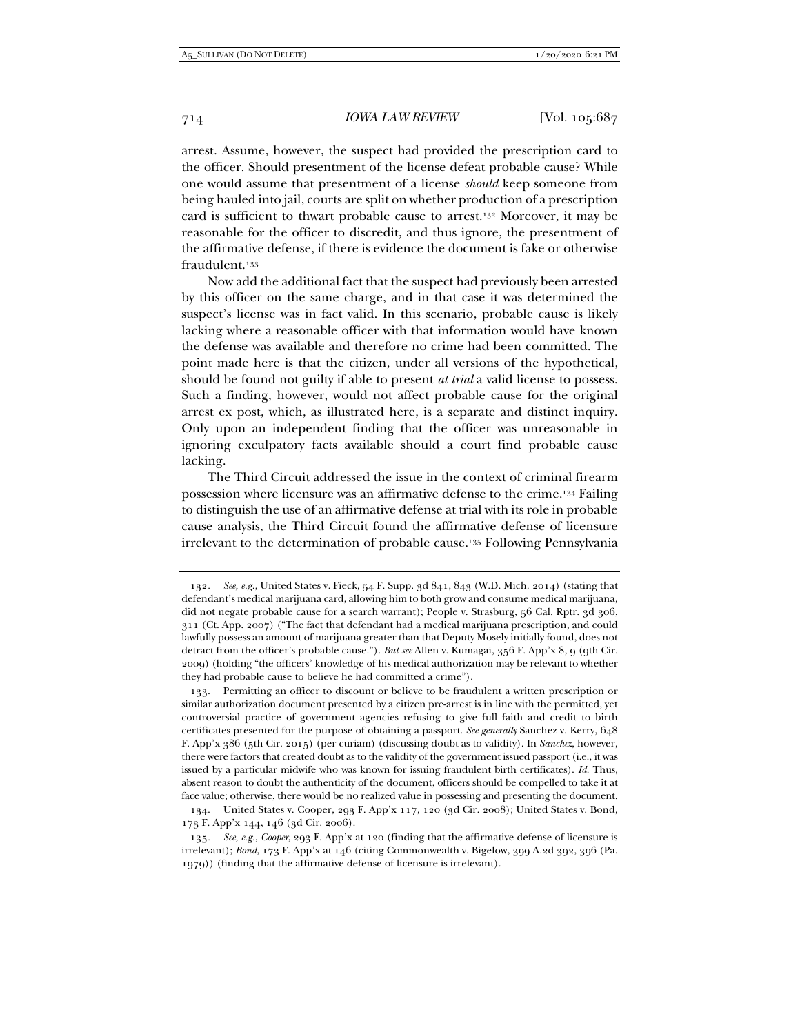arrest. Assume, however, the suspect had provided the prescription card to the officer. Should presentment of the license defeat probable cause? While one would assume that presentment of a license *should* keep someone from being hauled into jail, courts are split on whether production of a prescription card is sufficient to thwart probable cause to arrest.132 Moreover, it may be reasonable for the officer to discredit, and thus ignore, the presentment of the affirmative defense, if there is evidence the document is fake or otherwise fraudulent.133

Now add the additional fact that the suspect had previously been arrested by this officer on the same charge, and in that case it was determined the suspect's license was in fact valid. In this scenario, probable cause is likely lacking where a reasonable officer with that information would have known the defense was available and therefore no crime had been committed. The point made here is that the citizen, under all versions of the hypothetical, should be found not guilty if able to present *at trial* a valid license to possess. Such a finding, however, would not affect probable cause for the original arrest ex post, which, as illustrated here, is a separate and distinct inquiry. Only upon an independent finding that the officer was unreasonable in ignoring exculpatory facts available should a court find probable cause lacking.

The Third Circuit addressed the issue in the context of criminal firearm possession where licensure was an affirmative defense to the crime.134 Failing to distinguish the use of an affirmative defense at trial with its role in probable cause analysis, the Third Circuit found the affirmative defense of licensure irrelevant to the determination of probable cause.135 Following Pennsylvania

<sup>132</sup>*. See, e.g.*, United States v. Fieck, 54 F. Supp. 3d 841, 843 (W.D. Mich. 2014) (stating that defendant's medical marijuana card, allowing him to both grow and consume medical marijuana, did not negate probable cause for a search warrant); People v. Strasburg, 56 Cal. Rptr. 3d 306, 311 (Ct. App. 2007) ("The fact that defendant had a medical marijuana prescription, and could lawfully possess an amount of marijuana greater than that Deputy Mosely initially found, does not detract from the officer's probable cause."). *But see* Allen v. Kumagai, 356 F. App'x 8, 9 (9th Cir. 2009) (holding "the officers' knowledge of his medical authorization may be relevant to whether they had probable cause to believe he had committed a crime").

Permitting an officer to discount or believe to be fraudulent a written prescription or similar authorization document presented by a citizen pre-arrest is in line with the permitted, yet controversial practice of government agencies refusing to give full faith and credit to birth certificates presented for the purpose of obtaining a passport. *See generally* Sanchez v. Kerry, 648 F. App'x 386 (5th Cir. 2015) (per curiam) (discussing doubt as to validity). In *Sanchez*, however, there were factors that created doubt as to the validity of the government issued passport (i.e., it was issued by a particular midwife who was known for issuing fraudulent birth certificates). *Id.* Thus, absent reason to doubt the authenticity of the document, officers should be compelled to take it at face value; otherwise, there would be no realized value in possessing and presenting the document.

 <sup>134.</sup> United States v. Cooper, 293 F. App'x 117, 120 (3d Cir. 2008); United States v. Bond, 173 F. App'x 144, 146 (3d Cir. 2006).

<sup>135</sup>*. See, e.g.*, *Cooper*, 293 F. App'x at 120 (finding that the affirmative defense of licensure is irrelevant); *Bond*, 173 F. App'x at 146 (citing Commonwealth v. Bigelow, 399 A.2d 392, 396 (Pa. 1979)) (finding that the affirmative defense of licensure is irrelevant).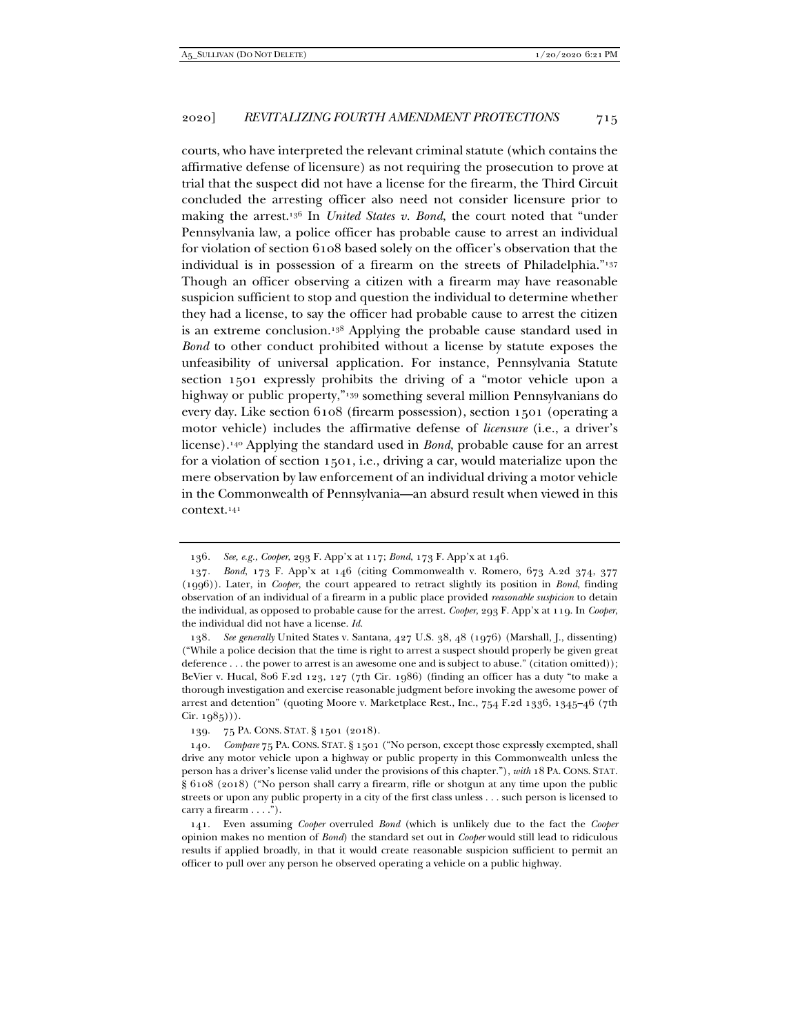courts, who have interpreted the relevant criminal statute (which contains the affirmative defense of licensure) as not requiring the prosecution to prove at trial that the suspect did not have a license for the firearm, the Third Circuit concluded the arresting officer also need not consider licensure prior to making the arrest.136 In *United States v. Bond*, the court noted that "under Pennsylvania law, a police officer has probable cause to arrest an individual for violation of section 6108 based solely on the officer's observation that the individual is in possession of a firearm on the streets of Philadelphia."137 Though an officer observing a citizen with a firearm may have reasonable suspicion sufficient to stop and question the individual to determine whether they had a license, to say the officer had probable cause to arrest the citizen is an extreme conclusion.138 Applying the probable cause standard used in *Bond* to other conduct prohibited without a license by statute exposes the unfeasibility of universal application. For instance, Pennsylvania Statute section 1501 expressly prohibits the driving of a "motor vehicle upon a highway or public property,"139 something several million Pennsylvanians do every day. Like section 6108 (firearm possession), section 1501 (operating a motor vehicle) includes the affirmative defense of *licensure* (i.e., a driver's license).140 Applying the standard used in *Bond*, probable cause for an arrest for a violation of section 1501, i.e., driving a car, would materialize upon the mere observation by law enforcement of an individual driving a motor vehicle in the Commonwealth of Pennsylvania—an absurd result when viewed in this context.141

<sup>136</sup>*. See, e.g.*, *Cooper*, 293 F. App'x at 117; *Bond*, 173 F. App'x at 146.

<sup>137</sup>*. Bond*, 173 F. App'x at 146 (citing Commonwealth v. Romero, 673 A.2d 374, 377 (1996)). Later, in *Cooper*, the court appeared to retract slightly its position in *Bond*, finding observation of an individual of a firearm in a public place provided *reasonable suspicion* to detain the individual, as opposed to probable cause for the arrest. *Cooper*, 293 F. App'x at 119. In *Cooper*, the individual did not have a license. *Id.*

<sup>138</sup>*. See generally* United States v. Santana, 427 U.S. 38, 48 (1976) (Marshall, J., dissenting) ("While a police decision that the time is right to arrest a suspect should properly be given great deference . . . the power to arrest is an awesome one and is subject to abuse." (citation omitted)); BeVier v. Hucal, 806 F.2d 123, 127 (7th Cir. 1986) (finding an officer has a duty "to make a thorough investigation and exercise reasonable judgment before invoking the awesome power of arrest and detention" (quoting Moore v. Marketplace Rest., Inc., 754 F.2d 1336, 1345–46 (7th  $Cir. 1985$ .

 <sup>139. 75</sup> PA. CONS. STAT. § 1501 (2018).

<sup>140</sup>*. Compare* 75 PA. CONS. STAT. § 1501 ("No person, except those expressly exempted, shall drive any motor vehicle upon a highway or public property in this Commonwealth unless the person has a driver's license valid under the provisions of this chapter."), *with* 18 PA. CONS. STAT. § 6108 (2018) ("No person shall carry a firearm, rifle or shotgun at any time upon the public streets or upon any public property in a city of the first class unless . . . such person is licensed to carry a firearm . . . .").

 <sup>141.</sup> Even assuming *Cooper* overruled *Bond* (which is unlikely due to the fact the *Cooper* opinion makes no mention of *Bond*) the standard set out in *Cooper* would still lead to ridiculous results if applied broadly, in that it would create reasonable suspicion sufficient to permit an officer to pull over any person he observed operating a vehicle on a public highway.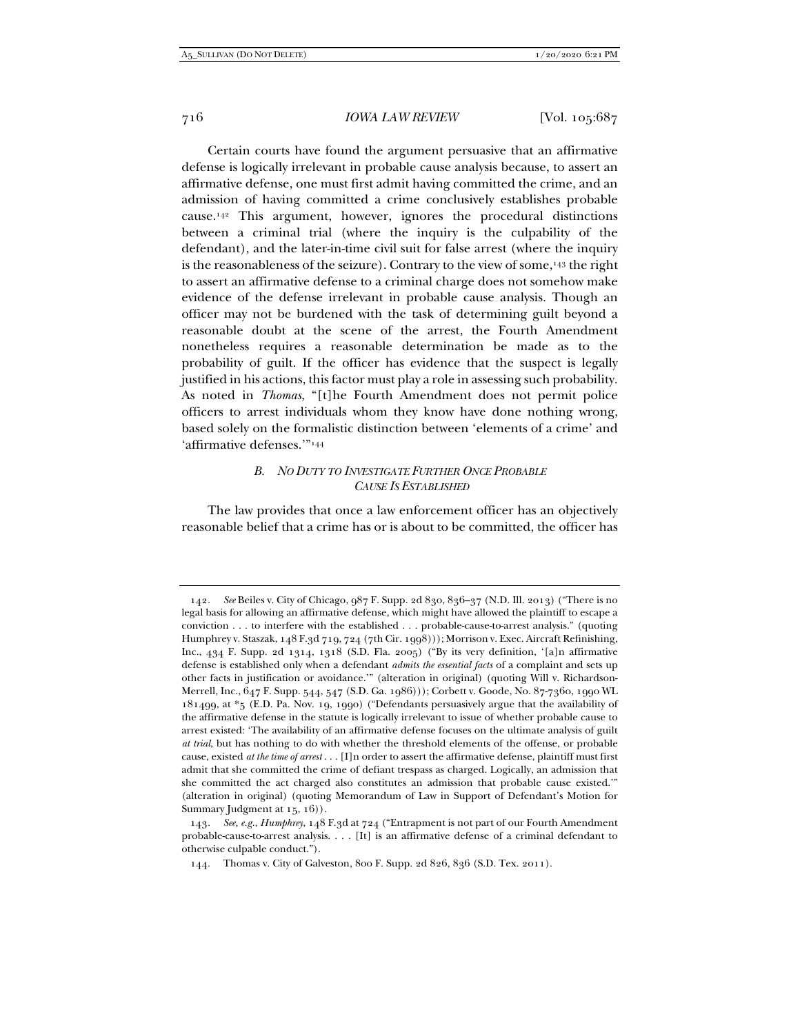Certain courts have found the argument persuasive that an affirmative defense is logically irrelevant in probable cause analysis because, to assert an affirmative defense, one must first admit having committed the crime, and an admission of having committed a crime conclusively establishes probable cause.142 This argument, however, ignores the procedural distinctions between a criminal trial (where the inquiry is the culpability of the defendant), and the later-in-time civil suit for false arrest (where the inquiry is the reasonableness of the seizure). Contrary to the view of some,<sup>143</sup> the right to assert an affirmative defense to a criminal charge does not somehow make evidence of the defense irrelevant in probable cause analysis. Though an officer may not be burdened with the task of determining guilt beyond a reasonable doubt at the scene of the arrest, the Fourth Amendment nonetheless requires a reasonable determination be made as to the probability of guilt. If the officer has evidence that the suspect is legally justified in his actions, this factor must play a role in assessing such probability. As noted in *Thomas*, "[t]he Fourth Amendment does not permit police officers to arrest individuals whom they know have done nothing wrong, based solely on the formalistic distinction between 'elements of a crime' and 'affirmative defenses.'"144

## *B. NO DUTY TO INVESTIGATE FURTHER ONCE PROBABLE CAUSE IS ESTABLISHED*

The law provides that once a law enforcement officer has an objectively reasonable belief that a crime has or is about to be committed, the officer has

<sup>142</sup>*. See* Beiles v. City of Chicago, 987 F. Supp. 2d 830, 836–37 (N.D. Ill. 2013) ("There is no legal basis for allowing an affirmative defense, which might have allowed the plaintiff to escape a conviction . . . to interfere with the established . . . probable-cause-to-arrest analysis." (quoting Humphrey v. Staszak, 148 F.3d 719, 724 (7th Cir. 1998))); Morrison v. Exec. Aircraft Refinishing, Inc., 434 F. Supp. 2d 1314, 1318 (S.D. Fla. 2005) ("By its very definition, '[a]n affirmative defense is established only when a defendant *admits the essential facts* of a complaint and sets up other facts in justification or avoidance.'" (alteration in original) (quoting Will v. Richardson-Merrell, Inc., 647 F. Supp. 544, 547 (S.D. Ga. 1986))); Corbett v. Goode, No. 87-7360, 1990 WL 181499, at \*5 (E.D. Pa. Nov. 19, 1990) ("Defendants persuasively argue that the availability of the affirmative defense in the statute is logically irrelevant to issue of whether probable cause to arrest existed: 'The availability of an affirmative defense focuses on the ultimate analysis of guilt *at trial*, but has nothing to do with whether the threshold elements of the offense, or probable cause, existed *at the time of arrest* . . . [I]n order to assert the affirmative defense, plaintiff must first admit that she committed the crime of defiant trespass as charged. Logically, an admission that she committed the act charged also constitutes an admission that probable cause existed.'" (alteration in original) (quoting Memorandum of Law in Support of Defendant's Motion for Summary Judgment at 15, 16).

<sup>143</sup>*. See, e.g.*, *Humphrey*, 148 F.3d at 724 ("Entrapment is not part of our Fourth Amendment probable-cause-to-arrest analysis. . . . [It] is an affirmative defense of a criminal defendant to otherwise culpable conduct.").

 <sup>144.</sup> Thomas v. City of Galveston, 800 F. Supp. 2d 826, 836 (S.D. Tex. 2011).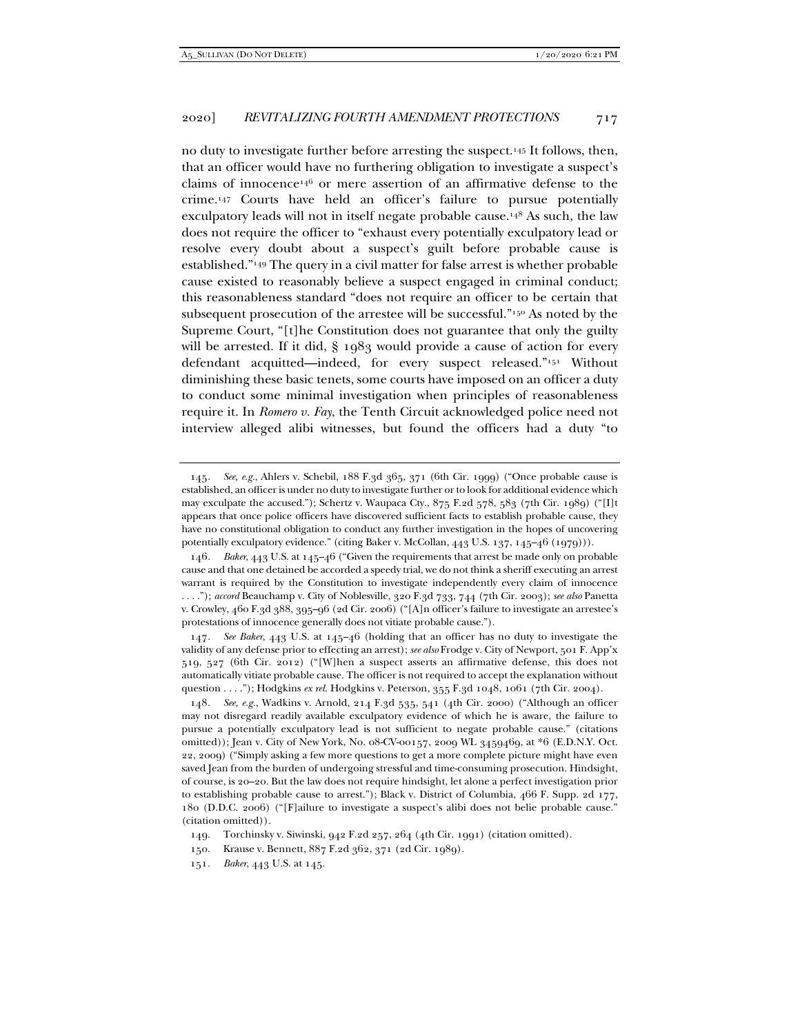no duty to investigate further before arresting the suspect.145 It follows, then, that an officer would have no furthering obligation to investigate a suspect's claims of innocence146 or mere assertion of an affirmative defense to the crime.147 Courts have held an officer's failure to pursue potentially exculpatory leads will not in itself negate probable cause.148 As such, the law does not require the officer to "exhaust every potentially exculpatory lead or resolve every doubt about a suspect's guilt before probable cause is established."149 The query in a civil matter for false arrest is whether probable cause existed to reasonably believe a suspect engaged in criminal conduct; this reasonableness standard "does not require an officer to be certain that subsequent prosecution of the arrestee will be successful."150 As noted by the Supreme Court, "[t]he Constitution does not guarantee that only the guilty will be arrested. If it did, § 1983 would provide a cause of action for every defendant acquitted—indeed, for every suspect released."151 Without diminishing these basic tenets, some courts have imposed on an officer a duty to conduct some minimal investigation when principles of reasonableness require it. In *Romero v. Fay*, the Tenth Circuit acknowledged police need not interview alleged alibi witnesses, but found the officers had a duty "to

<sup>145</sup>*. See, e.g.*, Ahlers v. Schebil, 188 F.3d 365, 371 (6th Cir. 1999) ("Once probable cause is established, an officer is under no duty to investigate further or to look for additional evidence which may exculpate the accused."); Schertz v. Waupaca Cty., 875 F.2d 578, 583 (7th Cir. 1989) ("[I]t appears that once police officers have discovered sufficient facts to establish probable cause, they have no constitutional obligation to conduct any further investigation in the hopes of uncovering potentially exculpatory evidence." (citing Baker v. McCollan, 443 U.S. 137, 145-46 (1979))).

<sup>146</sup>*. Baker*, 443 U.S. at 145–46 ("Given the requirements that arrest be made only on probable cause and that one detained be accorded a speedy trial, we do not think a sheriff executing an arrest warrant is required by the Constitution to investigate independently every claim of innocence . . . ."); *accord* Beauchamp v. City of Noblesville, 320 F.3d 733, 744 (7th Cir. 2003); *see also* Panetta v. Crowley, 460 F.3d 388, 395–96 (2d Cir. 2006) ("[A]n officer's failure to investigate an arrestee's protestations of innocence generally does not vitiate probable cause.").

<sup>147</sup>*. See Baker*, 443 U.S. at 145–46 (holding that an officer has no duty to investigate the validity of any defense prior to effecting an arrest); *see also* Frodge v. City of Newport, 501 F. App'x 519, 527 (6th Cir. 2012) ("[W]hen a suspect asserts an affirmative defense, this does not automatically vitiate probable cause. The officer is not required to accept the explanation without question . . . ."); Hodgkins *ex rel*. Hodgkins v. Peterson, 355 F.3d 1048, 1061 (7th Cir. 2004).

<sup>148</sup>*. See, e.g.*, Wadkins v. Arnold, 214 F.3d 535, 541 (4th Cir. 2000) ("Although an officer may not disregard readily available exculpatory evidence of which he is aware, the failure to pursue a potentially exculpatory lead is not sufficient to negate probable cause." (citations omitted)); Jean v. City of New York, No. 08-CV-00157, 2009 WL 3459469, at \*6 (E.D.N.Y. Oct. 22, 2009) ("Simply asking a few more questions to get a more complete picture might have even saved Jean from the burden of undergoing stressful and time-consuming prosecution. Hindsight, of course, is 20–20. But the law does not require hindsight, let alone a perfect investigation prior to establishing probable cause to arrest."); Black v. District of Columbia, 466 F. Supp. 2d 177, 180 (D.D.C. 2006) ("[F]ailure to investigate a suspect's alibi does not belie probable cause." (citation omitted)).

 <sup>149.</sup> Torchinsky v. Siwinski, 942 F.2d 257, 264 (4th Cir. 1991) (citation omitted).

 <sup>150.</sup> Krause v. Bennett, 887 F.2d 362, 371 (2d Cir. 1989).

<sup>151</sup>*. Baker*, 443 U.S. at 145.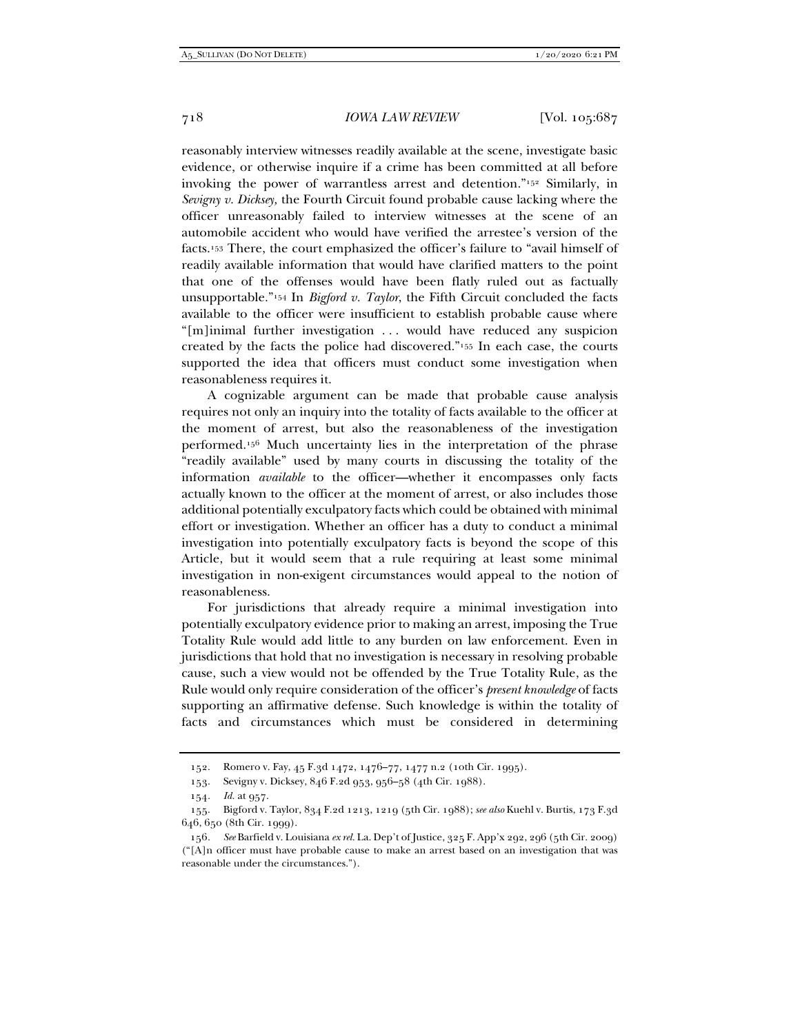reasonably interview witnesses readily available at the scene, investigate basic evidence, or otherwise inquire if a crime has been committed at all before invoking the power of warrantless arrest and detention."152 Similarly, in *Sevigny v. Dicksey,* the Fourth Circuit found probable cause lacking where the officer unreasonably failed to interview witnesses at the scene of an automobile accident who would have verified the arrestee's version of the facts.153 There, the court emphasized the officer's failure to "avail himself of readily available information that would have clarified matters to the point that one of the offenses would have been flatly ruled out as factually unsupportable."154 In *Bigford v. Taylor*, the Fifth Circuit concluded the facts available to the officer were insufficient to establish probable cause where "[m]inimal further investigation . . . would have reduced any suspicion created by the facts the police had discovered."155 In each case, the courts supported the idea that officers must conduct some investigation when reasonableness requires it.

A cognizable argument can be made that probable cause analysis requires not only an inquiry into the totality of facts available to the officer at the moment of arrest, but also the reasonableness of the investigation performed.156 Much uncertainty lies in the interpretation of the phrase "readily available" used by many courts in discussing the totality of the information *available* to the officer—whether it encompasses only facts actually known to the officer at the moment of arrest, or also includes those additional potentially exculpatory facts which could be obtained with minimal effort or investigation. Whether an officer has a duty to conduct a minimal investigation into potentially exculpatory facts is beyond the scope of this Article, but it would seem that a rule requiring at least some minimal investigation in non-exigent circumstances would appeal to the notion of reasonableness.

For jurisdictions that already require a minimal investigation into potentially exculpatory evidence prior to making an arrest, imposing the True Totality Rule would add little to any burden on law enforcement. Even in jurisdictions that hold that no investigation is necessary in resolving probable cause, such a view would not be offended by the True Totality Rule, as the Rule would only require consideration of the officer's *present knowledge* of facts supporting an affirmative defense. Such knowledge is within the totality of facts and circumstances which must be considered in determining

 <sup>152.</sup> Romero v. Fay, 45 F.3d 1472, 1476–77, 1477 n.2 (10th Cir. 1995).

 <sup>153.</sup> Sevigny v. Dicksey, 846 F.2d 953, 956–58 (4th Cir. 1988).

<sup>154</sup>*. Id.* at 957.

 <sup>155.</sup> Bigford v. Taylor, 834 F.2d 1213, 1219 (5th Cir. 1988); *see also* Kuehl v. Burtis, 173 F.3d 646, 650 (8th Cir. 1999).

<sup>156</sup>*. See* Barfield v. Louisiana *ex rel.* La. Dep't of Justice, 325 F. App'x 292, 296 (5th Cir. 2009) ("[A]n officer must have probable cause to make an arrest based on an investigation that was reasonable under the circumstances.").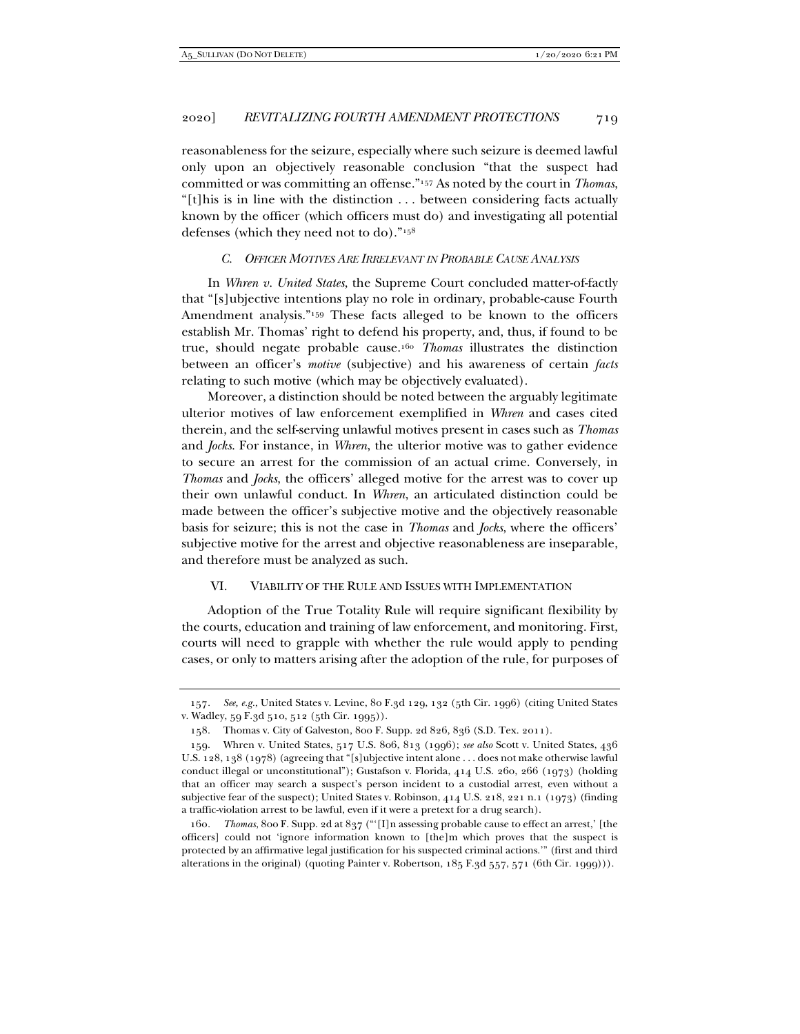reasonableness for the seizure, especially where such seizure is deemed lawful only upon an objectively reasonable conclusion "that the suspect had committed or was committing an offense."157 As noted by the court in *Thomas*, "[t]his is in line with the distinction . . . between considering facts actually known by the officer (which officers must do) and investigating all potential defenses (which they need not to do)."158

#### *C. OFFICER MOTIVES ARE IRRELEVANT IN PROBABLE CAUSE ANALYSIS*

In *Whren v. United States*, the Supreme Court concluded matter-of-factly that "[s]ubjective intentions play no role in ordinary, probable-cause Fourth Amendment analysis."<sup>159</sup> These facts alleged to be known to the officers establish Mr. Thomas' right to defend his property, and, thus, if found to be true, should negate probable cause.160 *Thomas* illustrates the distinction between an officer's *motive* (subjective) and his awareness of certain *facts* relating to such motive (which may be objectively evaluated).

Moreover, a distinction should be noted between the arguably legitimate ulterior motives of law enforcement exemplified in *Whren* and cases cited therein, and the self-serving unlawful motives present in cases such as *Thomas* and *Jocks*. For instance, in *Whren*, the ulterior motive was to gather evidence to secure an arrest for the commission of an actual crime. Conversely, in *Thomas* and *Jocks*, the officers' alleged motive for the arrest was to cover up their own unlawful conduct. In *Whren*, an articulated distinction could be made between the officer's subjective motive and the objectively reasonable basis for seizure; this is not the case in *Thomas* and *Jocks*, where the officers' subjective motive for the arrest and objective reasonableness are inseparable, and therefore must be analyzed as such.

## VI. VIABILITY OF THE RULE AND ISSUES WITH IMPLEMENTATION

Adoption of the True Totality Rule will require significant flexibility by the courts, education and training of law enforcement, and monitoring. First, courts will need to grapple with whether the rule would apply to pending cases, or only to matters arising after the adoption of the rule, for purposes of

<sup>157</sup>*. See, e.g.*, United States v. Levine, 80 F.3d 129, 132 (5th Cir. 1996) (citing United States v. Wadley, 59 F.3d 510, 512 (5th Cir. 1995)).

 <sup>158.</sup> Thomas v. City of Galveston, 800 F. Supp. 2d 826, 836 (S.D. Tex. 2011).

 <sup>159.</sup> Whren v. United States, 517 U.S. 806, 813 (1996); *see also* Scott v. United States, 436 U.S. 128, 138 (1978) (agreeing that "[s]ubjective intent alone . . . does not make otherwise lawful conduct illegal or unconstitutional"); Gustafson v. Florida, 414 U.S. 260, 266 (1973) (holding that an officer may search a suspect's person incident to a custodial arrest, even without a subjective fear of the suspect); United States v. Robinson, 414 U.S. 218, 221 n.1 (1973) (finding a traffic-violation arrest to be lawful, even if it were a pretext for a drug search).

<sup>160</sup>*. Thomas*, 800 F. Supp. 2d at 837 ("'[I]n assessing probable cause to effect an arrest,' [the officers] could not 'ignore information known to [the]m which proves that the suspect is protected by an affirmative legal justification for his suspected criminal actions.'" (first and third alterations in the original) (quoting Painter v. Robertson, 185 F.3d 557, 571 (6th Cir. 1999))).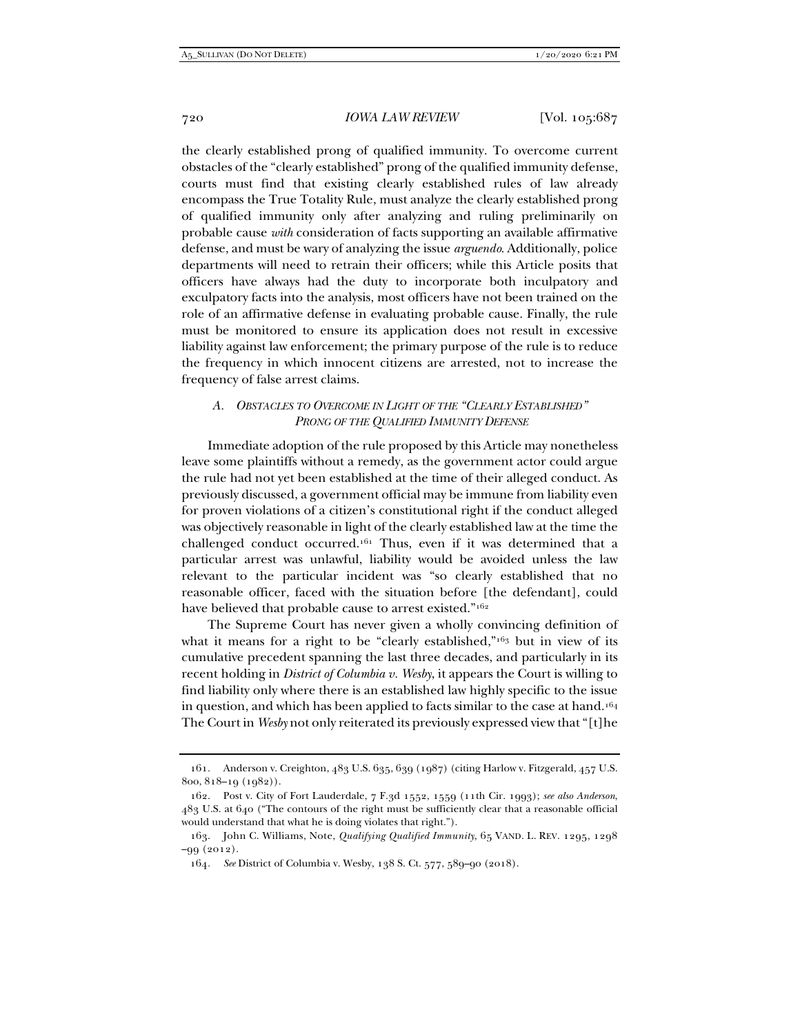the clearly established prong of qualified immunity. To overcome current obstacles of the "clearly established" prong of the qualified immunity defense, courts must find that existing clearly established rules of law already encompass the True Totality Rule, must analyze the clearly established prong of qualified immunity only after analyzing and ruling preliminarily on probable cause *with* consideration of facts supporting an available affirmative defense, and must be wary of analyzing the issue *arguendo*. Additionally, police departments will need to retrain their officers; while this Article posits that officers have always had the duty to incorporate both inculpatory and exculpatory facts into the analysis, most officers have not been trained on the role of an affirmative defense in evaluating probable cause. Finally, the rule must be monitored to ensure its application does not result in excessive liability against law enforcement; the primary purpose of the rule is to reduce the frequency in which innocent citizens are arrested, not to increase the frequency of false arrest claims.

## *A. OBSTACLES TO OVERCOME IN LIGHT OF THE "CLEARLY ESTABLISHED" PRONG OF THE QUALIFIED IMMUNITY DEFENSE*

Immediate adoption of the rule proposed by this Article may nonetheless leave some plaintiffs without a remedy, as the government actor could argue the rule had not yet been established at the time of their alleged conduct. As previously discussed, a government official may be immune from liability even for proven violations of a citizen's constitutional right if the conduct alleged was objectively reasonable in light of the clearly established law at the time the challenged conduct occurred.161 Thus, even if it was determined that a particular arrest was unlawful, liability would be avoided unless the law relevant to the particular incident was "so clearly established that no reasonable officer, faced with the situation before [the defendant], could have believed that probable cause to arrest existed."<sup>162</sup>

The Supreme Court has never given a wholly convincing definition of what it means for a right to be "clearly established,"<sup>163</sup> but in view of its cumulative precedent spanning the last three decades, and particularly in its recent holding in *District of Columbia v. Wesby*, it appears the Court is willing to find liability only where there is an established law highly specific to the issue in question, and which has been applied to facts similar to the case at hand.164 The Court in *Wesby* not only reiterated its previously expressed view that "[t]he

 <sup>161.</sup> Anderson v. Creighton, 483 U.S. 635, 639 (1987) (citing Harlow v. Fitzgerald, 457 U.S. 800, 818–19 (1982)).

 <sup>162.</sup> Post v. City of Fort Lauderdale, 7 F.3d 1552, 1559 (11th Cir. 1993); *see also Anderson*, 483 U.S. at 640 ("The contours of the right must be sufficiently clear that a reasonable official would understand that what he is doing violates that right.").

 <sup>163.</sup> John C. Williams, Note, *Qualifying Qualified Immunity*, 65 VAND. L. REV. 1295, 1298 –99 (2012).

<sup>164</sup>*. See* District of Columbia v. Wesby, 138 S. Ct. 577, 589–90 (2018).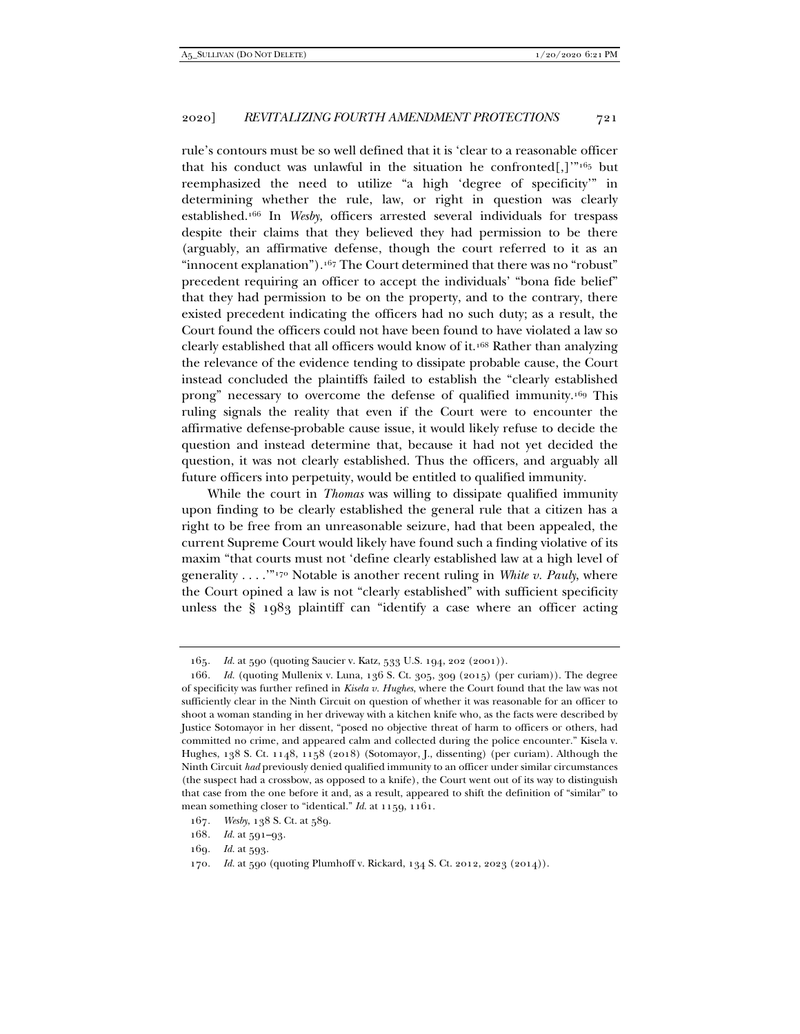rule's contours must be so well defined that it is 'clear to a reasonable officer that his conduct was unlawful in the situation he confronted[,] $\frac{1}{105}$  but reemphasized the need to utilize "a high 'degree of specificity'" in determining whether the rule, law, or right in question was clearly established.166 In *Wesby*, officers arrested several individuals for trespass despite their claims that they believed they had permission to be there (arguably, an affirmative defense, though the court referred to it as an "innocent explanation").<sup>167</sup> The Court determined that there was no "robust" precedent requiring an officer to accept the individuals' "bona fide belief" that they had permission to be on the property, and to the contrary, there existed precedent indicating the officers had no such duty; as a result, the Court found the officers could not have been found to have violated a law so clearly established that all officers would know of it.168 Rather than analyzing the relevance of the evidence tending to dissipate probable cause, the Court instead concluded the plaintiffs failed to establish the "clearly established prong" necessary to overcome the defense of qualified immunity.169 This ruling signals the reality that even if the Court were to encounter the affirmative defense-probable cause issue, it would likely refuse to decide the question and instead determine that, because it had not yet decided the question, it was not clearly established. Thus the officers, and arguably all future officers into perpetuity, would be entitled to qualified immunity.

While the court in *Thomas* was willing to dissipate qualified immunity upon finding to be clearly established the general rule that a citizen has a right to be free from an unreasonable seizure, had that been appealed, the current Supreme Court would likely have found such a finding violative of its maxim "that courts must not 'define clearly established law at a high level of generality . . . .'"170 Notable is another recent ruling in *White v. Pauly*, where the Court opined a law is not "clearly established" with sufficient specificity unless the § 1983 plaintiff can "identify a case where an officer acting

<sup>165</sup>*. Id.* at 590 (quoting Saucier v. Katz, 533 U.S. 194, 202 (2001)).

<sup>166</sup>*. Id.* (quoting Mullenix v. Luna, 136 S. Ct. 305, 309 (2015) (per curiam)). The degree of specificity was further refined in *Kisela v. Hughes*, where the Court found that the law was not sufficiently clear in the Ninth Circuit on question of whether it was reasonable for an officer to shoot a woman standing in her driveway with a kitchen knife who, as the facts were described by Justice Sotomayor in her dissent, "posed no objective threat of harm to officers or others, had committed no crime, and appeared calm and collected during the police encounter." Kisela v. Hughes, 138 S. Ct. 1148, 1158 (2018) (Sotomayor, J., dissenting) (per curiam). Although the Ninth Circuit *had* previously denied qualified immunity to an officer under similar circumstances (the suspect had a crossbow, as opposed to a knife), the Court went out of its way to distinguish that case from the one before it and, as a result, appeared to shift the definition of "similar" to mean something closer to "identical." *Id.* at 1159, 1161.

<sup>167</sup>*. Wesby*, 138 S. Ct. at 589.

<sup>168</sup>*. Id.* at 591–93.

<sup>169</sup>*. Id.* at 593.

<sup>170</sup>*. Id.* at 590 (quoting Plumhoff v. Rickard, 134 S. Ct. 2012, 2023 (2014)).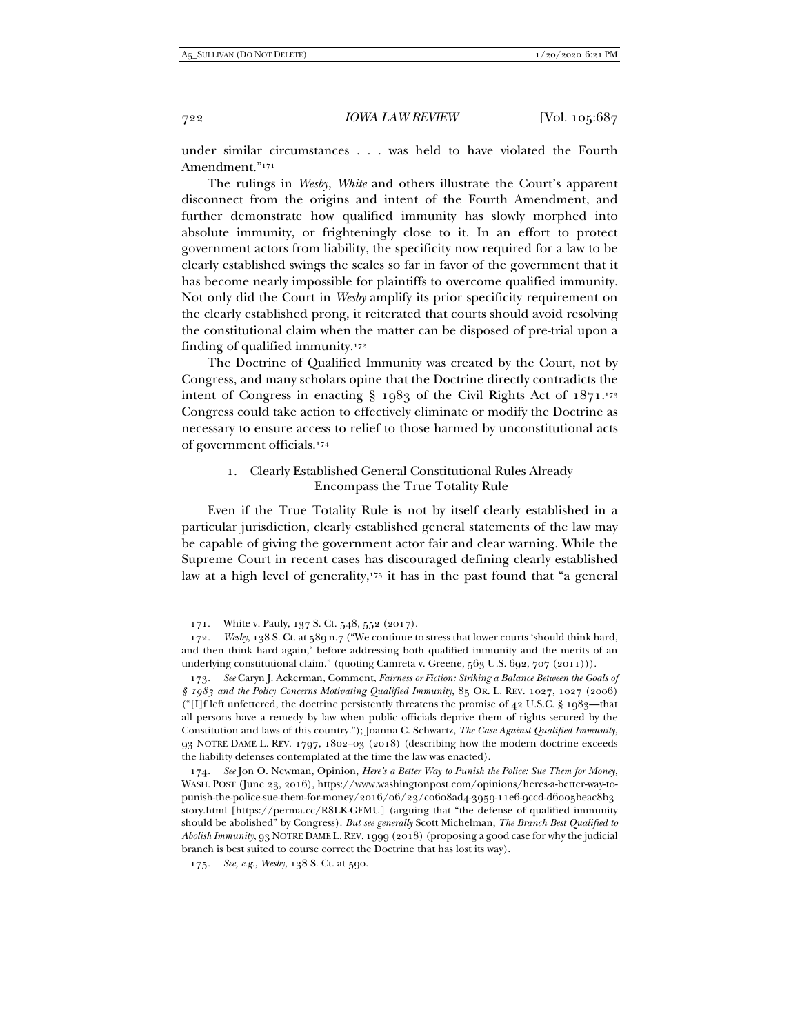under similar circumstances . . . was held to have violated the Fourth Amendment."171

The rulings in *Wesby*, *White* and others illustrate the Court's apparent disconnect from the origins and intent of the Fourth Amendment, and further demonstrate how qualified immunity has slowly morphed into absolute immunity, or frighteningly close to it. In an effort to protect government actors from liability, the specificity now required for a law to be clearly established swings the scales so far in favor of the government that it has become nearly impossible for plaintiffs to overcome qualified immunity. Not only did the Court in *Wesby* amplify its prior specificity requirement on the clearly established prong, it reiterated that courts should avoid resolving the constitutional claim when the matter can be disposed of pre-trial upon a finding of qualified immunity.172

The Doctrine of Qualified Immunity was created by the Court, not by Congress, and many scholars opine that the Doctrine directly contradicts the intent of Congress in enacting  $\S$  1983 of the Civil Rights Act of 1871.<sup>173</sup> Congress could take action to effectively eliminate or modify the Doctrine as necessary to ensure access to relief to those harmed by unconstitutional acts of government officials.174

## 1. Clearly Established General Constitutional Rules Already Encompass the True Totality Rule

Even if the True Totality Rule is not by itself clearly established in a particular jurisdiction, clearly established general statements of the law may be capable of giving the government actor fair and clear warning. While the Supreme Court in recent cases has discouraged defining clearly established law at a high level of generality,<sup>175</sup> it has in the past found that "a general

 <sup>171.</sup> White v. Pauly, 137 S. Ct. 548, 552 (2017).

<sup>172</sup>*. Wesby*, 138 S. Ct. at 589 n.7 ("We continue to stress that lower courts 'should think hard, and then think hard again,' before addressing both qualified immunity and the merits of an underlying constitutional claim." (quoting Camreta v. Greene, 563 U.S. 692, 707 (2011))).

<sup>173</sup>*. See* Caryn J. Ackerman, Comment, *Fairness or Fiction: Striking a Balance Between the Goals of § 1983 and the Policy Concerns Motivating Qualified Immunity*, 85 OR. L. REV. 1027, 1027 (2006) ("[I]f left unfettered, the doctrine persistently threatens the promise of  $42$  U.S.C. § 1983—that all persons have a remedy by law when public officials deprive them of rights secured by the Constitution and laws of this country."); Joanna C. Schwartz, *The Case Against Qualified Immunity*, 93 NOTRE DAME L. REV. 1797, 1802–03 (2018) (describing how the modern doctrine exceeds the liability defenses contemplated at the time the law was enacted).

<sup>174</sup>*. See* Jon O. Newman, Opinion, *Here's a Better Way to Punish the Police: Sue Them for Money*, WASH. POST (June 23, 2016), https://www.washingtonpost.com/opinions/heres-a-better-way-topunish-the-police-sue-them-for-money/2016/06/23/c0608ad4-3959-11e6-9ccd-d6005beac8b3 story.html [https://perma.cc/R8LK-GFMU] (arguing that "the defense of qualified immunity should be abolished" by Congress). *But see generally* Scott Michelman, *The Branch Best Qualified to Abolish Immunity*, 93 NOTRE DAME L. REV. 1999 (2018) (proposing a good case for why the judicial branch is best suited to course correct the Doctrine that has lost its way).

<sup>175</sup>*. See, e.g.*, *Wesby*, 138 S. Ct. at 590.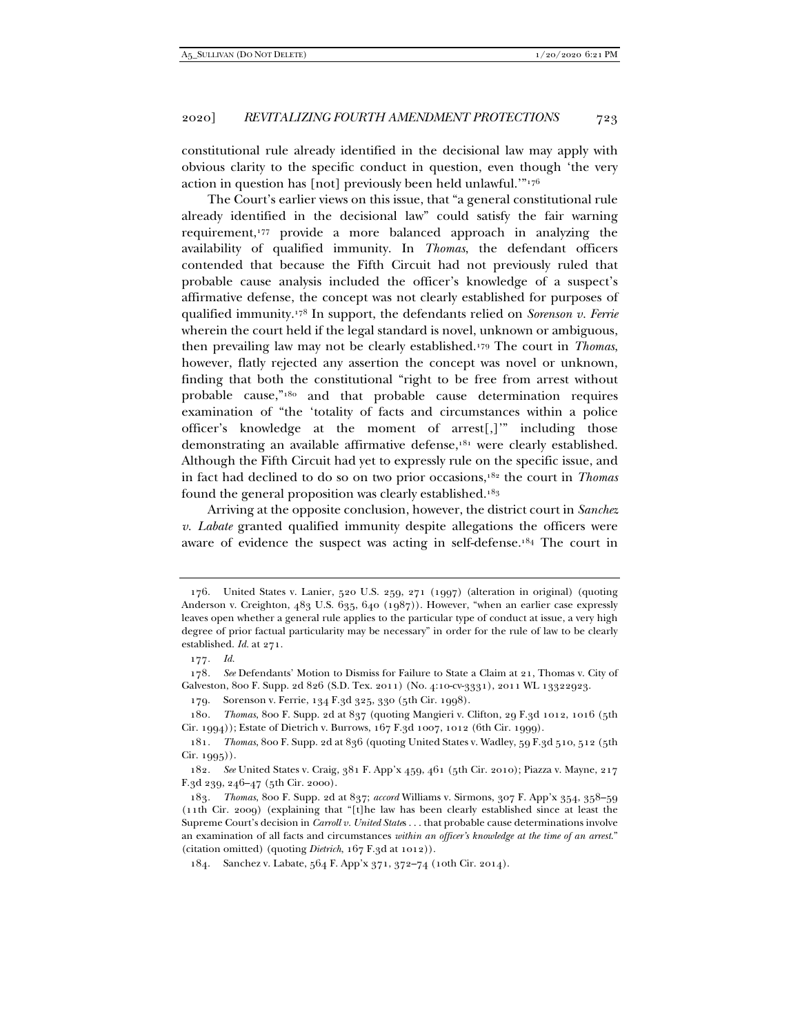constitutional rule already identified in the decisional law may apply with obvious clarity to the specific conduct in question, even though 'the very action in question has [not] previously been held unlawful.'"176

The Court's earlier views on this issue, that "a general constitutional rule already identified in the decisional law" could satisfy the fair warning requirement,177 provide a more balanced approach in analyzing the availability of qualified immunity. In *Thomas*, the defendant officers contended that because the Fifth Circuit had not previously ruled that probable cause analysis included the officer's knowledge of a suspect's affirmative defense, the concept was not clearly established for purposes of qualified immunity.178 In support, the defendants relied on *Sorenson v. Ferrie* wherein the court held if the legal standard is novel, unknown or ambiguous, then prevailing law may not be clearly established.179 The court in *Thomas*, however, flatly rejected any assertion the concept was novel or unknown, finding that both the constitutional "right to be free from arrest without probable cause,"180 and that probable cause determination requires examination of "the 'totality of facts and circumstances within a police officer's knowledge at the moment of arrest[,]'" including those demonstrating an available affirmative defense,181 were clearly established. Although the Fifth Circuit had yet to expressly rule on the specific issue, and in fact had declined to do so on two prior occasions,182 the court in *Thomas* found the general proposition was clearly established.183

Arriving at the opposite conclusion, however, the district court in *Sanchez v. Labate* granted qualified immunity despite allegations the officers were aware of evidence the suspect was acting in self-defense.184 The court in

 <sup>176.</sup> United States v. Lanier, 520 U.S. 259, 271 (1997) (alteration in original) (quoting Anderson v. Creighton, 483 U.S. 635, 640 (1987)). However, "when an earlier case expressly leaves open whether a general rule applies to the particular type of conduct at issue, a very high degree of prior factual particularity may be necessary" in order for the rule of law to be clearly established. *Id.* at 271.

<sup>177</sup>*. Id.*

<sup>178</sup>*. See* Defendants' Motion to Dismiss for Failure to State a Claim at 21, Thomas v. City of Galveston, 800 F. Supp. 2d 826 (S.D. Tex. 2011) (No. 4:10-cv-3331), 2011 WL 13322923.

 <sup>179.</sup> Sorenson v. Ferrie, 134 F.3d 325, 330 (5th Cir. 1998).

<sup>180</sup>*. Thomas*, 800 F. Supp. 2d at 837 (quoting Mangieri v. Clifton, 29 F.3d 1012, 1016 (5th Cir. 1994)); Estate of Dietrich v. Burrows, 167 F.3d 1007, 1012 (6th Cir. 1999).

<sup>181</sup>*. Thomas*, 800 F. Supp. 2d at 836 (quoting United States v. Wadley, 59 F.3d 510, 512 (5th Cir. 1995)).

<sup>182</sup>*. See* United States v. Craig, 381 F. App'x 459, 461 (5th Cir. 2010); Piazza v. Mayne, 217 F.3d 239, 246–47 (5th Cir. 2000).

<sup>183</sup>*. Thomas*, 800 F. Supp. 2d at 837; *accord* Williams v. Sirmons, 307 F. App'x 354, 358–59 (11th Cir. 2009) (explaining that "[t]he law has been clearly established since at least the Supreme Court's decision in *Carroll v. United State*s . . . that probable cause determinations involve an examination of all facts and circumstances *within an officer's knowledge at the time of an arrest*." (citation omitted) (quoting *Dietrich*, 167 F.3d at 1012)).

 <sup>184.</sup> Sanchez v. Labate, 564 F. App'x 371, 372–74 (10th Cir. 2014).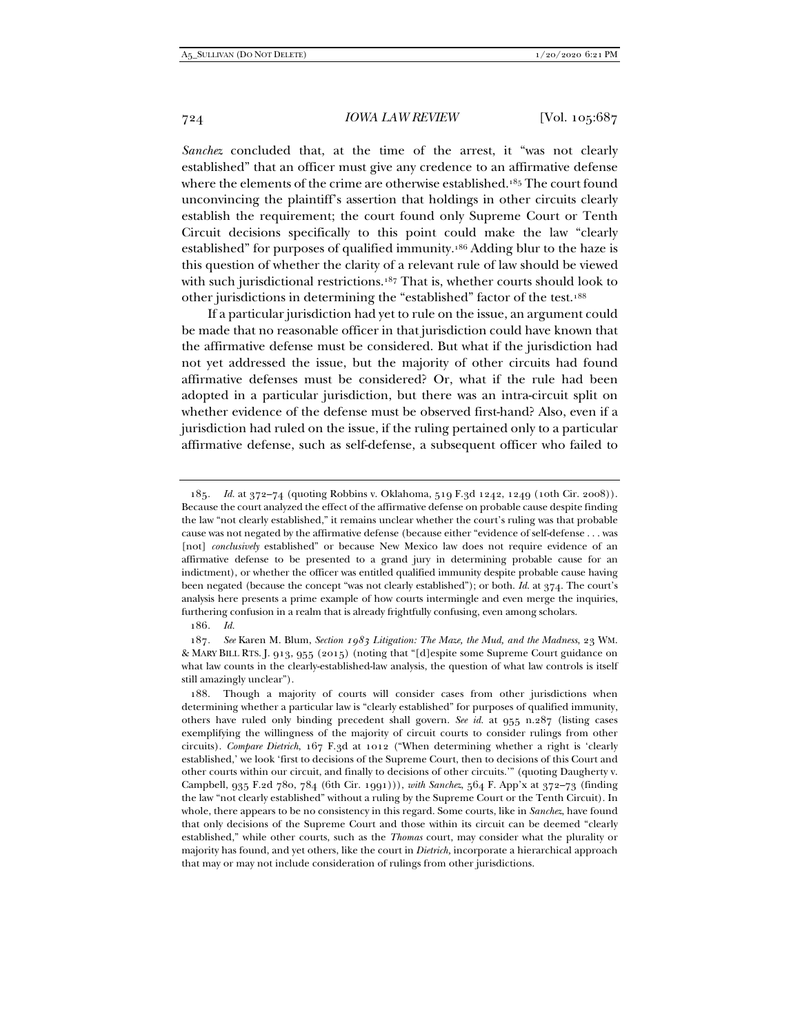*Sanchez* concluded that, at the time of the arrest, it "was not clearly established" that an officer must give any credence to an affirmative defense where the elements of the crime are otherwise established.<sup>185</sup> The court found unconvincing the plaintiff's assertion that holdings in other circuits clearly establish the requirement; the court found only Supreme Court or Tenth Circuit decisions specifically to this point could make the law "clearly established" for purposes of qualified immunity.186 Adding blur to the haze is this question of whether the clarity of a relevant rule of law should be viewed with such jurisdictional restrictions.<sup>187</sup> That is, whether courts should look to other jurisdictions in determining the "established" factor of the test.188

If a particular jurisdiction had yet to rule on the issue, an argument could be made that no reasonable officer in that jurisdiction could have known that the affirmative defense must be considered. But what if the jurisdiction had not yet addressed the issue, but the majority of other circuits had found affirmative defenses must be considered? Or, what if the rule had been adopted in a particular jurisdiction, but there was an intra-circuit split on whether evidence of the defense must be observed first-hand? Also, even if a jurisdiction had ruled on the issue, if the ruling pertained only to a particular affirmative defense, such as self-defense, a subsequent officer who failed to

<sup>185</sup>*. Id.* at 372–74 (quoting Robbins v. Oklahoma, 519 F.3d 1242, 1249 (10th Cir. 2008)). Because the court analyzed the effect of the affirmative defense on probable cause despite finding the law "not clearly established," it remains unclear whether the court's ruling was that probable cause was not negated by the affirmative defense (because either "evidence of self-defense . . . was [not] *conclusively* established" or because New Mexico law does not require evidence of an affirmative defense to be presented to a grand jury in determining probable cause for an indictment), or whether the officer was entitled qualified immunity despite probable cause having been negated (because the concept "was not clearly established"); or both. *Id.* at 374. The court's analysis here presents a prime example of how courts intermingle and even merge the inquiries, furthering confusion in a realm that is already frightfully confusing, even among scholars.

<sup>186</sup>*. Id.*

<sup>187</sup>*. See* Karen M. Blum, *Section 1983 Litigation: The Maze, the Mud, and the Madness*, 23 WM. & MARY BILL RTS. J. 913, 955 (2015) (noting that "[d]espite some Supreme Court guidance on what law counts in the clearly-established-law analysis, the question of what law controls is itself still amazingly unclear").

 <sup>188.</sup> Though a majority of courts will consider cases from other jurisdictions when determining whether a particular law is "clearly established" for purposes of qualified immunity, others have ruled only binding precedent shall govern. *See id.* at 955 n.287 (listing cases exemplifying the willingness of the majority of circuit courts to consider rulings from other circuits). *Compare Dietrich*, 167 F.3d at 1012 ("When determining whether a right is 'clearly established,' we look 'first to decisions of the Supreme Court, then to decisions of this Court and other courts within our circuit, and finally to decisions of other circuits.'" (quoting Daugherty v. Campbell, 935 F.2d 780, 784 (6th Cir. 1991))), *with Sanchez*, 564 F. App'x at 372–73 (finding the law "not clearly established" without a ruling by the Supreme Court or the Tenth Circuit). In whole, there appears to be no consistency in this regard. Some courts, like in *Sanchez*, have found that only decisions of the Supreme Court and those within its circuit can be deemed "clearly established," while other courts, such as the *Thomas* court, may consider what the plurality or majority has found, and yet others, like the court in *Dietrich,* incorporate a hierarchical approach that may or may not include consideration of rulings from other jurisdictions.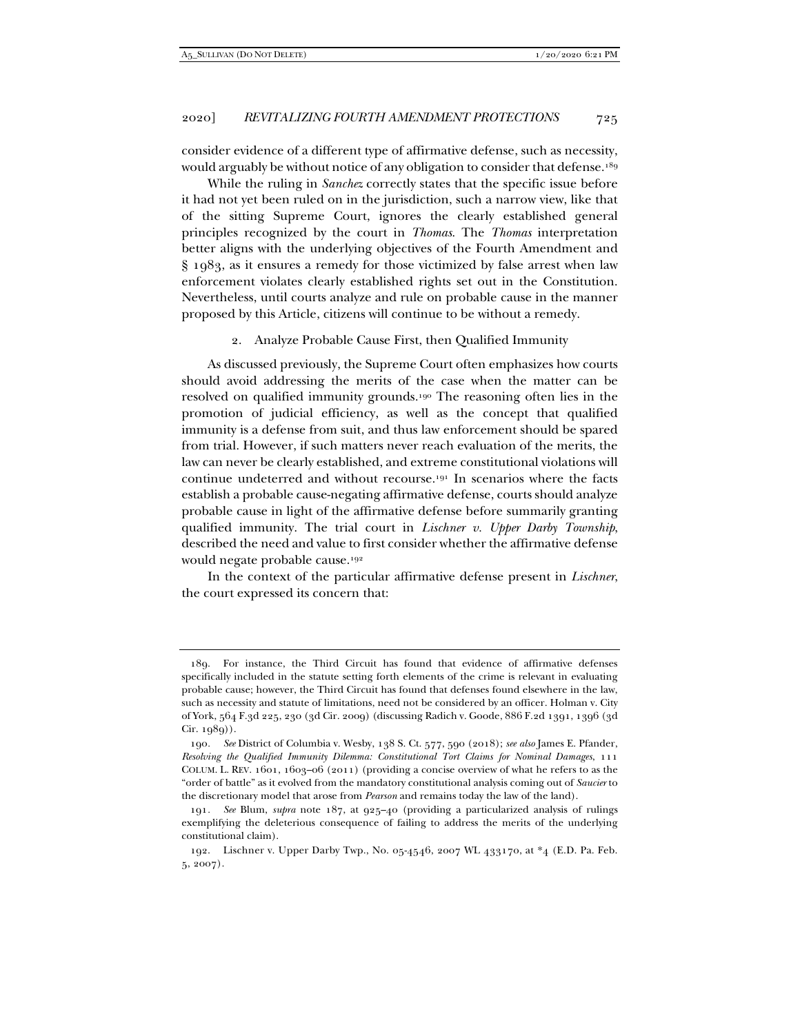consider evidence of a different type of affirmative defense, such as necessity, would arguably be without notice of any obligation to consider that defense.<sup>189</sup>

While the ruling in *Sanchez* correctly states that the specific issue before it had not yet been ruled on in the jurisdiction, such a narrow view, like that of the sitting Supreme Court, ignores the clearly established general principles recognized by the court in *Thomas*. The *Thomas* interpretation better aligns with the underlying objectives of the Fourth Amendment and § 1983, as it ensures a remedy for those victimized by false arrest when law enforcement violates clearly established rights set out in the Constitution. Nevertheless, until courts analyze and rule on probable cause in the manner proposed by this Article, citizens will continue to be without a remedy.

#### 2. Analyze Probable Cause First, then Qualified Immunity

As discussed previously, the Supreme Court often emphasizes how courts should avoid addressing the merits of the case when the matter can be resolved on qualified immunity grounds.190 The reasoning often lies in the promotion of judicial efficiency, as well as the concept that qualified immunity is a defense from suit, and thus law enforcement should be spared from trial. However, if such matters never reach evaluation of the merits, the law can never be clearly established, and extreme constitutional violations will continue undeterred and without recourse.191 In scenarios where the facts establish a probable cause-negating affirmative defense, courts should analyze probable cause in light of the affirmative defense before summarily granting qualified immunity. The trial court in *Lischner v. Upper Darby Township*, described the need and value to first consider whether the affirmative defense would negate probable cause.192

In the context of the particular affirmative defense present in *Lischner*, the court expressed its concern that:

 <sup>189.</sup> For instance, the Third Circuit has found that evidence of affirmative defenses specifically included in the statute setting forth elements of the crime is relevant in evaluating probable cause; however, the Third Circuit has found that defenses found elsewhere in the law, such as necessity and statute of limitations, need not be considered by an officer. Holman v. City of York, 564 F.3d 225, 230 (3d Cir. 2009) (discussing Radich v. Goode, 886 F.2d 1391, 1396 (3d Cir. 1989)).

<sup>190</sup>*. See* District of Columbia v. Wesby, 138 S. Ct. 577, 590 (2018); *see also* James E. Pfander, *Resolving the Qualified Immunity Dilemma: Constitutional Tort Claims for Nominal Damages*, 111 COLUM. L. REV. 1601, 1603–06 (2011) (providing a concise overview of what he refers to as the "order of battle" as it evolved from the mandatory constitutional analysis coming out of *Saucier* to the discretionary model that arose from *Pearson* and remains today the law of the land).

<sup>191</sup>*. See* Blum, *supra* note 187, at 925–40 (providing a particularized analysis of rulings exemplifying the deleterious consequence of failing to address the merits of the underlying constitutional claim).

 <sup>192.</sup> Lischner v. Upper Darby Twp., No. 05-4546, 2007 WL 433170, at \*4 (E.D. Pa. Feb. 5, 2007).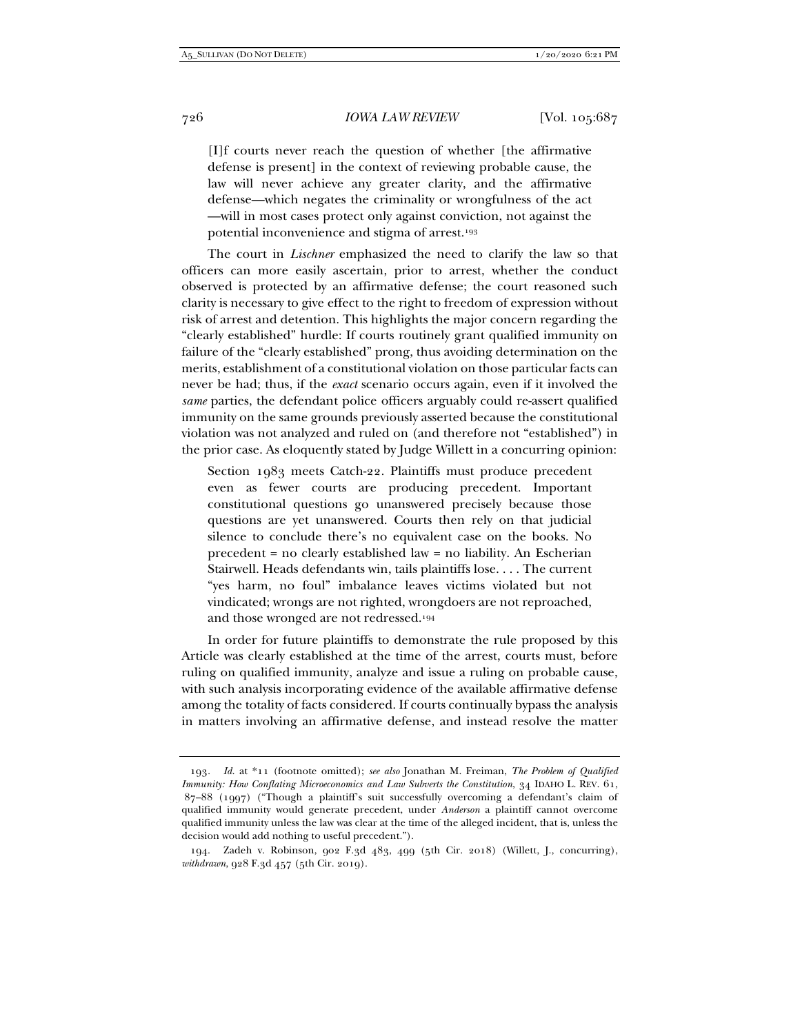[I]f courts never reach the question of whether [the affirmative defense is present] in the context of reviewing probable cause, the law will never achieve any greater clarity, and the affirmative defense—which negates the criminality or wrongfulness of the act —will in most cases protect only against conviction, not against the potential inconvenience and stigma of arrest.193

The court in *Lischner* emphasized the need to clarify the law so that officers can more easily ascertain, prior to arrest, whether the conduct observed is protected by an affirmative defense; the court reasoned such clarity is necessary to give effect to the right to freedom of expression without risk of arrest and detention. This highlights the major concern regarding the "clearly established" hurdle: If courts routinely grant qualified immunity on failure of the "clearly established" prong, thus avoiding determination on the merits, establishment of a constitutional violation on those particular facts can never be had; thus, if the *exact* scenario occurs again, even if it involved the *same* parties, the defendant police officers arguably could re-assert qualified immunity on the same grounds previously asserted because the constitutional violation was not analyzed and ruled on (and therefore not "established") in the prior case. As eloquently stated by Judge Willett in a concurring opinion:

Section 1983 meets Catch-22. Plaintiffs must produce precedent even as fewer courts are producing precedent. Important constitutional questions go unanswered precisely because those questions are yet unanswered. Courts then rely on that judicial silence to conclude there's no equivalent case on the books. No precedent = no clearly established law = no liability. An Escherian Stairwell. Heads defendants win, tails plaintiffs lose. . . . The current "yes harm, no foul" imbalance leaves victims violated but not vindicated; wrongs are not righted, wrongdoers are not reproached, and those wronged are not redressed.194

In order for future plaintiffs to demonstrate the rule proposed by this Article was clearly established at the time of the arrest, courts must, before ruling on qualified immunity, analyze and issue a ruling on probable cause, with such analysis incorporating evidence of the available affirmative defense among the totality of facts considered. If courts continually bypass the analysis in matters involving an affirmative defense, and instead resolve the matter

<sup>193</sup>*. Id.* at \*11 (footnote omitted); *see also* Jonathan M. Freiman, *The Problem of Qualified Immunity: How Conflating Microeconomics and Law Subverts the Constitution*, 34 IDAHO L. REV. 61, 87–88 (1997) ("Though a plaintiff's suit successfully overcoming a defendant's claim of qualified immunity would generate precedent, under *Anderson* a plaintiff cannot overcome qualified immunity unless the law was clear at the time of the alleged incident, that is, unless the decision would add nothing to useful precedent.").

 <sup>194.</sup> Zadeh v. Robinson, 902 F.3d 483, 499 (5th Cir. 2018) (Willett, J., concurring), *withdrawn*, 928 F.3d 457 (5th Cir. 2019).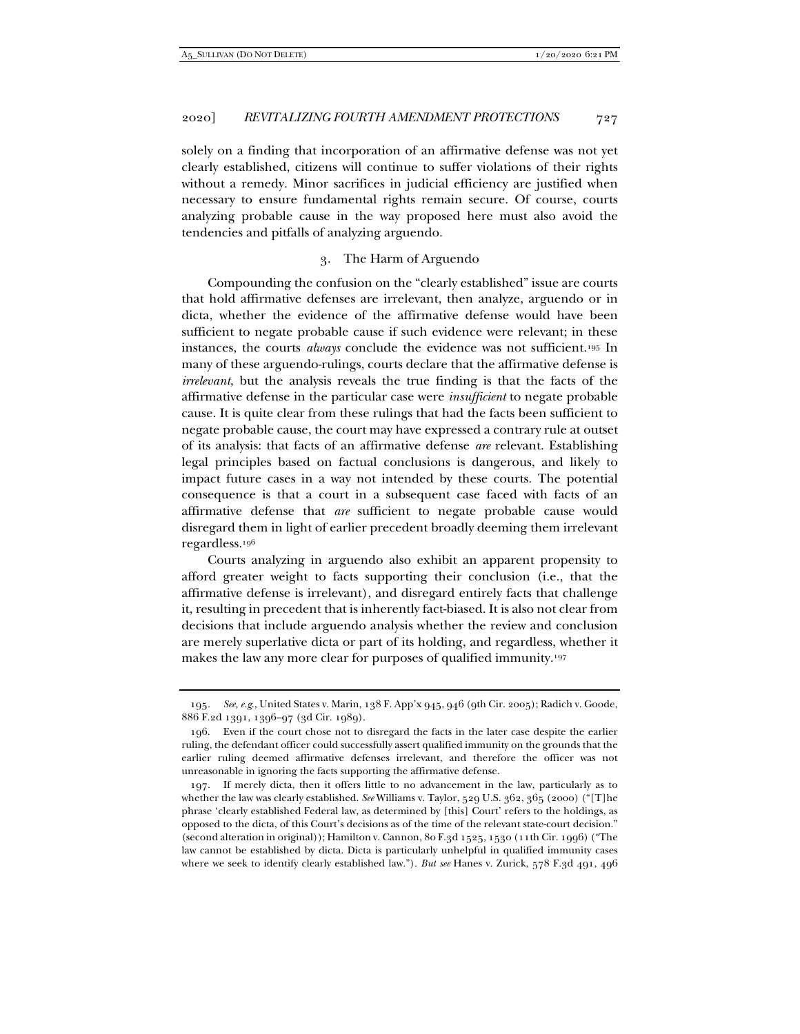solely on a finding that incorporation of an affirmative defense was not yet clearly established, citizens will continue to suffer violations of their rights without a remedy. Minor sacrifices in judicial efficiency are justified when necessary to ensure fundamental rights remain secure. Of course, courts analyzing probable cause in the way proposed here must also avoid the tendencies and pitfalls of analyzing arguendo.

## 3. The Harm of Arguendo

Compounding the confusion on the "clearly established" issue are courts that hold affirmative defenses are irrelevant, then analyze, arguendo or in dicta, whether the evidence of the affirmative defense would have been sufficient to negate probable cause if such evidence were relevant; in these instances, the courts *always* conclude the evidence was not sufficient.195 In many of these arguendo-rulings, courts declare that the affirmative defense is *irrelevant*, but the analysis reveals the true finding is that the facts of the affirmative defense in the particular case were *insufficient* to negate probable cause. It is quite clear from these rulings that had the facts been sufficient to negate probable cause, the court may have expressed a contrary rule at outset of its analysis: that facts of an affirmative defense *are* relevant. Establishing legal principles based on factual conclusions is dangerous, and likely to impact future cases in a way not intended by these courts. The potential consequence is that a court in a subsequent case faced with facts of an affirmative defense that *are* sufficient to negate probable cause would disregard them in light of earlier precedent broadly deeming them irrelevant regardless.196

Courts analyzing in arguendo also exhibit an apparent propensity to afford greater weight to facts supporting their conclusion (i.e., that the affirmative defense is irrelevant), and disregard entirely facts that challenge it, resulting in precedent that is inherently fact-biased. It is also not clear from decisions that include arguendo analysis whether the review and conclusion are merely superlative dicta or part of its holding, and regardless, whether it makes the law any more clear for purposes of qualified immunity.197

<sup>195</sup>*. See, e.g*., United States v. Marin, 138 F. App'x 945, 946 (9th Cir. 2005); Radich v. Goode, 886 F.2d 1391, 1396–97 (3d Cir. 1989).

 <sup>196.</sup> Even if the court chose not to disregard the facts in the later case despite the earlier ruling, the defendant officer could successfully assert qualified immunity on the grounds that the earlier ruling deemed affirmative defenses irrelevant, and therefore the officer was not unreasonable in ignoring the facts supporting the affirmative defense.

 <sup>197.</sup> If merely dicta, then it offers little to no advancement in the law, particularly as to whether the law was clearly established. *See* Williams v. Taylor, 529 U.S. 362, 365 (2000) ("[T]he phrase 'clearly established Federal law, as determined by [this] Court' refers to the holdings, as opposed to the dicta, of this Court's decisions as of the time of the relevant state-court decision." (second alteration in original)); Hamilton v. Cannon, 80 F.3d 1525, 1530 (11th Cir. 1996) ("The law cannot be established by dicta. Dicta is particularly unhelpful in qualified immunity cases where we seek to identify clearly established law."). *But see* Hanes v. Zurick, 578 F.3d 491, 496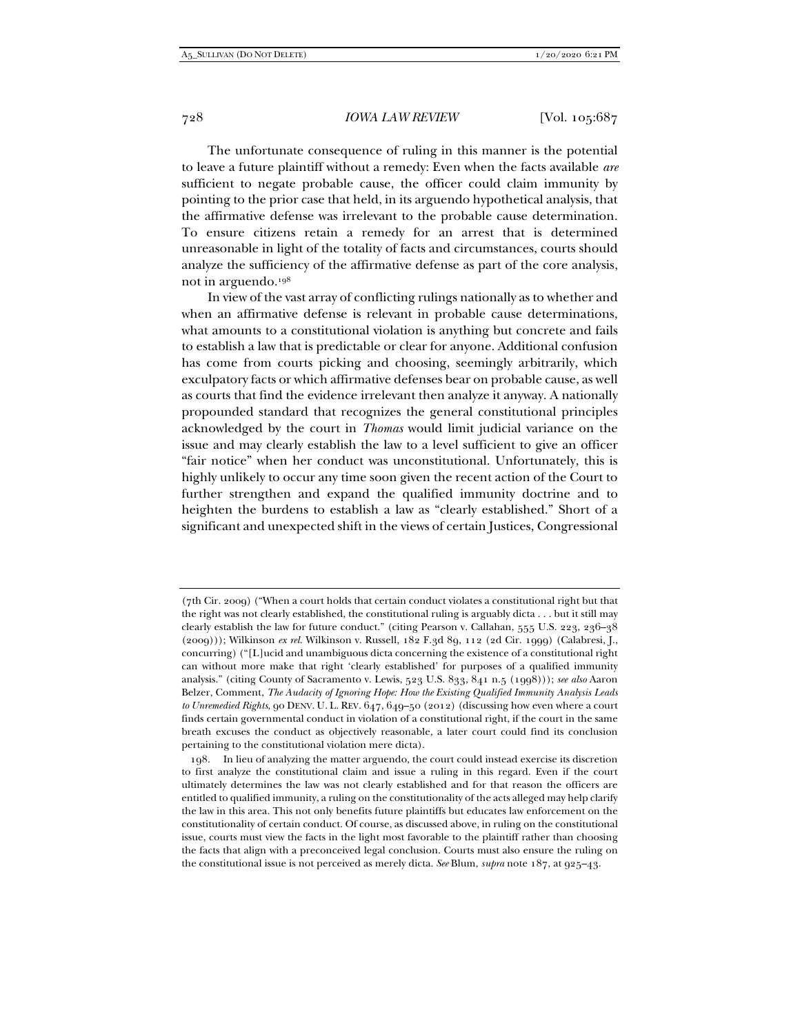The unfortunate consequence of ruling in this manner is the potential to leave a future plaintiff without a remedy: Even when the facts available *are* sufficient to negate probable cause, the officer could claim immunity by pointing to the prior case that held, in its arguendo hypothetical analysis, that the affirmative defense was irrelevant to the probable cause determination. To ensure citizens retain a remedy for an arrest that is determined unreasonable in light of the totality of facts and circumstances, courts should analyze the sufficiency of the affirmative defense as part of the core analysis, not in arguendo.198

In view of the vast array of conflicting rulings nationally as to whether and when an affirmative defense is relevant in probable cause determinations, what amounts to a constitutional violation is anything but concrete and fails to establish a law that is predictable or clear for anyone. Additional confusion has come from courts picking and choosing, seemingly arbitrarily, which exculpatory facts or which affirmative defenses bear on probable cause, as well as courts that find the evidence irrelevant then analyze it anyway. A nationally propounded standard that recognizes the general constitutional principles acknowledged by the court in *Thomas* would limit judicial variance on the issue and may clearly establish the law to a level sufficient to give an officer "fair notice" when her conduct was unconstitutional. Unfortunately, this is highly unlikely to occur any time soon given the recent action of the Court to further strengthen and expand the qualified immunity doctrine and to heighten the burdens to establish a law as "clearly established." Short of a significant and unexpected shift in the views of certain Justices, Congressional

<sup>(7</sup>th Cir. 2009) ("When a court holds that certain conduct violates a constitutional right but that the right was not clearly established, the constitutional ruling is arguably dicta . . . but it still may clearly establish the law for future conduct." (citing Pearson v. Callahan, 555 U.S. 223, 236–38 (2009))); Wilkinson *ex rel.* Wilkinson v. Russell, 182 F.3d 89, 112 (2d Cir. 1999) (Calabresi, J., concurring) ("[L]ucid and unambiguous dicta concerning the existence of a constitutional right can without more make that right 'clearly established' for purposes of a qualified immunity analysis." (citing County of Sacramento v. Lewis, 523 U.S. 833, 841 n.5 (1998))); *see also* Aaron Belzer, Comment, *The Audacity of Ignoring Hope: How the Existing Qualified Immunity Analysis Leads to Unremedied Rights*, 90 DENV. U. L. REV. 647, 649–50 (2012) (discussing how even where a court finds certain governmental conduct in violation of a constitutional right, if the court in the same breath excuses the conduct as objectively reasonable, a later court could find its conclusion pertaining to the constitutional violation mere dicta).

 <sup>198.</sup> In lieu of analyzing the matter arguendo, the court could instead exercise its discretion to first analyze the constitutional claim and issue a ruling in this regard. Even if the court ultimately determines the law was not clearly established and for that reason the officers are entitled to qualified immunity, a ruling on the constitutionality of the acts alleged may help clarify the law in this area. This not only benefits future plaintiffs but educates law enforcement on the constitutionality of certain conduct. Of course, as discussed above, in ruling on the constitutional issue, courts must view the facts in the light most favorable to the plaintiff rather than choosing the facts that align with a preconceived legal conclusion. Courts must also ensure the ruling on the constitutional issue is not perceived as merely dicta. *See* Blum, *supra* note 187, at 925–43.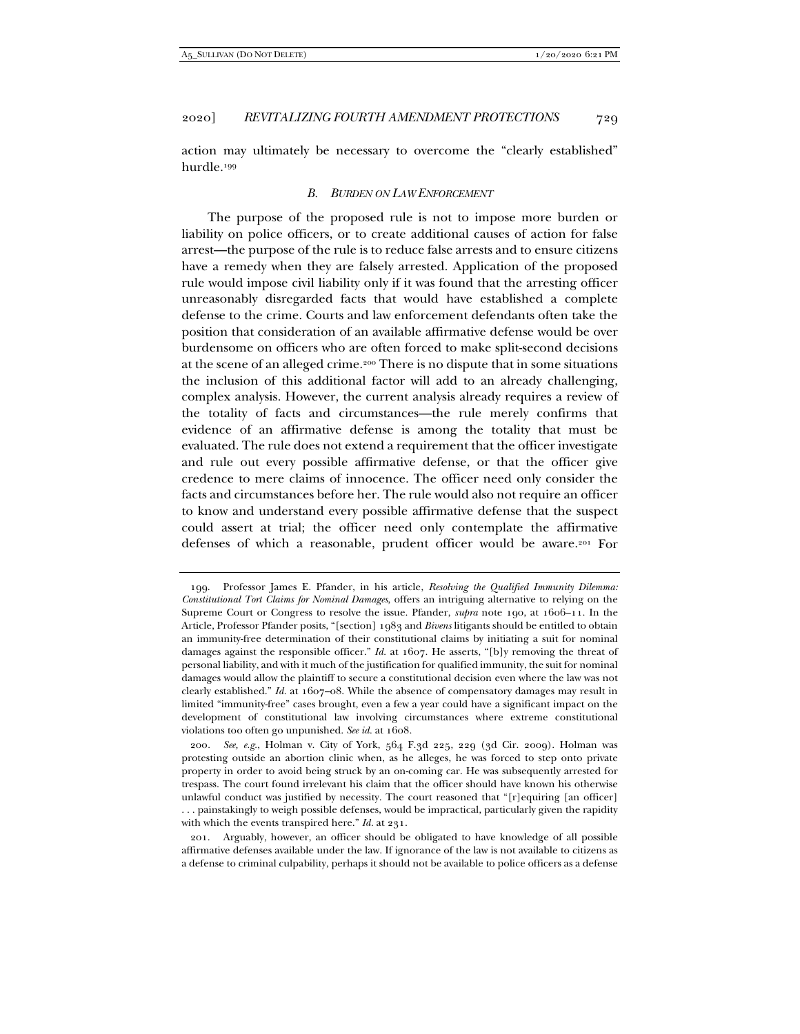action may ultimately be necessary to overcome the "clearly established" hurdle.199

#### *B. BURDEN ON LAW ENFORCEMENT*

The purpose of the proposed rule is not to impose more burden or liability on police officers, or to create additional causes of action for false arrest—the purpose of the rule is to reduce false arrests and to ensure citizens have a remedy when they are falsely arrested. Application of the proposed rule would impose civil liability only if it was found that the arresting officer unreasonably disregarded facts that would have established a complete defense to the crime. Courts and law enforcement defendants often take the position that consideration of an available affirmative defense would be over burdensome on officers who are often forced to make split-second decisions at the scene of an alleged crime.200 There is no dispute that in some situations the inclusion of this additional factor will add to an already challenging, complex analysis. However, the current analysis already requires a review of the totality of facts and circumstances—the rule merely confirms that evidence of an affirmative defense is among the totality that must be evaluated. The rule does not extend a requirement that the officer investigate and rule out every possible affirmative defense, or that the officer give credence to mere claims of innocence. The officer need only consider the facts and circumstances before her. The rule would also not require an officer to know and understand every possible affirmative defense that the suspect could assert at trial; the officer need only contemplate the affirmative defenses of which a reasonable, prudent officer would be aware.201 For

 <sup>199.</sup> Professor James E. Pfander, in his article, *Resolving the Qualified Immunity Dilemma: Constitutional Tort Claims for Nominal Damages*, offers an intriguing alternative to relying on the Supreme Court or Congress to resolve the issue. Pfander, *supra* note 190, at 1606–11. In the Article, Professor Pfander posits, "[section] 1983 and *Bivens* litigants should be entitled to obtain an immunity-free determination of their constitutional claims by initiating a suit for nominal damages against the responsible officer." *Id.* at 1607. He asserts, "[b]y removing the threat of personal liability, and with it much of the justification for qualified immunity, the suit for nominal damages would allow the plaintiff to secure a constitutional decision even where the law was not clearly established." *Id.* at 1607–08. While the absence of compensatory damages may result in limited "immunity-free" cases brought, even a few a year could have a significant impact on the development of constitutional law involving circumstances where extreme constitutional violations too often go unpunished. *See id.* at 1608.

<sup>200</sup>*. See, e.g.*, Holman v. City of York, 564 F.3d 225, 229 (3d Cir. 2009). Holman was protesting outside an abortion clinic when, as he alleges, he was forced to step onto private property in order to avoid being struck by an on-coming car. He was subsequently arrested for trespass. The court found irrelevant his claim that the officer should have known his otherwise unlawful conduct was justified by necessity. The court reasoned that "[r]equiring [an officer] . . . painstakingly to weigh possible defenses, would be impractical, particularly given the rapidity with which the events transpired here." *Id.* at 231.

 <sup>201.</sup> Arguably, however, an officer should be obligated to have knowledge of all possible affirmative defenses available under the law. If ignorance of the law is not available to citizens as a defense to criminal culpability, perhaps it should not be available to police officers as a defense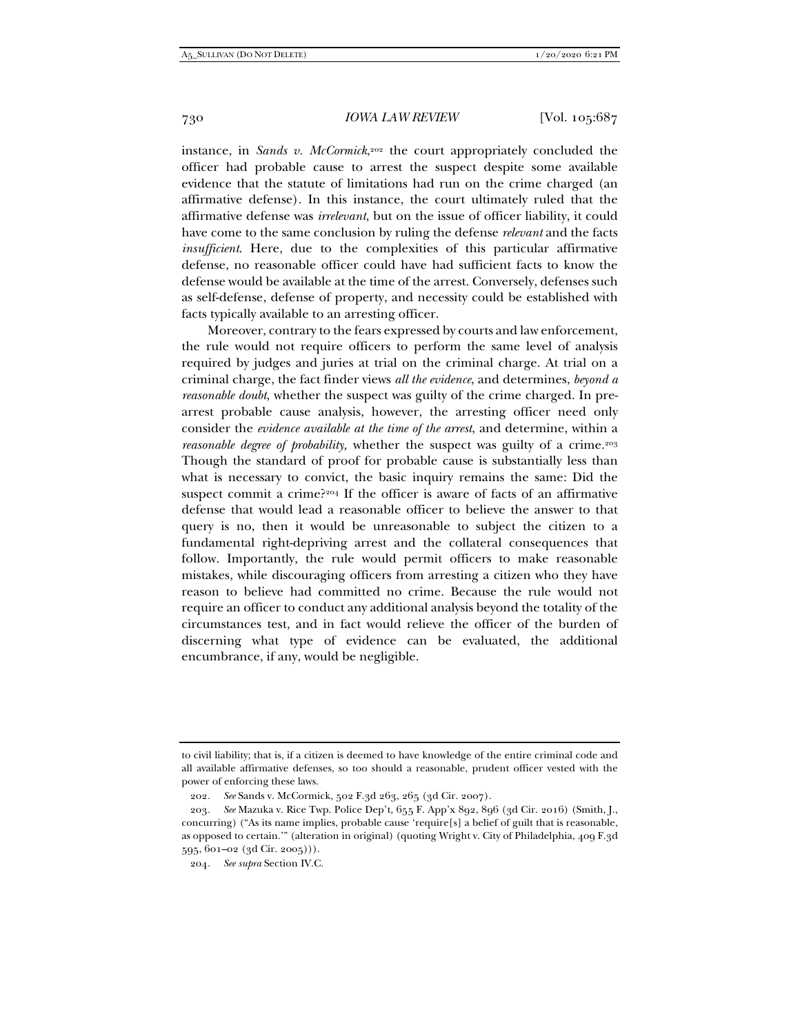instance, in *Sands v. McCormick*,202 the court appropriately concluded the officer had probable cause to arrest the suspect despite some available evidence that the statute of limitations had run on the crime charged (an affirmative defense). In this instance, the court ultimately ruled that the affirmative defense was *irrelevant*, but on the issue of officer liability, it could have come to the same conclusion by ruling the defense *relevant* and the facts *insufficient*. Here, due to the complexities of this particular affirmative defense, no reasonable officer could have had sufficient facts to know the defense would be available at the time of the arrest. Conversely, defenses such as self-defense, defense of property, and necessity could be established with facts typically available to an arresting officer.

Moreover, contrary to the fears expressed by courts and law enforcement, the rule would not require officers to perform the same level of analysis required by judges and juries at trial on the criminal charge. At trial on a criminal charge, the fact finder views *all the evidence*, and determines, *beyond a reasonable doubt*, whether the suspect was guilty of the crime charged. In prearrest probable cause analysis, however, the arresting officer need only consider the *evidence available at the time of the arrest*, and determine, within a *reasonable degree of probability, whether the suspect was guilty of a crime.*<sup>203</sup> Though the standard of proof for probable cause is substantially less than what is necessary to convict, the basic inquiry remains the same: Did the suspect commit a crime?204 If the officer is aware of facts of an affirmative defense that would lead a reasonable officer to believe the answer to that query is no, then it would be unreasonable to subject the citizen to a fundamental right-depriving arrest and the collateral consequences that follow. Importantly, the rule would permit officers to make reasonable mistakes, while discouraging officers from arresting a citizen who they have reason to believe had committed no crime. Because the rule would not require an officer to conduct any additional analysis beyond the totality of the circumstances test, and in fact would relieve the officer of the burden of discerning what type of evidence can be evaluated, the additional encumbrance, if any, would be negligible.

to civil liability; that is, if a citizen is deemed to have knowledge of the entire criminal code and all available affirmative defenses, so too should a reasonable, prudent officer vested with the power of enforcing these laws.

<sup>202</sup>*. See* Sands v. McCormick, 502 F.3d 263, 265 (3d Cir. 2007).

<sup>203</sup>*. See* Mazuka v. Rice Twp. Police Dep't, 655 F. App'x 892, 896 (3d Cir. 2016) (Smith, J., concurring) ("As its name implies, probable cause 'require[s] a belief of guilt that is reasonable, as opposed to certain.'" (alteration in original) (quoting Wright v. City of Philadelphia, 409 F.3d 595, 601–02 (3d Cir. 2005))).

<sup>204</sup>*. See supra* Section IV.C.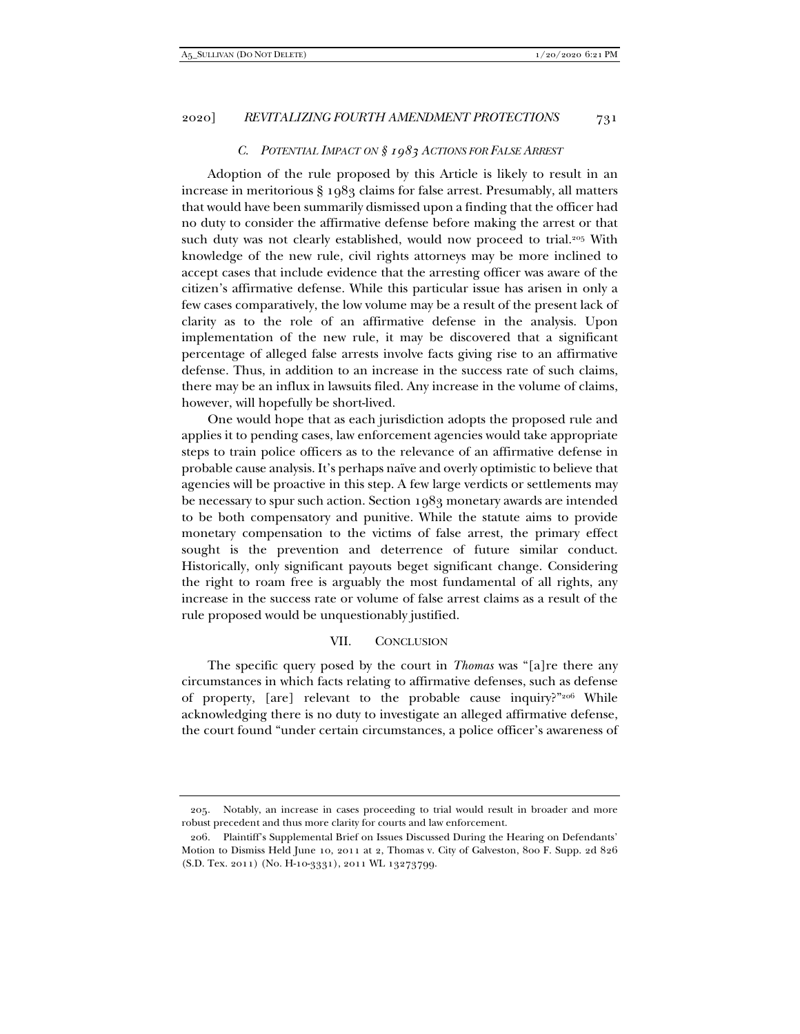## *C. POTENTIAL IMPACT ON § 1983 ACTIONS FOR FALSE ARREST*

Adoption of the rule proposed by this Article is likely to result in an increase in meritorious § 1983 claims for false arrest. Presumably, all matters that would have been summarily dismissed upon a finding that the officer had no duty to consider the affirmative defense before making the arrest or that such duty was not clearly established, would now proceed to trial.<sup>205</sup> With knowledge of the new rule, civil rights attorneys may be more inclined to accept cases that include evidence that the arresting officer was aware of the citizen's affirmative defense. While this particular issue has arisen in only a few cases comparatively, the low volume may be a result of the present lack of clarity as to the role of an affirmative defense in the analysis. Upon implementation of the new rule, it may be discovered that a significant percentage of alleged false arrests involve facts giving rise to an affirmative defense. Thus, in addition to an increase in the success rate of such claims, there may be an influx in lawsuits filed. Any increase in the volume of claims, however, will hopefully be short-lived.

One would hope that as each jurisdiction adopts the proposed rule and applies it to pending cases, law enforcement agencies would take appropriate steps to train police officers as to the relevance of an affirmative defense in probable cause analysis. It's perhaps naïve and overly optimistic to believe that agencies will be proactive in this step. A few large verdicts or settlements may be necessary to spur such action. Section 1983 monetary awards are intended to be both compensatory and punitive. While the statute aims to provide monetary compensation to the victims of false arrest, the primary effect sought is the prevention and deterrence of future similar conduct. Historically, only significant payouts beget significant change. Considering the right to roam free is arguably the most fundamental of all rights, any increase in the success rate or volume of false arrest claims as a result of the rule proposed would be unquestionably justified.

#### VII. CONCLUSION

The specific query posed by the court in *Thomas* was "[a]re there any circumstances in which facts relating to affirmative defenses, such as defense of property, [are] relevant to the probable cause inquiry?"206 While acknowledging there is no duty to investigate an alleged affirmative defense, the court found "under certain circumstances, a police officer's awareness of

 <sup>205.</sup> Notably, an increase in cases proceeding to trial would result in broader and more robust precedent and thus more clarity for courts and law enforcement.

 <sup>206.</sup> Plaintiff's Supplemental Brief on Issues Discussed During the Hearing on Defendants' Motion to Dismiss Held June 10, 2011 at 2, Thomas v. City of Galveston, 800 F. Supp. 2d 826 (S.D. Tex. 2011) (No. H-10-3331), 2011 WL 13273799.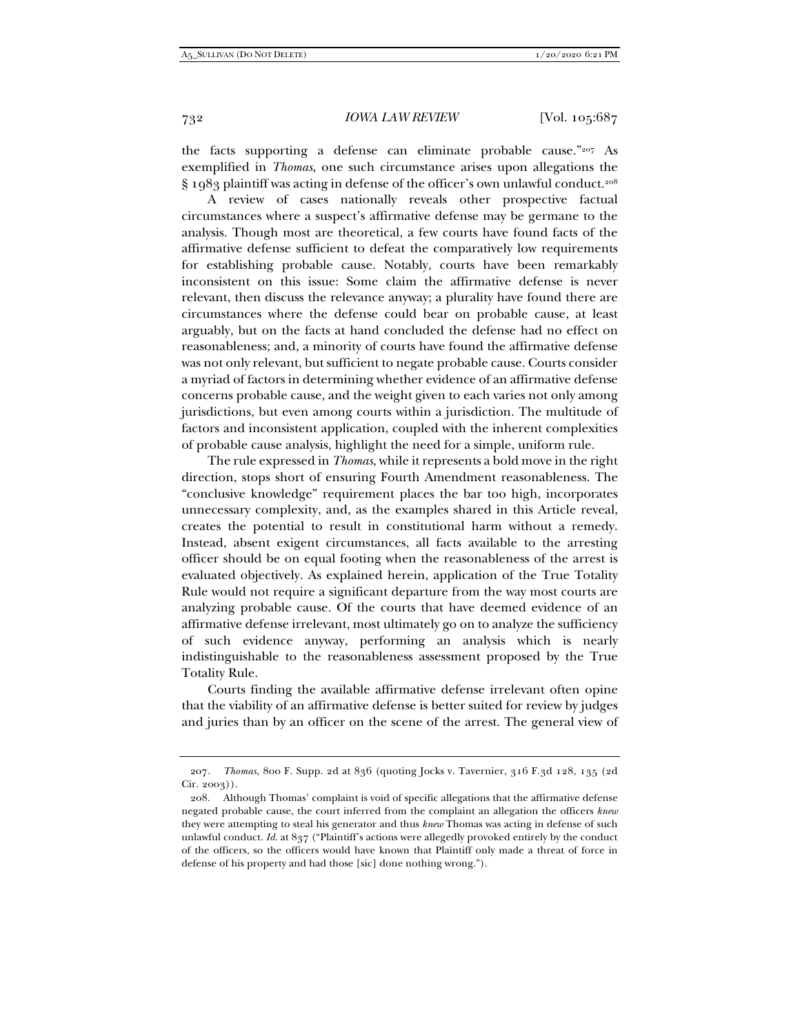the facts supporting a defense can eliminate probable cause."207 As exemplified in *Thomas*, one such circumstance arises upon allegations the § 1983 plaintiff was acting in defense of the officer's own unlawful conduct.<sup>208</sup>

A review of cases nationally reveals other prospective factual circumstances where a suspect's affirmative defense may be germane to the analysis. Though most are theoretical, a few courts have found facts of the affirmative defense sufficient to defeat the comparatively low requirements for establishing probable cause. Notably, courts have been remarkably inconsistent on this issue: Some claim the affirmative defense is never relevant, then discuss the relevance anyway; a plurality have found there are circumstances where the defense could bear on probable cause, at least arguably, but on the facts at hand concluded the defense had no effect on reasonableness; and, a minority of courts have found the affirmative defense was not only relevant, but sufficient to negate probable cause. Courts consider a myriad of factors in determining whether evidence of an affirmative defense concerns probable cause, and the weight given to each varies not only among jurisdictions, but even among courts within a jurisdiction. The multitude of factors and inconsistent application, coupled with the inherent complexities of probable cause analysis, highlight the need for a simple, uniform rule.

The rule expressed in *Thomas*, while it represents a bold move in the right direction, stops short of ensuring Fourth Amendment reasonableness. The "conclusive knowledge" requirement places the bar too high, incorporates unnecessary complexity, and, as the examples shared in this Article reveal, creates the potential to result in constitutional harm without a remedy. Instead, absent exigent circumstances, all facts available to the arresting officer should be on equal footing when the reasonableness of the arrest is evaluated objectively. As explained herein, application of the True Totality Rule would not require a significant departure from the way most courts are analyzing probable cause. Of the courts that have deemed evidence of an affirmative defense irrelevant, most ultimately go on to analyze the sufficiency of such evidence anyway, performing an analysis which is nearly indistinguishable to the reasonableness assessment proposed by the True Totality Rule.

Courts finding the available affirmative defense irrelevant often opine that the viability of an affirmative defense is better suited for review by judges and juries than by an officer on the scene of the arrest. The general view of

<sup>207</sup>*. Thomas*, 800 F. Supp. 2d at 836 (quoting Jocks v. Tavernier, 316 F.3d 128, 135 (2d Cir. 2003)).

 <sup>208.</sup> Although Thomas' complaint is void of specific allegations that the affirmative defense negated probable cause, the court inferred from the complaint an allegation the officers *knew* they were attempting to steal his generator and thus *knew* Thomas was acting in defense of such unlawful conduct. *Id.* at 837 ("Plaintiff's actions were allegedly provoked entirely by the conduct of the officers, so the officers would have known that Plaintiff only made a threat of force in defense of his property and had those [sic] done nothing wrong.").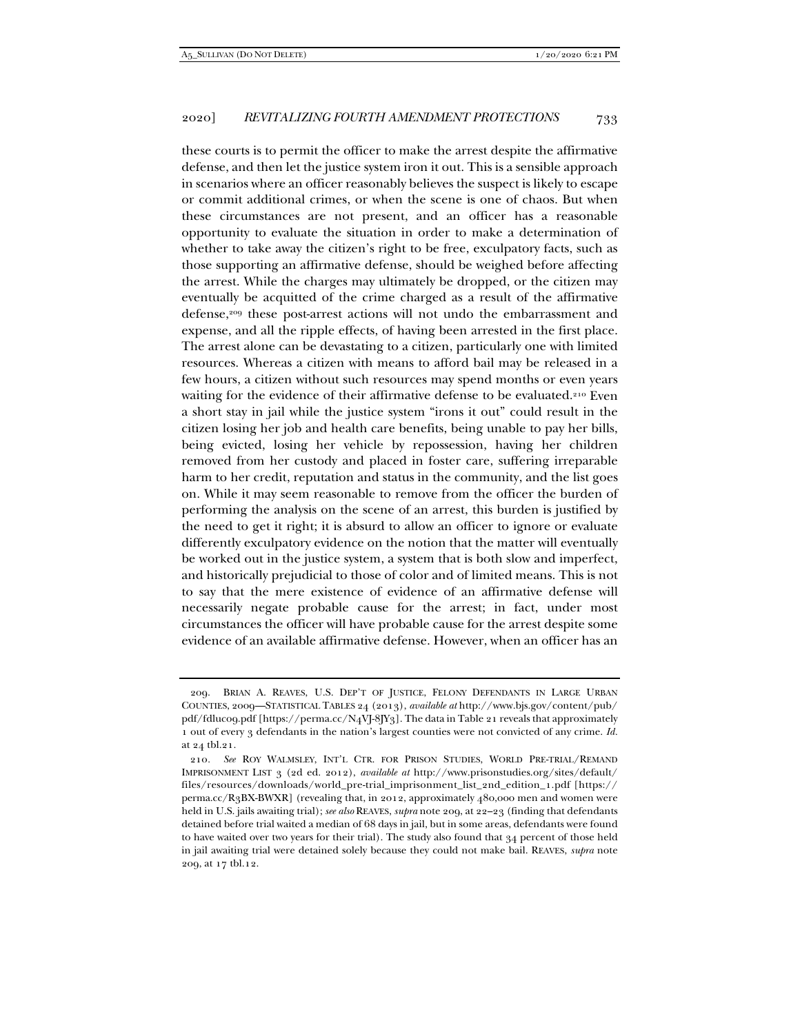these courts is to permit the officer to make the arrest despite the affirmative defense, and then let the justice system iron it out. This is a sensible approach in scenarios where an officer reasonably believes the suspect is likely to escape or commit additional crimes, or when the scene is one of chaos. But when these circumstances are not present, and an officer has a reasonable opportunity to evaluate the situation in order to make a determination of whether to take away the citizen's right to be free, exculpatory facts, such as those supporting an affirmative defense, should be weighed before affecting the arrest. While the charges may ultimately be dropped, or the citizen may eventually be acquitted of the crime charged as a result of the affirmative defense,<sup>209</sup> these post-arrest actions will not undo the embarrassment and expense, and all the ripple effects, of having been arrested in the first place. The arrest alone can be devastating to a citizen, particularly one with limited resources. Whereas a citizen with means to afford bail may be released in a few hours, a citizen without such resources may spend months or even years waiting for the evidence of their affirmative defense to be evaluated.<sup>210</sup> Even a short stay in jail while the justice system "irons it out" could result in the citizen losing her job and health care benefits, being unable to pay her bills, being evicted, losing her vehicle by repossession, having her children removed from her custody and placed in foster care, suffering irreparable harm to her credit, reputation and status in the community, and the list goes on. While it may seem reasonable to remove from the officer the burden of performing the analysis on the scene of an arrest, this burden is justified by the need to get it right; it is absurd to allow an officer to ignore or evaluate differently exculpatory evidence on the notion that the matter will eventually be worked out in the justice system, a system that is both slow and imperfect, and historically prejudicial to those of color and of limited means. This is not to say that the mere existence of evidence of an affirmative defense will necessarily negate probable cause for the arrest; in fact, under most circumstances the officer will have probable cause for the arrest despite some evidence of an available affirmative defense. However, when an officer has an

 <sup>209.</sup> BRIAN A. REAVES, U.S. DEP'T OF JUSTICE, FELONY DEFENDANTS IN LARGE URBAN COUNTIES, 2009—STATISTICAL TABLES 24 (2013), *available at* http://www.bjs.gov/content/pub/ pdf/fdluc09.pdf [https://perma.cc/N4VJ-8JY3]. The data in Table 21 reveals that approximately 1 out of every 3 defendants in the nation's largest counties were not convicted of any crime. *Id.* at 24 tbl.21.

<sup>210</sup>*. See* ROY WALMSLEY, INT'L CTR. FOR PRISON STUDIES, WORLD PRE-TRIAL/REMAND IMPRISONMENT LIST 3 (2d ed. 2012), *available at* http://www.prisonstudies.org/sites/default/ files/resources/downloads/world\_pre-trial\_imprisonment\_list\_2nd\_edition\_1.pdf [https:// perma.cc/R3BX-BWXR] (revealing that, in 2012, approximately 480,000 men and women were held in U.S. jails awaiting trial); *see also* REAVES, *supra* note 209, at 22–23 (finding that defendants detained before trial waited a median of 68 days in jail, but in some areas, defendants were found to have waited over two years for their trial). The study also found that 34 percent of those held in jail awaiting trial were detained solely because they could not make bail. REAVES, *supra* note 209, at 17 tbl.12.